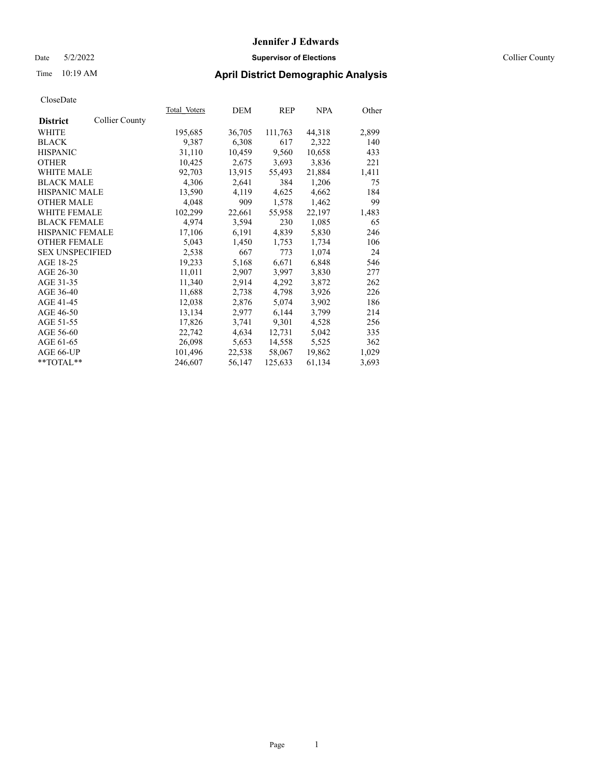#### Date 5/2/2022 **Supervisor of Elections** Collier County

# Time 10:19 AM **April District Demographic Analysis**

|                        |                | Total Voters | DEM    | <b>REP</b> | <u>NPA</u> | Other |
|------------------------|----------------|--------------|--------|------------|------------|-------|
| <b>District</b>        | Collier County |              |        |            |            |       |
| WHITE                  |                | 195,685      | 36,705 | 111,763    | 44,318     | 2,899 |
| <b>BLACK</b>           |                | 9,387        | 6,308  | 617        | 2,322      | 140   |
| <b>HISPANIC</b>        |                | 31,110       | 10,459 | 9,560      | 10,658     | 433   |
| <b>OTHER</b>           |                | 10,425       | 2,675  | 3,693      | 3,836      | 221   |
| <b>WHITE MALE</b>      |                | 92,703       | 13,915 | 55,493     | 21,884     | 1,411 |
| <b>BLACK MALE</b>      |                | 4,306        | 2,641  | 384        | 1,206      | 75    |
| <b>HISPANIC MALE</b>   |                | 13,590       | 4,119  | 4,625      | 4,662      | 184   |
| <b>OTHER MALE</b>      |                | 4,048        | 909    | 1,578      | 1,462      | 99    |
| <b>WHITE FEMALE</b>    |                | 102,299      | 22,661 | 55,958     | 22,197     | 1,483 |
| <b>BLACK FEMALE</b>    |                | 4.974        | 3,594  | 230        | 1,085      | 65    |
| HISPANIC FEMALE        |                | 17,106       | 6,191  | 4,839      | 5,830      | 246   |
| <b>OTHER FEMALE</b>    |                | 5,043        | 1,450  | 1,753      | 1,734      | 106   |
| <b>SEX UNSPECIFIED</b> |                | 2,538        | 667    | 773        | 1,074      | 24    |
| AGE 18-25              |                | 19,233       | 5,168  | 6,671      | 6,848      | 546   |
| AGE 26-30              |                | 11,011       | 2,907  | 3,997      | 3,830      | 277   |
| AGE 31-35              |                | 11,340       | 2,914  | 4,292      | 3,872      | 262   |
| AGE 36-40              |                | 11,688       | 2,738  | 4,798      | 3,926      | 226   |
| AGE 41-45              |                | 12,038       | 2,876  | 5,074      | 3,902      | 186   |
| AGE 46-50              |                | 13,134       | 2,977  | 6,144      | 3,799      | 214   |
| AGE 51-55              |                | 17,826       | 3,741  | 9,301      | 4,528      | 256   |
| AGE 56-60              |                | 22,742       | 4,634  | 12,731     | 5,042      | 335   |
| AGE 61-65              |                | 26,098       | 5,653  | 14,558     | 5,525      | 362   |
| AGE 66-UP              |                | 101,496      | 22,538 | 58,067     | 19,862     | 1,029 |
| $*$ $TOTAL**$          |                | 246,607      | 56,147 | 125,633    | 61,134     | 3,693 |
|                        |                |              |        |            |            |       |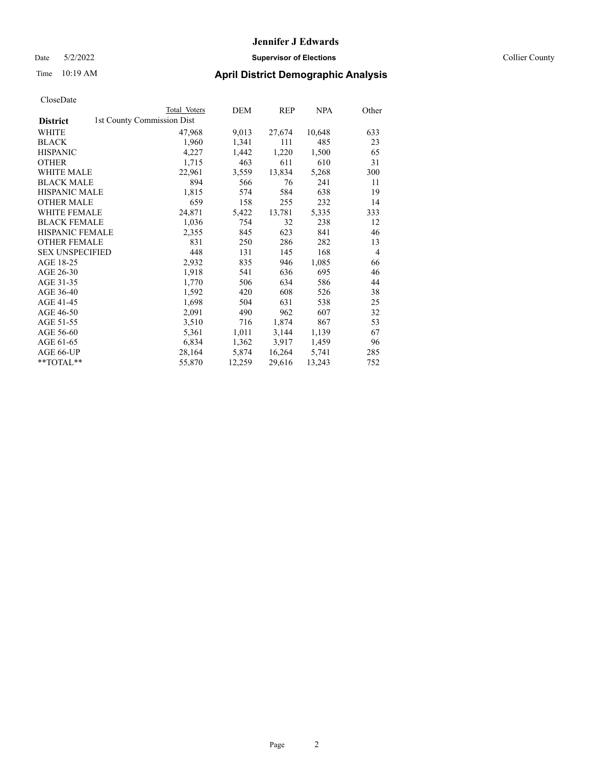Date 5/2/2022 **Supervisor of Elections** Collier County

# Time 10:19 AM **April District Demographic Analysis**

|                        | Total Voters               | DEM    | REP    | <u>NPA</u> | Other          |
|------------------------|----------------------------|--------|--------|------------|----------------|
| <b>District</b>        | 1st County Commission Dist |        |        |            |                |
| WHITE                  | 47,968                     | 9,013  | 27,674 | 10,648     | 633            |
| <b>BLACK</b>           | 1,960                      | 1,341  | 111    | 485        | 23             |
| <b>HISPANIC</b>        | 4,227                      | 1,442  | 1,220  | 1,500      | 65             |
| <b>OTHER</b>           | 1,715                      | 463    | 611    | 610        | 31             |
| WHITE MALE             | 22,961                     | 3,559  | 13,834 | 5,268      | 300            |
| <b>BLACK MALE</b>      | 894                        | 566    | 76     | 241        | 11             |
| <b>HISPANIC MALE</b>   | 1,815                      | 574    | 584    | 638        | 19             |
| <b>OTHER MALE</b>      | 659                        | 158    | 255    | 232        | 14             |
| <b>WHITE FEMALE</b>    | 24,871                     | 5,422  | 13,781 | 5,335      | 333            |
| <b>BLACK FEMALE</b>    | 1,036                      | 754    | 32     | 238        | 12             |
| HISPANIC FEMALE        | 2,355                      | 845    | 623    | 841        | 46             |
| <b>OTHER FEMALE</b>    | 831                        | 250    | 286    | 282        | 13             |
| <b>SEX UNSPECIFIED</b> | 448                        | 131    | 145    | 168        | $\overline{4}$ |
| AGE 18-25              | 2,932                      | 835    | 946    | 1,085      | 66             |
| AGE 26-30              | 1,918                      | 541    | 636    | 695        | 46             |
| AGE 31-35              | 1,770                      | 506    | 634    | 586        | 44             |
| AGE 36-40              | 1,592                      | 420    | 608    | 526        | 38             |
| AGE 41-45              | 1,698                      | 504    | 631    | 538        | 25             |
| AGE 46-50              | 2,091                      | 490    | 962    | 607        | 32             |
| AGE 51-55              | 3,510                      | 716    | 1,874  | 867        | 53             |
| AGE 56-60              | 5,361                      | 1,011  | 3,144  | 1,139      | 67             |
| AGE 61-65              | 6,834                      | 1,362  | 3,917  | 1,459      | 96             |
| AGE 66-UP              | 28,164                     | 5,874  | 16,264 | 5,741      | 285            |
| **TOTAL**              | 55,870                     | 12,259 | 29,616 | 13,243     | 752            |
|                        |                            |        |        |            |                |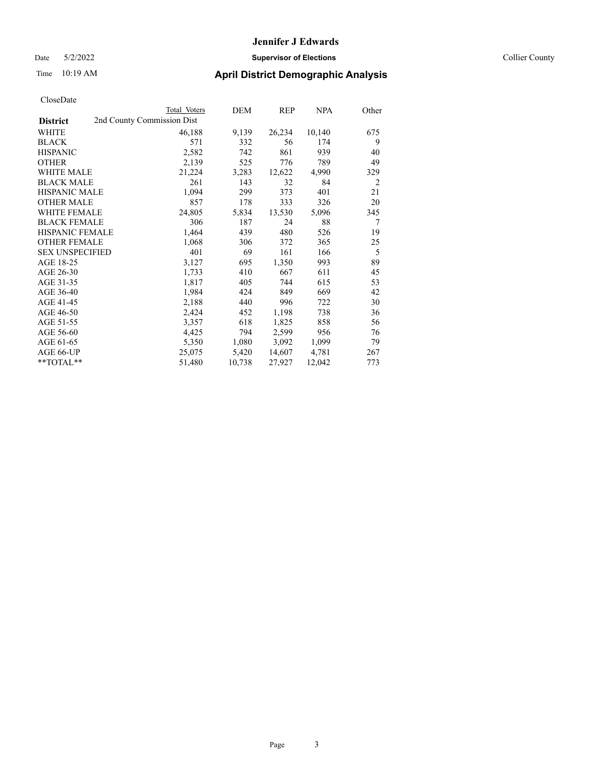Date 5/2/2022 **Supervisor of Elections** Collier County

| CloseDate |
|-----------|
|-----------|

|                        | Total Voters               | DEM    | REP    | <b>NPA</b> | Other          |
|------------------------|----------------------------|--------|--------|------------|----------------|
| <b>District</b>        | 2nd County Commission Dist |        |        |            |                |
| WHITE                  | 46,188                     | 9,139  | 26,234 | 10,140     | 675            |
| BLACK                  | 571                        | 332    | 56     | 174        | 9              |
| HISPANIC               | 2,582                      | 742    | 861    | 939        | 40             |
| OTHER                  | 2,139                      | 525    | 776    | 789        | 49             |
| WHITE MALE             | 21,224                     | 3,283  | 12,622 | 4,990      | 329            |
| BLACK MALE             | 261                        | 143    | 32     | 84         | $\overline{2}$ |
| HISPANIC MALE          | 1,094                      | 299    | 373    | 401        | 21             |
| OTHER MALE             | 857                        | 178    | 333    | 326        | 20             |
| WHITE FEMALE           | 24,805                     | 5,834  | 13,530 | 5,096      | 345            |
| <b>BLACK FEMALE</b>    | 306                        | 187    | 24     | 88         | 7              |
| HISPANIC FEMALE        | 1,464                      | 439    | 480    | 526        | 19             |
| OTHER FEMALE           | 1,068                      | 306    | 372    | 365        | 25             |
| <b>SEX UNSPECIFIED</b> | 401                        | 69     | 161    | 166        | 5              |
| AGE 18-25              | 3,127                      | 695    | 1,350  | 993        | 89             |
| AGE 26-30              | 1,733                      | 410    | 667    | 611        | 45             |
| AGE 31-35              | 1,817                      | 405    | 744    | 615        | 53             |
| AGE 36-40              | 1,984                      | 424    | 849    | 669        | 42             |
| AGE 41-45              | 2,188                      | 440    | 996    | 722        | 30             |
| AGE 46-50              | 2,424                      | 452    | 1,198  | 738        | 36             |
| AGE 51-55              | 3,357                      | 618    | 1,825  | 858        | 56             |
| AGE 56-60              | 4,425                      | 794    | 2,599  | 956        | 76             |
| AGE 61-65              | 5,350                      | 1,080  | 3,092  | 1,099      | 79             |
| AGE 66-UP              | 25,075                     | 5,420  | 14,607 | 4,781      | 267            |
| $*$ $TOTAL**$          | 51,480                     | 10,738 | 27,927 | 12,042     | 773            |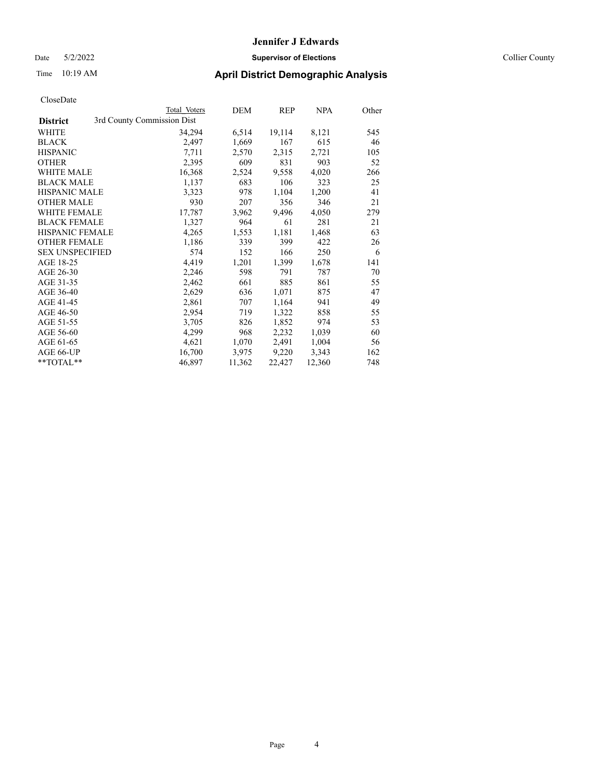Date 5/2/2022 **Supervisor of Elections** Collier County

| CloseDate |
|-----------|
|-----------|

|                                               | Total Voters | DEM    | REP    | <b>NPA</b> | Other |
|-----------------------------------------------|--------------|--------|--------|------------|-------|
| 3rd County Commission Dist<br><b>District</b> |              |        |        |            |       |
| WHITE                                         | 34,294       | 6,514  | 19,114 | 8,121      | 545   |
| <b>BLACK</b>                                  | 2,497        | 1,669  | 167    | 615        | 46    |
| <b>HISPANIC</b>                               | 7,711        | 2,570  | 2,315  | 2,721      | 105   |
| <b>OTHER</b>                                  | 2,395        | 609    | 831    | 903        | 52    |
| <b>WHITE MALE</b>                             | 16,368       | 2,524  | 9,558  | 4,020      | 266   |
| <b>BLACK MALE</b>                             | 1,137        | 683    | 106    | 323        | 25    |
| <b>HISPANIC MALE</b>                          | 3,323        | 978    | 1,104  | 1,200      | 41    |
| <b>OTHER MALE</b>                             | 930          | 207    | 356    | 346        | 21    |
| <b>WHITE FEMALE</b>                           | 17,787       | 3,962  | 9,496  | 4,050      | 279   |
| <b>BLACK FEMALE</b>                           | 1,327        | 964    | 61     | 281        | 21    |
| <b>HISPANIC FEMALE</b>                        | 4,265        | 1,553  | 1,181  | 1,468      | 63    |
| <b>OTHER FEMALE</b>                           | 1,186        | 339    | 399    | 422        | 26    |
| <b>SEX UNSPECIFIED</b>                        | 574          | 152    | 166    | 250        | 6     |
| AGE 18-25                                     | 4,419        | 1,201  | 1,399  | 1,678      | 141   |
| AGE 26-30                                     | 2,246        | 598    | 791    | 787        | 70    |
| AGE 31-35                                     | 2,462        | 661    | 885    | 861        | 55    |
| AGE 36-40                                     | 2,629        | 636    | 1,071  | 875        | 47    |
| AGE 41-45                                     | 2,861        | 707    | 1,164  | 941        | 49    |
| AGE 46-50                                     | 2,954        | 719    | 1,322  | 858        | 55    |
| AGE 51-55                                     | 3,705        | 826    | 1,852  | 974        | 53    |
| AGE 56-60                                     | 4,299        | 968    | 2,232  | 1,039      | 60    |
| AGE 61-65                                     | 4,621        | 1,070  | 2,491  | 1,004      | 56    |
| AGE 66-UP                                     | 16,700       | 3,975  | 9,220  | 3,343      | 162   |
| $*$ TOTAL $*$                                 | 46,897       | 11,362 | 22,427 | 12,360     | 748   |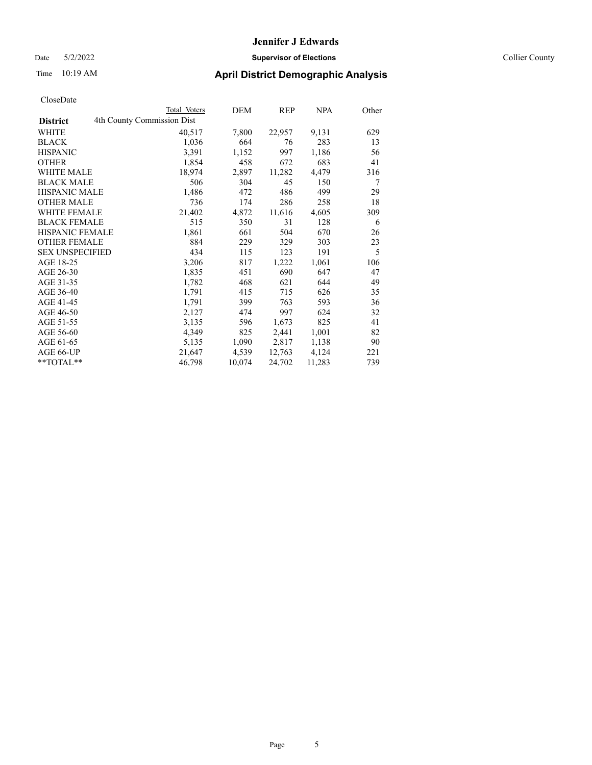Date 5/2/2022 **Supervisor of Elections** Collier County

| CloseDate |
|-----------|
|-----------|

|                        | Total Voters               | DEM    | REP    | <b>NPA</b> | Other |
|------------------------|----------------------------|--------|--------|------------|-------|
| <b>District</b>        | 4th County Commission Dist |        |        |            |       |
| WHITE                  | 40,517                     | 7,800  | 22,957 | 9,131      | 629   |
| BLACK                  | 1,036                      | 664    | 76     | 283        | 13    |
| HISPANIC               | 3,391                      | 1,152  | 997    | 1,186      | 56    |
| OTHER                  | 1,854                      | 458    | 672    | 683        | 41    |
| WHITE MALE             | 18,974                     | 2,897  | 11,282 | 4,479      | 316   |
| BLACK MALE             | 506                        | 304    | 45     | 150        | 7     |
| HISPANIC MALE          | 1,486                      | 472    | 486    | 499        | 29    |
| OTHER MALE             | 736                        | 174    | 286    | 258        | 18    |
| WHITE FEMALE           | 21,402                     | 4,872  | 11,616 | 4,605      | 309   |
| BLACK FEMALE           | 515                        | 350    | 31     | 128        | 6     |
| HISPANIC FEMALE        | 1,861                      | 661    | 504    | 670        | 26    |
| <b>OTHER FEMALE</b>    | 884                        | 229    | 329    | 303        | 23    |
| <b>SEX UNSPECIFIED</b> | 434                        | 115    | 123    | 191        | 5     |
| AGE 18-25              | 3,206                      | 817    | 1,222  | 1,061      | 106   |
| AGE 26-30              | 1,835                      | 451    | 690    | 647        | 47    |
| AGE 31-35              | 1,782                      | 468    | 621    | 644        | 49    |
| AGE 36-40              | 1,791                      | 415    | 715    | 626        | 35    |
| AGE 41-45              | 1,791                      | 399    | 763    | 593        | 36    |
| AGE 46-50              | 2,127                      | 474    | 997    | 624        | 32    |
| AGE 51-55              | 3,135                      | 596    | 1,673  | 825        | 41    |
| AGE 56-60              | 4,349                      | 825    | 2,441  | 1,001      | 82    |
| AGE 61-65              | 5,135                      | 1,090  | 2,817  | 1,138      | 90    |
| AGE 66-UP              | 21,647                     | 4,539  | 12,763 | 4,124      | 221   |
| $*$ $TOTAL**$          | 46,798                     | 10,074 | 24,702 | 11,283     | 739   |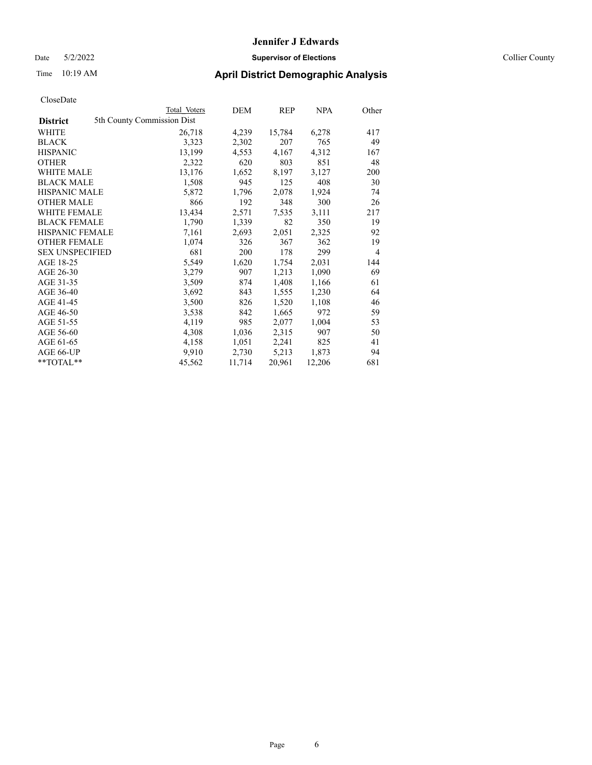Date 5/2/2022 **Supervisor of Elections** Collier County

| CloseDate |
|-----------|
|-----------|

|                                               | Total Voters | DEM    | <b>REP</b> | <b>NPA</b> | Other |
|-----------------------------------------------|--------------|--------|------------|------------|-------|
| 5th County Commission Dist<br><b>District</b> |              |        |            |            |       |
| WHITE                                         | 26,718       | 4,239  | 15,784     | 6,278      | 417   |
| <b>BLACK</b>                                  | 3,323        | 2,302  | 207        | 765        | 49    |
| <b>HISPANIC</b>                               | 13,199       | 4,553  | 4,167      | 4,312      | 167   |
| <b>OTHER</b>                                  | 2,322        | 620    | 803        | 851        | 48    |
| <b>WHITE MALE</b>                             | 13,176       | 1,652  | 8,197      | 3,127      | 200   |
| <b>BLACK MALE</b>                             | 1,508        | 945    | 125        | 408        | 30    |
| <b>HISPANIC MALE</b>                          | 5,872        | 1,796  | 2,078      | 1,924      | 74    |
| <b>OTHER MALE</b>                             | 866          | 192    | 348        | 300        | 26    |
| <b>WHITE FEMALE</b>                           | 13,434       | 2,571  | 7,535      | 3,111      | 217   |
| <b>BLACK FEMALE</b>                           | 1,790        | 1,339  | 82         | 350        | 19    |
| <b>HISPANIC FEMALE</b>                        | 7,161        | 2,693  | 2,051      | 2,325      | 92    |
| <b>OTHER FEMALE</b>                           | 1,074        | 326    | 367        | 362        | 19    |
| <b>SEX UNSPECIFIED</b>                        | 681          | 200    | 178        | 299        | 4     |
| AGE 18-25                                     | 5,549        | 1,620  | 1,754      | 2,031      | 144   |
| AGE 26-30                                     | 3,279        | 907    | 1,213      | 1,090      | 69    |
| AGE 31-35                                     | 3,509        | 874    | 1,408      | 1,166      | 61    |
| AGE 36-40                                     | 3,692        | 843    | 1,555      | 1,230      | 64    |
| AGE 41-45                                     | 3,500        | 826    | 1,520      | 1,108      | 46    |
| AGE 46-50                                     | 3,538        | 842    | 1,665      | 972        | 59    |
| AGE 51-55                                     | 4,119        | 985    | 2,077      | 1,004      | 53    |
| AGE 56-60                                     | 4,308        | 1,036  | 2,315      | 907        | 50    |
| AGE 61-65                                     | 4,158        | 1,051  | 2,241      | 825        | 41    |
| AGE 66-UP                                     | 9,910        | 2,730  | 5,213      | 1,873      | 94    |
| $*$ TOTAL $*$                                 | 45,562       | 11,714 | 20,961     | 12,206     | 681   |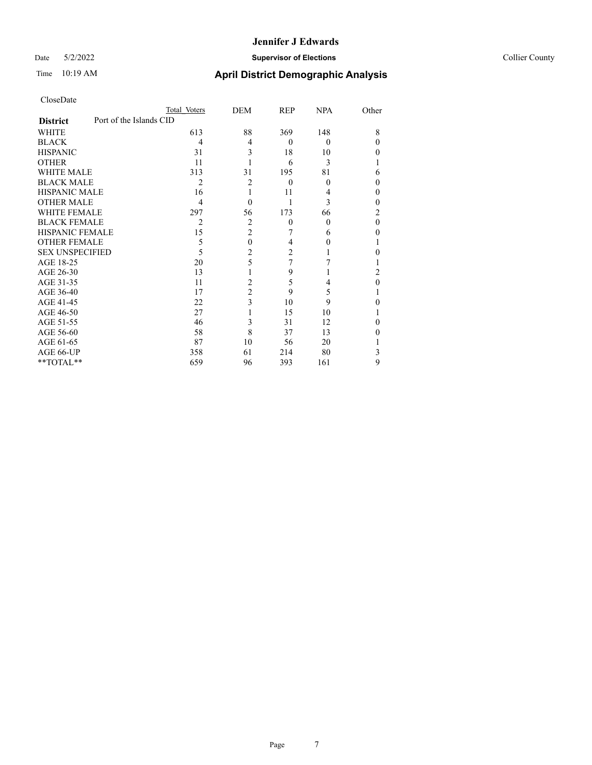#### Date 5/2/2022 **Supervisor of Elections** Collier County

|                        |                         | Total Voters   | DEM            | REP            | <b>NPA</b> | Other            |
|------------------------|-------------------------|----------------|----------------|----------------|------------|------------------|
| <b>District</b>        | Port of the Islands CID |                |                |                |            |                  |
| <b>WHITE</b>           |                         | 613            | 88             | 369            | 148        | 8                |
| <b>BLACK</b>           |                         | 4              | 4              | $\mathbf{0}$   | $\theta$   | $\boldsymbol{0}$ |
| <b>HISPANIC</b>        |                         | 31             | 3              | 18             | 10         | 0                |
| <b>OTHER</b>           |                         | 11             | 1              | 6              | 3          | 1                |
| <b>WHITE MALE</b>      |                         | 313            | 31             | 195            | 81         | 6                |
| <b>BLACK MALE</b>      |                         | $\overline{2}$ | $\overline{c}$ | $\theta$       | $\theta$   | $\theta$         |
| <b>HISPANIC MALE</b>   |                         | 16             | 1              | 11             | 4          | 0                |
| <b>OTHER MALE</b>      |                         | 4              | $\theta$       | 1              | 3          | $\boldsymbol{0}$ |
| <b>WHITE FEMALE</b>    |                         | 297            | 56             | 173            | 66         | $\overline{2}$   |
| <b>BLACK FEMALE</b>    |                         | $\mathfrak{D}$ | 2              | $\mathbf{0}$   | $\Omega$   | $\mathbf{0}$     |
| <b>HISPANIC FEMALE</b> |                         | 15             | $\overline{2}$ | 7              | 6          | $\theta$         |
| <b>OTHER FEMALE</b>    |                         | 5              | $\theta$       | 4              | 0          | 1                |
| <b>SEX UNSPECIFIED</b> |                         | 5              | $\overline{2}$ | $\overline{2}$ |            | $\overline{0}$   |
| AGE 18-25              |                         | 20             | 5              | 7              | 7          | 1                |
| AGE 26-30              |                         | 13             | 1              | 9              | 1          | $\overline{2}$   |
| AGE 31-35              |                         | 11             | $\overline{2}$ | 5              | 4          | $\mathbf{0}$     |
| AGE 36-40              |                         | 17             | $\overline{2}$ | 9              | 5          | 1                |
| AGE 41-45              |                         | 22             | 3              | 10             | 9          | $\theta$         |
| AGE 46-50              |                         | 27             | 1              | 15             | 10         | 1                |
| AGE 51-55              |                         | 46             | 3              | 31             | 12         | $\theta$         |
| AGE 56-60              |                         | 58             | 8              | 37             | 13         | $\theta$         |
| AGE 61-65              |                         | 87             | 10             | 56             | 20         | 1                |
| AGE 66-UP              |                         | 358            | 61             | 214            | 80         | 3                |
| **TOTAL**              |                         | 659            | 96             | 393            | 161        | 9                |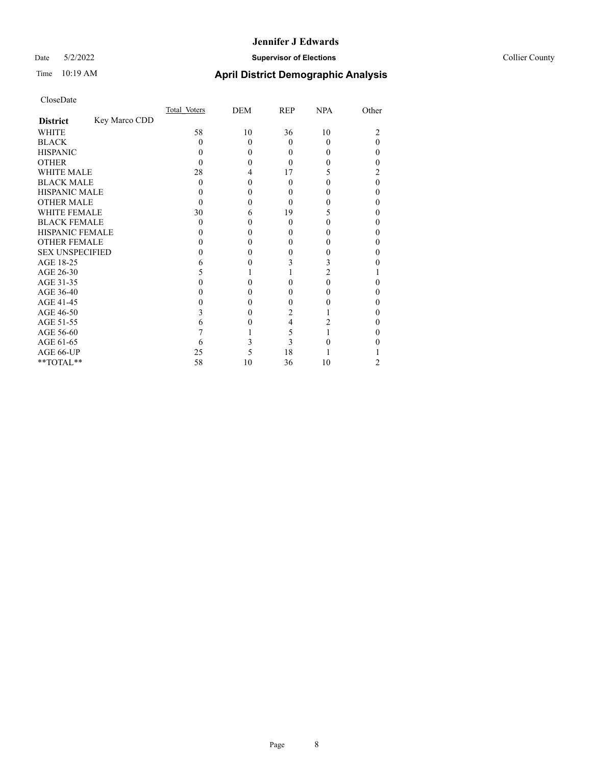#### Date 5/2/2022 **Supervisor of Elections** Collier County

# Time 10:19 AM **April District Demographic Analysis**

|                        |               | Total Voters | DEM      | REP      | <b>NPA</b> | Other |
|------------------------|---------------|--------------|----------|----------|------------|-------|
| <b>District</b>        | Key Marco CDD |              |          |          |            |       |
| WHITE                  |               | 58           | 10       | 36       | 10         | 2     |
| <b>BLACK</b>           |               | 0            | $\Omega$ | 0        | 0          | 0     |
| <b>HISPANIC</b>        |               | $\theta$     | $\theta$ | $\theta$ |            | 0     |
| <b>OTHER</b>           |               |              | 0        | 0        |            |       |
| <b>WHITE MALE</b>      |               | 28           | 4        | 17       |            | 2     |
| <b>BLACK MALE</b>      |               | 0            | 0        | 0        |            | 0     |
| <b>HISPANIC MALE</b>   |               |              | 0        | 0        |            | 0     |
| <b>OTHER MALE</b>      |               |              | 0        | $\theta$ |            | 0     |
| WHITE FEMALE           |               | 30           | 6        | 19       |            |       |
| <b>BLACK FEMALE</b>    |               | $\theta$     | 0        | $\theta$ |            | 0     |
| <b>HISPANIC FEMALE</b> |               |              | 0        | 0        |            |       |
| <b>OTHER FEMALE</b>    |               |              | $\theta$ | 0        |            | 0     |
| <b>SEX UNSPECIFIED</b> |               |              |          |          |            | 0     |
| AGE 18-25              |               |              |          | 3        | 3          |       |
| AGE 26-30              |               |              |          |          | 2          |       |
| AGE 31-35              |               |              |          |          |            |       |
| AGE 36-40              |               |              | 0        | 0        |            | 0     |
| AGE 41-45              |               |              |          | 0        |            |       |
| AGE 46-50              |               |              | $\theta$ | 2        |            | 0     |
| AGE 51-55              |               | h            |          | 4        |            |       |
| AGE 56-60              |               |              |          | 5        |            | 0     |
| AGE 61-65              |               | b            |          | 3        |            |       |
| AGE 66-UP              |               | 25           | 5        | 18       |            |       |
| **TOTAL**              |               | 58           | 10       | 36       | 10         | 2     |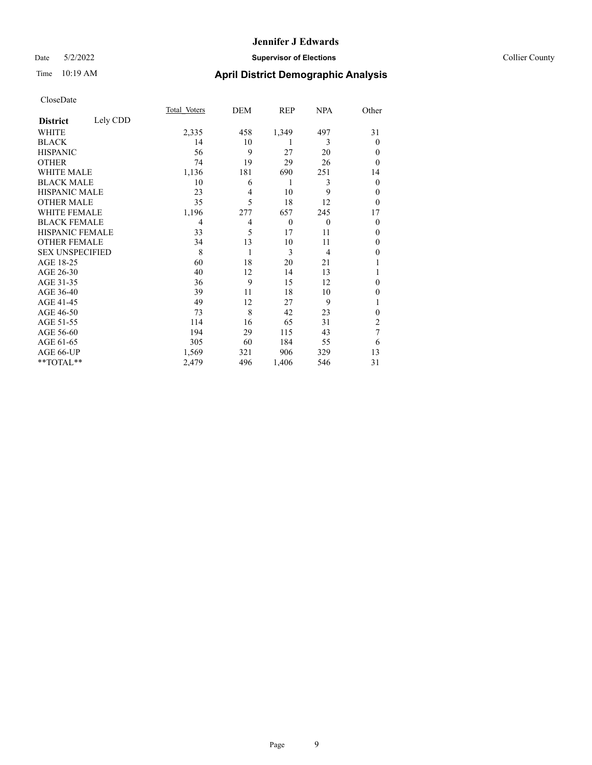#### Date 5/2/2022 **Supervisor of Elections** Collier County

# Time 10:19 AM **April District Demographic Analysis**

|                        |          | Total Voters | DEM | REP          | <b>NPA</b> | Other          |
|------------------------|----------|--------------|-----|--------------|------------|----------------|
| <b>District</b>        | Lely CDD |              |     |              |            |                |
| WHITE                  |          | 2,335        | 458 | 1,349        | 497        | 31             |
| <b>BLACK</b>           |          | 14           | 10  | 1            | 3          | $\theta$       |
| <b>HISPANIC</b>        |          | 56           | 9   | 27           | 20         | $\theta$       |
| <b>OTHER</b>           |          | 74           | 19  | 29           | 26         | $\theta$       |
| WHITE MALE             |          | 1,136        | 181 | 690          | 251        | 14             |
| <b>BLACK MALE</b>      |          | 10           | 6   | 1            | 3          | $\overline{0}$ |
| <b>HISPANIC MALE</b>   |          | 23           | 4   | 10           | 9          | 0              |
| <b>OTHER MALE</b>      |          | 35           | 5   | 18           | 12         | $\theta$       |
| WHITE FEMALE           |          | 1,196        | 277 | 657          | 245        | 17             |
| <b>BLACK FEMALE</b>    |          | 4            | 4   | $\mathbf{0}$ | $\theta$   | $\theta$       |
| <b>HISPANIC FEMALE</b> |          | 33           | 5   | 17           | 11         | 0              |
| <b>OTHER FEMALE</b>    |          | 34           | 13  | 10           | 11         | 0              |
| <b>SEX UNSPECIFIED</b> |          | 8            | 1   | 3            | 4          | 0              |
| AGE 18-25              |          | 60           | 18  | 20           | 21         |                |
| AGE 26-30              |          | 40           | 12  | 14           | 13         |                |
| AGE 31-35              |          | 36           | 9   | 15           | 12         | 0              |
| AGE 36-40              |          | 39           | 11  | 18           | 10         | 0              |
| AGE 41-45              |          | 49           | 12  | 27           | 9          |                |
| AGE 46-50              |          | 73           | 8   | 42           | 23         | $\theta$       |
| AGE 51-55              |          | 114          | 16  | 65           | 31         | 2              |
| AGE 56-60              |          | 194          | 29  | 115          | 43         | 7              |
| AGE 61-65              |          | 305          | 60  | 184          | 55         | 6              |
| AGE 66-UP              |          | 1,569        | 321 | 906          | 329        | 13             |
| **TOTAL**              |          | 2,479        | 496 | 1,406        | 546        | 31             |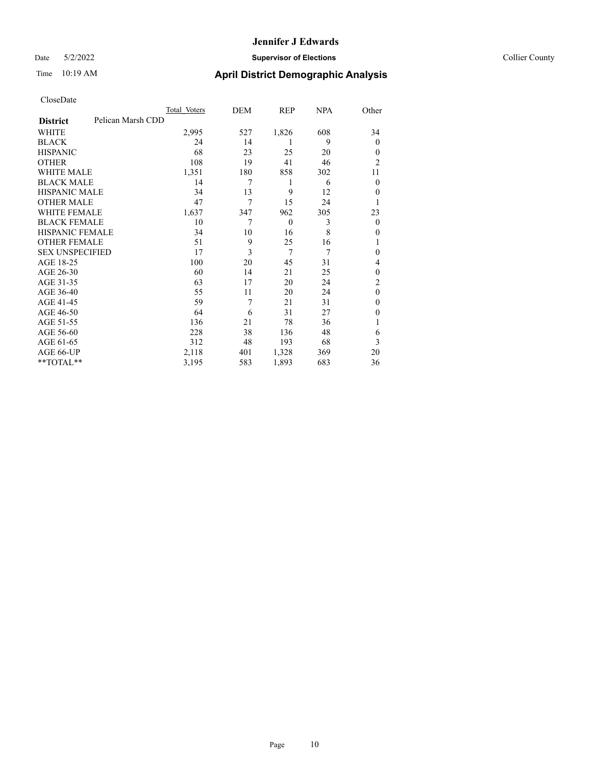#### Date 5/2/2022 **Supervisor of Elections** Collier County

| CloseDate |
|-----------|
|-----------|

|                        |                   | Total Voters | DEM | REP            | <b>NPA</b> | Other            |
|------------------------|-------------------|--------------|-----|----------------|------------|------------------|
| <b>District</b>        | Pelican Marsh CDD |              |     |                |            |                  |
| WHITE                  |                   | 2,995        | 527 | 1,826          | 608        | 34               |
| BLACK                  |                   | 24           | 14  | 1              | 9          | $\mathbf{0}$     |
| HISPANIC               |                   | 68           | 23  | 25             | 20         | $\theta$         |
| <b>OTHER</b>           |                   | 108          | 19  | 41             | 46         | $\overline{2}$   |
| WHITE MALE             |                   | 1,351        | 180 | 858            | 302        | 11               |
| BLACK MALE             |                   | 14           | 7   | 1              | 6          | $\mathbf{0}$     |
| HISPANIC MALE          |                   | 34           | 13  | 9              | 12         | $\theta$         |
| OTHER MALE             |                   | 47           | 7   | 15             | 24         | 1                |
| WHITE FEMALE           |                   | 1,637        | 347 | 962            | 305        | 23               |
| BLACK FEMALE           |                   | 10           | 7   | $\theta$       | 3          | $\boldsymbol{0}$ |
| HISPANIC FEMALE        |                   | 34           | 10  | 16             | 8          | $\mathbf{0}$     |
| OTHER FEMALE           |                   | 51           | 9   | 25             | 16         |                  |
| <b>SEX UNSPECIFIED</b> |                   | 17           | 3   | $\overline{7}$ | 7          | $\theta$         |
| AGE 18-25              |                   | 100          | 20  | 45             | 31         | 4                |
| AGE 26-30              |                   | 60           | 14  | 21             | 25         | $\theta$         |
| AGE 31-35              |                   | 63           | 17  | 20             | 24         | 2                |
| AGE 36-40              |                   | 55           | 11  | 20             | 24         | $\theta$         |
| AGE 41-45              |                   | 59           | 7   | 21             | 31         | $\mathbf{0}$     |
| AGE 46-50              |                   | 64           | 6   | 31             | 27         | $\theta$         |
| AGE 51-55              |                   | 136          | 21  | 78             | 36         |                  |
| AGE 56-60              |                   | 228          | 38  | 136            | 48         | 6                |
| AGE 61-65              |                   | 312          | 48  | 193            | 68         | 3                |
| AGE 66-UP              |                   | 2,118        | 401 | 1,328          | 369        | 20               |
| $*$ $TOTAL**$          |                   | 3,195        | 583 | 1,893          | 683        | 36               |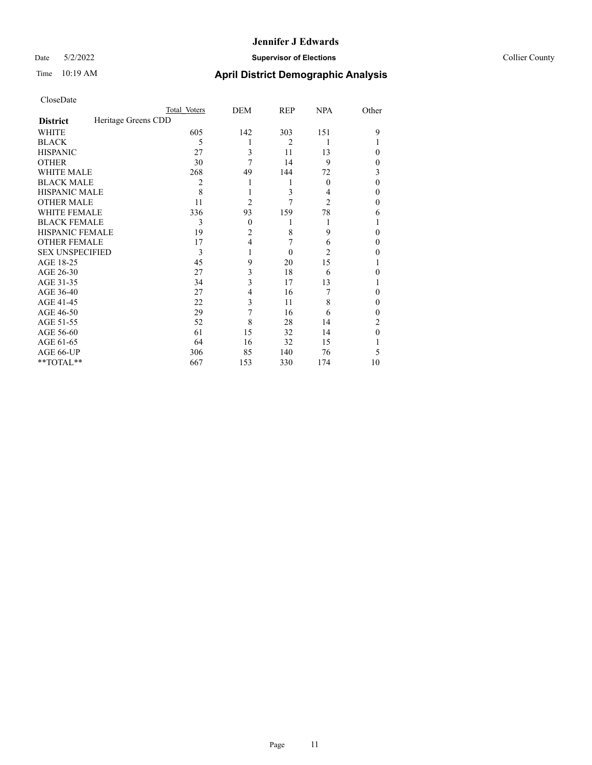Date 5/2/2022 **Supervisor of Elections** Collier County

| CloseDate |
|-----------|
|-----------|

|                        |                     | Total Voters | DEM      | REP          | <b>NPA</b> | Other |
|------------------------|---------------------|--------------|----------|--------------|------------|-------|
| <b>District</b>        | Heritage Greens CDD |              |          |              |            |       |
| WHITE                  |                     | 605          | 142      | 303          | 151        | 9     |
| <b>BLACK</b>           |                     | 5            |          | 2            | 1          |       |
| <b>HISPANIC</b>        |                     | 27           | 3        | 11           | 13         | 0     |
| <b>OTHER</b>           |                     | 30           | 7        | 14           | 9          | 0     |
| <b>WHITE MALE</b>      |                     | 268          | 49       | 144          | 72         | 3     |
| <b>BLACK MALE</b>      |                     | 2            |          |              | $\theta$   | 0     |
| <b>HISPANIC MALE</b>   |                     | 8            |          | 3            | 4          | 0     |
| <b>OTHER MALE</b>      |                     | 11           | 2        | 7            | 2          | 0     |
| <b>WHITE FEMALE</b>    |                     | 336          | 93       | 159          | 78         | 6     |
| <b>BLACK FEMALE</b>    |                     | 3            | $\theta$ |              | 1          |       |
| <b>HISPANIC FEMALE</b> |                     | 19           | 2        | 8            | 9          | 0     |
| <b>OTHER FEMALE</b>    |                     | 17           | 4        | 7            | 6          | 0     |
| <b>SEX UNSPECIFIED</b> |                     | 3            |          | $\mathbf{0}$ | 2          | 0     |
| AGE 18-25              |                     | 45           | 9        | 20           | 15         |       |
| AGE 26-30              |                     | 27           | 3        | 18           | 6          | 0     |
| AGE 31-35              |                     | 34           | 3        | 17           | 13         |       |
| AGE 36-40              |                     | 27           | 4        | 16           | 7          | 0     |
| AGE 41-45              |                     | 22           | 3        | 11           | 8          | 0     |
| AGE 46-50              |                     | 29           | 7        | 16           | 6          | 0     |
| AGE 51-55              |                     | 52           | 8        | 28           | 14         | 2     |
| AGE 56-60              |                     | 61           | 15       | 32           | 14         | 0     |
| AGE 61-65              |                     | 64           | 16       | 32           | 15         |       |
| AGE 66-UP              |                     | 306          | 85       | 140          | 76         | 5     |
| **TOTAL**              |                     | 667          | 153      | 330          | 174        | 10    |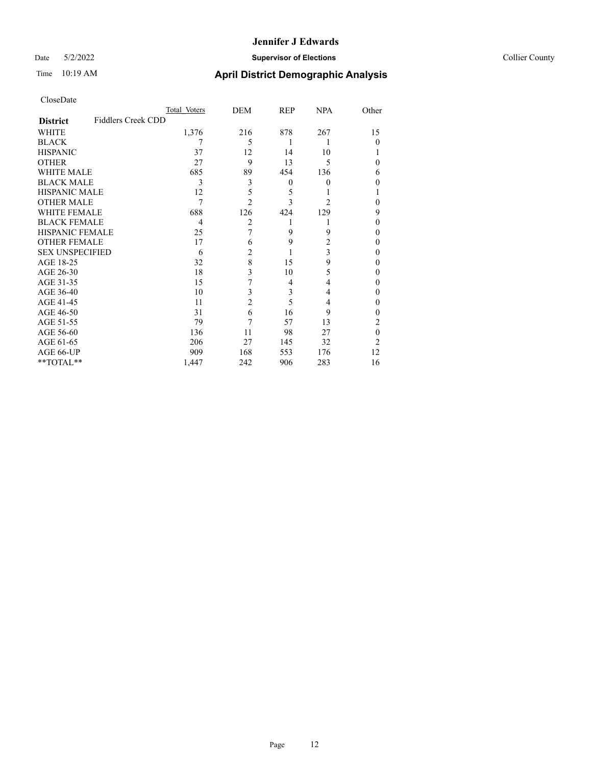#### Date 5/2/2022 **Supervisor of Elections** Collier County

| CloseDate |
|-----------|
|-----------|

|                        |                    | Total Voters | DEM | REP      | <b>NPA</b>     | Other    |
|------------------------|--------------------|--------------|-----|----------|----------------|----------|
| <b>District</b>        | Fiddlers Creek CDD |              |     |          |                |          |
| WHITE                  |                    | 1,376        | 216 | 878      | 267            | 15       |
| BLACK                  |                    |              | 5   | 1        |                | $\Omega$ |
| HISPANIC               |                    | 37           | 12  | 14       | 10             |          |
| OTHER                  |                    | 27           | 9   | 13       | 5              |          |
| WHITE MALE             |                    | 685          | 89  | 454      | 136            | 6        |
| <b>BLACK MALE</b>      |                    | 3            | 3   | $\theta$ | 0              |          |
| HISPANIC MALE          |                    | 12           | 5   | 5        |                |          |
| OTHER MALE             |                    | 7            | 2   | 3        | 2              |          |
| WHITE FEMALE           |                    | 688          | 126 | 424      | 129            | 9        |
| BLACK FEMALE           |                    | 4            | 2   |          | 1              | 0        |
| HISPANIC FEMALE        |                    | 25           | 7   | 9        | 9              |          |
| OTHER FEMALE           |                    | 17           | 6   | 9        | $\overline{c}$ | 0        |
| <b>SEX UNSPECIFIED</b> |                    | 6            | 2   |          | 3              | 0        |
| AGE 18-25              |                    | 32           | 8   | 15       | 9              | 0        |
| AGE 26-30              |                    | 18           | 3   | 10       | 5              |          |
| AGE 31-35              |                    | 15           |     | 4        | 4              |          |
| AGE 36-40              |                    | 10           | 3   | 3        | 4              | 0        |
| AGE 41-45              |                    | 11           | 2   | 5        | 4              |          |
| AGE 46-50              |                    | 31           | 6   | 16       | 9              | 0        |
| AGE 51-55              |                    | 79           | 7   | 57       | 13             | 2        |
| AGE 56-60              |                    | 136          | 11  | 98       | 27             | $\Omega$ |
| AGE 61-65              |                    | 206          | 27  | 145      | 32             | 2        |
| AGE 66-UP              |                    | 909          | 168 | 553      | 176            | 12       |
| $*$ $TOTAL**$          |                    | 1,447        | 242 | 906      | 283            | 16       |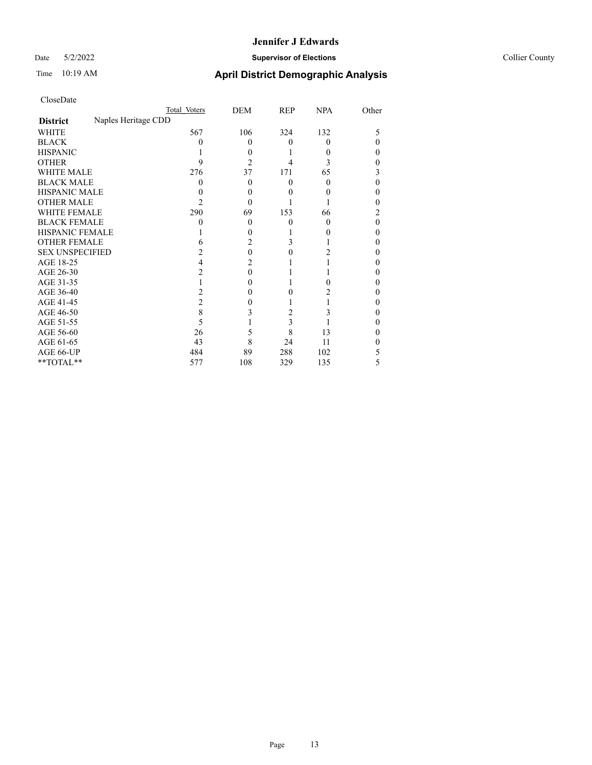Date 5/2/2022 **Supervisor of Elections** Collier County

| CloseDate |
|-----------|
|-----------|

|                        | Total Voters        | DEM      | REP | <b>NPA</b> | Other |
|------------------------|---------------------|----------|-----|------------|-------|
| <b>District</b>        | Naples Heritage CDD |          |     |            |       |
| WHITE                  | 567                 | 106      | 324 | 132        | 5     |
| <b>BLACK</b>           |                     | 0        | 0   | $\theta$   |       |
| <b>HISPANIC</b>        |                     | 0        |     | 0          |       |
| <b>OTHER</b>           | 9                   | 2        |     | 3          |       |
| <b>WHITE MALE</b>      | 276                 | 37       | 171 | 65         |       |
| <b>BLACK MALE</b>      |                     | 0        | 0   | 0          |       |
| <b>HISPANIC MALE</b>   |                     | $\theta$ |     |            |       |
| <b>OTHER MALE</b>      | 2                   | 0        |     |            | 0     |
| <b>WHITE FEMALE</b>    | 290                 | 69       | 153 | 66         |       |
| <b>BLACK FEMALE</b>    |                     | $\theta$ | 0   | 0          | 0     |
| <b>HISPANIC FEMALE</b> |                     | 0        |     |            |       |
| <b>OTHER FEMALE</b>    | h                   | 2        | 3   |            |       |
| <b>SEX UNSPECIFIED</b> | 2                   | 0        | 0   | 2          |       |
| AGE 18-25              | 4                   | 2        |     |            |       |
| AGE 26-30              | 2                   | 0        |     |            |       |
| AGE 31-35              |                     | 0        |     | 0          |       |
| AGE 36-40              |                     | $\theta$ |     |            |       |
| AGE 41-45              | 2                   |          |     |            |       |
| AGE 46-50              | 8                   | 3        | 2   |            |       |
| AGE 51-55              | 5                   |          | 3   |            |       |
| AGE 56-60              | 26                  | 5        | 8   | 13         |       |
| AGE 61-65              | 43                  | 8        | 24  | 11         |       |
| AGE 66-UP              | 484                 | 89       | 288 | 102        |       |
| **TOTAL**              | 577                 | 108      | 329 | 135        | 5     |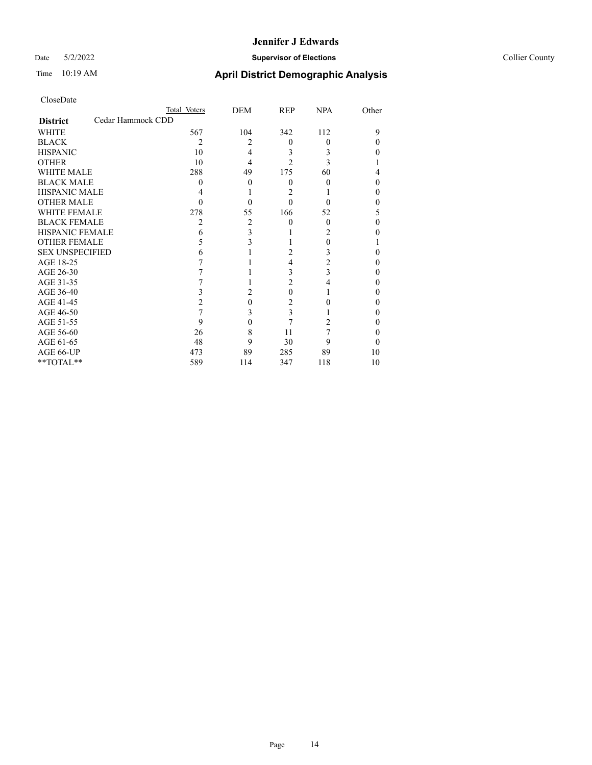Date 5/2/2022 **Supervisor of Elections** Collier County

| CloseDate |
|-----------|
|-----------|

|                        |                   | Total Voters | DEM | <b>REP</b>     | <b>NPA</b> | Other |
|------------------------|-------------------|--------------|-----|----------------|------------|-------|
| <b>District</b>        | Cedar Hammock CDD |              |     |                |            |       |
| WHITE                  |                   | 567          | 104 | 342            | 112        | 9     |
| <b>BLACK</b>           |                   | 2            | 2   | $\theta$       | $\theta$   | 0     |
| <b>HISPANIC</b>        |                   | 10           | 4   | 3              | 3          | 0     |
| <b>OTHER</b>           |                   | 10           | 4   | 2              | 3          |       |
| <b>WHITE MALE</b>      |                   | 288          | 49  | 175            | 60         | 4     |
| <b>BLACK MALE</b>      |                   | 0            | 0   | $\theta$       | 0          | 0     |
| <b>HISPANIC MALE</b>   |                   |              |     | 2              |            | 0     |
| <b>OTHER MALE</b>      |                   | 0            | 0   | $\theta$       | 0          | 0     |
| <b>WHITE FEMALE</b>    |                   | 278          | 55  | 166            | 52         | 5     |
| <b>BLACK FEMALE</b>    |                   | 2            | 2   | $\Omega$       | $\theta$   | 0     |
| <b>HISPANIC FEMALE</b> |                   | 6            | 3   |                | 2          |       |
| <b>OTHER FEMALE</b>    |                   | 5            | 3   |                | $\Omega$   |       |
| <b>SEX UNSPECIFIED</b> |                   | 6            |     | 2              | 3          | 0     |
| AGE 18-25              |                   |              |     | 4              | 2          | 0     |
| AGE 26-30              |                   |              |     | 3              | 3          | 0     |
| AGE 31-35              |                   |              |     | $\overline{c}$ | 4          | 0     |
| AGE 36-40              |                   | 3            | 2   | $\theta$       |            | 0     |
| AGE 41-45              |                   | 2            | 0   | 2              |            |       |
| AGE 46-50              |                   |              | 3   | 3              |            | 0     |
| AGE 51-55              |                   | 9            |     |                | 2          | 0     |
| AGE 56-60              |                   | 26           | 8   | 11             |            | 0     |
| AGE 61-65              |                   | 48           | 9   | 30             | 9          |       |
| AGE 66-UP              |                   | 473          | 89  | 285            | 89         | 10    |
| **TOTAL**              |                   | 589          | 114 | 347            | 118        | 10    |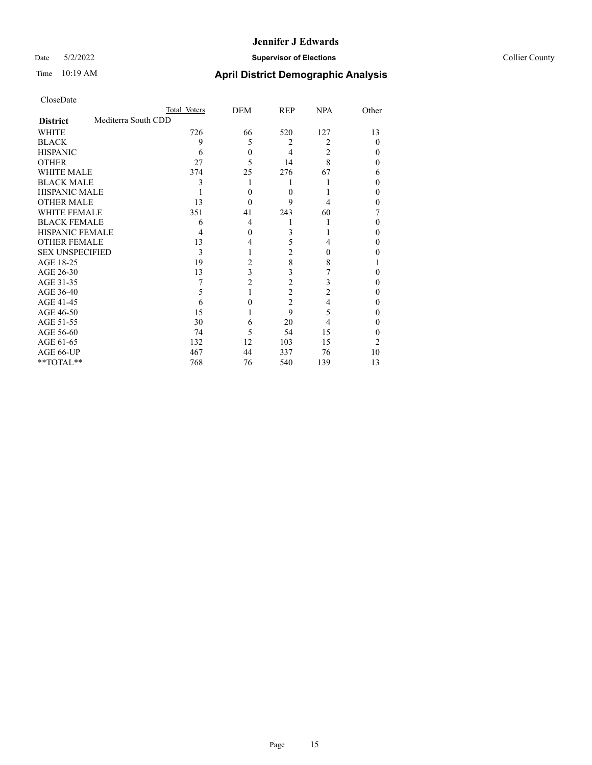Date 5/2/2022 **Supervisor of Elections** Collier County

| CloseDate |
|-----------|
|-----------|

|                        |                     | Total Voters | DEM      | REP            | <b>NPA</b>     | Other    |
|------------------------|---------------------|--------------|----------|----------------|----------------|----------|
| <b>District</b>        | Mediterra South CDD |              |          |                |                |          |
| WHITE                  |                     | 726          | 66       | 520            | 127            | 13       |
| <b>BLACK</b>           |                     | 9            | 5        | 2              | 2              | $\theta$ |
| <b>HISPANIC</b>        |                     | 6            | $\theta$ | 4              | 2              | $_{0}$   |
| <b>OTHER</b>           |                     | 27           | 5        | 14             | 8              | 0        |
| <b>WHITE MALE</b>      |                     | 374          | 25       | 276            | 67             | 6        |
| <b>BLACK MALE</b>      |                     | 3            |          |                |                | 0        |
| <b>HISPANIC MALE</b>   |                     |              | $\theta$ | 0              |                | 0        |
| OTHER MALE             |                     | 13           | $\theta$ | 9              | 4              | 0        |
| <b>WHITE FEMALE</b>    |                     | 351          | 41       | 243            | 60             |          |
| <b>BLACK FEMALE</b>    |                     | 6            | 4        |                |                | 0        |
| <b>HISPANIC FEMALE</b> |                     |              | $\theta$ | 3              |                | 0        |
| <b>OTHER FEMALE</b>    |                     | 13           | 4        | 5              | 4              | 0        |
| <b>SEX UNSPECIFIED</b> |                     | 3            |          | $\overline{2}$ | $\theta$       |          |
| AGE 18-25              |                     | 19           | 2        | 8              | 8              |          |
| AGE 26-30              |                     | 13           | 3        | 3              |                | 0        |
| AGE 31-35              |                     |              | 2        | $\overline{c}$ | 3              | 0        |
| AGE 36-40              |                     | 5            |          | $\overline{c}$ | 2              | 0        |
| AGE 41-45              |                     | 6            | 0        | $\overline{c}$ | $\overline{4}$ | 0        |
| AGE 46-50              |                     | 15           |          | 9              | 5              | 0        |
| AGE 51-55              |                     | 30           | 6        | 20             | 4              | 0        |
| AGE 56-60              |                     | 74           | 5        | 54             | 15             | 0        |
| AGE 61-65              |                     | 132          | 12       | 103            | 15             | 2        |
| AGE 66-UP              |                     | 467          | 44       | 337            | 76             | 10       |
| **TOTAL**              |                     | 768          | 76       | 540            | 139            | 13       |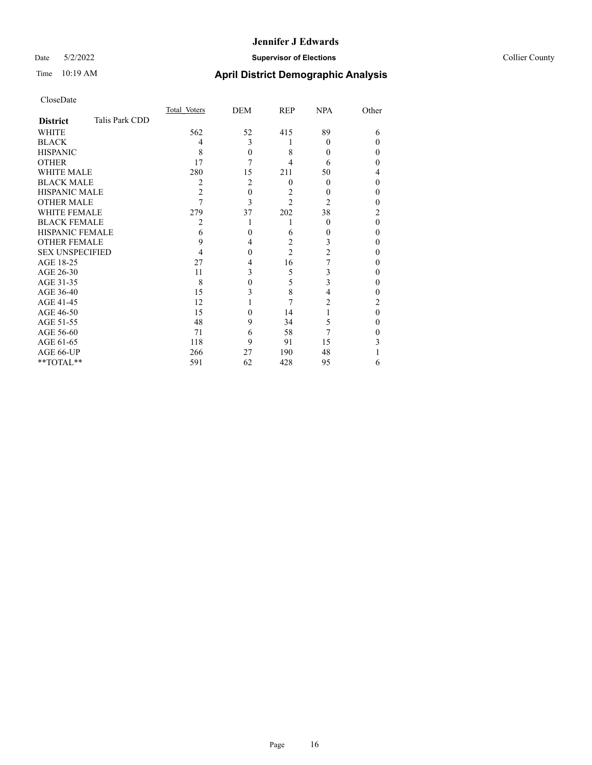#### Date 5/2/2022 **Supervisor of Elections** Collier County

# Time 10:19 AM **April District Demographic Analysis**

|                        |                | Total Voters | DEM            | REP            | <b>NPA</b> | Other    |
|------------------------|----------------|--------------|----------------|----------------|------------|----------|
| <b>District</b>        | Talis Park CDD |              |                |                |            |          |
| WHITE                  |                | 562          | 52             | 415            | 89         | 6        |
| <b>BLACK</b>           |                | 4            | 3              |                | 0          | $\Omega$ |
| <b>HISPANIC</b>        |                | 8            | $\theta$       | 8              | 0          | $\theta$ |
| <b>OTHER</b>           |                | 17           | 7              | 4              | 6          | $\theta$ |
| <b>WHITE MALE</b>      |                | 280          | 15             | 211            | 50         | 4        |
| <b>BLACK MALE</b>      |                | 2            | $\overline{2}$ | 0              | 0          | $\theta$ |
| <b>HISPANIC MALE</b>   |                | 2            | $\mathbf{0}$   | 2              | 0          | $\theta$ |
| <b>OTHER MALE</b>      |                | 7            | 3              | $\overline{2}$ | 2          | $\theta$ |
| <b>WHITE FEMALE</b>    |                | 279          | 37             | 202            | 38         | 2        |
| <b>BLACK FEMALE</b>    |                | 2            |                |                | $\Omega$   | $\theta$ |
| <b>HISPANIC FEMALE</b> |                | 6            | $\Omega$       | 6              | 0          | $\theta$ |
| <b>OTHER FEMALE</b>    |                | 9            | 4              | 2              | 3          | $\theta$ |
| <b>SEX UNSPECIFIED</b> |                | 4            | $\Omega$       | $\overline{2}$ | 2          | $\Omega$ |
| AGE 18-25              |                | 27           | 4              | 16             | 7          | $\theta$ |
| AGE 26-30              |                | 11           | 3              | 5              | 3          | $\theta$ |
| AGE 31-35              |                | 8            | 0              | 5              | 3          | 0        |
| AGE 36-40              |                | 15           | 3              | 8              | 4          | $\theta$ |
| AGE 41-45              |                | 12           |                | 7              | 2          | 2        |
| AGE 46-50              |                | 15           | $\theta$       | 14             |            | $\theta$ |
| AGE 51-55              |                | 48           | 9              | 34             | 5          | $\Omega$ |
| AGE 56-60              |                | 71           | 6              | 58             | 7          | 0        |
| AGE 61-65              |                | 118          | 9              | 91             | 15         | 3        |
| AGE 66-UP              |                | 266          | 27             | 190            | 48         |          |
| **TOTAL**              |                | 591          | 62             | 428            | 95         | 6        |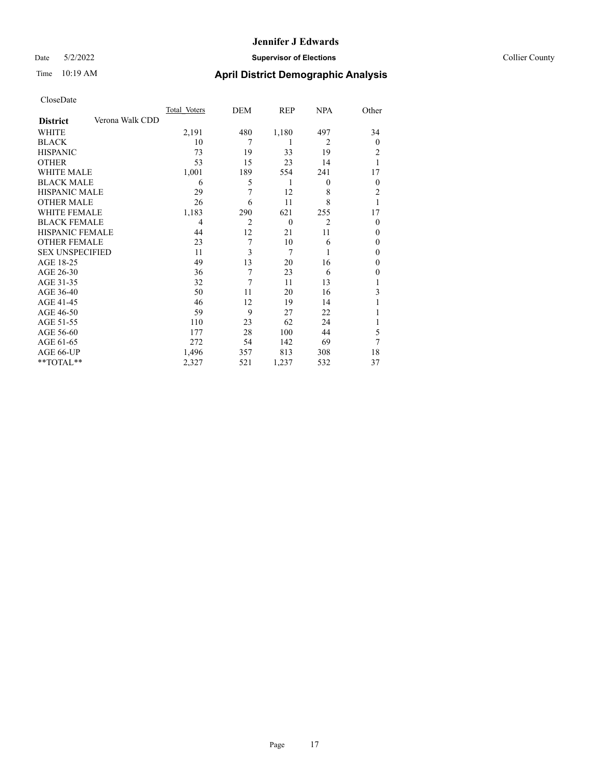Date 5/2/2022 **Supervisor of Elections** Collier County

| CloseDate |
|-----------|
|-----------|

|                   |                 | Total Voters | DEM            | REP      | <b>NPA</b>     | Other          |
|-------------------|-----------------|--------------|----------------|----------|----------------|----------------|
| <b>District</b>   | Verona Walk CDD |              |                |          |                |                |
| WHITE             |                 | 2,191        | 480            | 1,180    | 497            | 34             |
| BLACK             |                 | 10           | 7              |          | $\overline{2}$ | $\Omega$       |
| HISPANIC          |                 | 73           | 19             | 33       | 19             | 2              |
| OTHER             |                 | 53           | 15             | 23       | 14             |                |
| <b>WHITE MALE</b> |                 | 1,001        | 189            | 554      | 241            | 17             |
| BLACK MALE        |                 | 6            | 5              | 1        | $\theta$       | $\mathbf{0}$   |
| HISPANIC MALE     |                 | 29           | 7              | 12       | 8              | $\overline{2}$ |
| OTHER MALE        |                 | 26           | 6              | 11       | 8              |                |
| WHITE FEMALE      |                 | 1,183        | 290            | 621      | 255            | 17             |
| BLACK FEMALE      |                 | 4            | $\overline{2}$ | $\theta$ | $\overline{2}$ | $\theta$       |
| HISPANIC FEMALE   |                 | 44           | 12             | 21       | 11             | $\theta$       |
| OTHER FEMALE      |                 | 23           | 7              | 10       | 6              | $\theta$       |
| SEX UNSPECIFIED   |                 | 11           | 3              | 7        | 1              | $\theta$       |
| AGE 18-25         |                 | 49           | 13             | 20       | 16             | 0              |
| AGE 26-30         |                 | 36           | 7              | 23       | 6              | 0              |
| AGE 31-35         |                 | 32           | 7              | 11       | 13             |                |
| AGE 36-40         |                 | 50           | 11             | 20       | 16             | 3              |
| AGE 41-45         |                 | 46           | 12             | 19       | 14             |                |
| AGE 46-50         |                 | 59           | 9              | 27       | 22             |                |
| AGE 51-55         |                 | 110          | 23             | 62       | 24             |                |
| AGE 56-60         |                 | 177          | 28             | 100      | 44             | 5              |
| AGE 61-65         |                 | 272          | 54             | 142      | 69             | 7              |
| AGE 66-UP         |                 | 1,496        | 357            | 813      | 308            | 18             |
| **TOTAL**         |                 | 2,327        | 521            | 1,237    | 532            | 37             |
|                   |                 |              |                |          |                |                |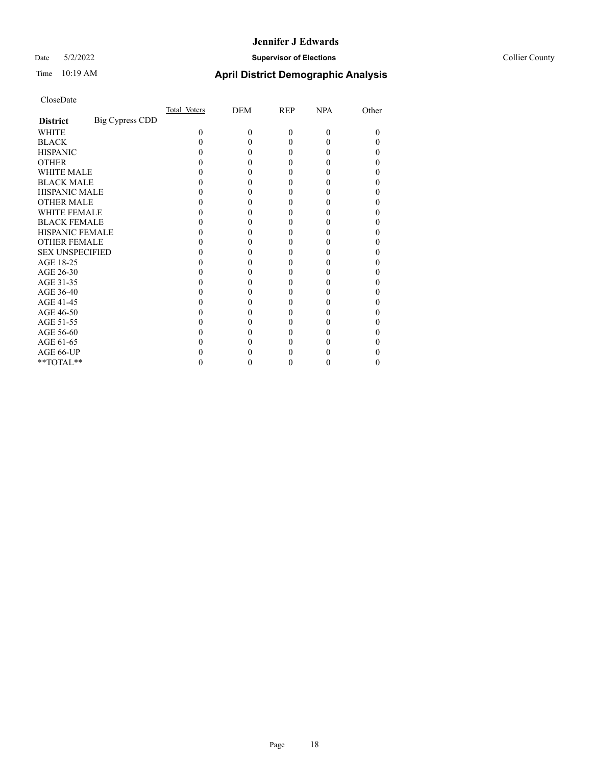#### Date 5/2/2022 **Supervisor of Elections** Collier County

# Time 10:19 AM **April District Demographic Analysis**

|                        |                        | Total Voters | DEM      | REP      | <b>NPA</b> | Other |
|------------------------|------------------------|--------------|----------|----------|------------|-------|
| <b>District</b>        | <b>Big Cypress CDD</b> |              |          |          |            |       |
| <b>WHITE</b>           |                        | $\Omega$     | $\Omega$ | $\theta$ | 0          | 0     |
| <b>BLACK</b>           |                        |              |          | 0        |            |       |
| <b>HISPANIC</b>        |                        |              | 0        | 0        |            |       |
| <b>OTHER</b>           |                        |              |          | 0        |            |       |
| <b>WHITE MALE</b>      |                        |              |          | 0        |            |       |
| <b>BLACK MALE</b>      |                        |              |          |          |            |       |
| <b>HISPANIC MALE</b>   |                        |              |          |          |            |       |
| <b>OTHER MALE</b>      |                        |              |          | 0        |            | 0     |
| <b>WHITE FEMALE</b>    |                        |              |          |          |            |       |
| <b>BLACK FEMALE</b>    |                        |              |          | 0        |            | 0     |
| <b>HISPANIC FEMALE</b> |                        |              |          |          |            |       |
| <b>OTHER FEMALE</b>    |                        |              |          | 0        |            |       |
| <b>SEX UNSPECIFIED</b> |                        |              |          | 0        |            |       |
| AGE 18-25              |                        |              |          |          |            |       |
| AGE 26-30              |                        |              |          | 0        |            |       |
| AGE 31-35              |                        |              |          | 0        |            |       |
| AGE 36-40              |                        |              |          | 0        |            | 0     |
| AGE 41-45              |                        |              |          |          |            |       |
| AGE 46-50              |                        |              |          | 0        |            |       |
| AGE 51-55              |                        |              |          | 0        |            |       |
| AGE 56-60              |                        |              |          |          |            |       |
| AGE 61-65              |                        |              |          | 0        |            |       |
| AGE 66-UP              |                        |              |          |          |            |       |
| **TOTAL**              |                        |              |          | $_{0}$   | 0          | 0     |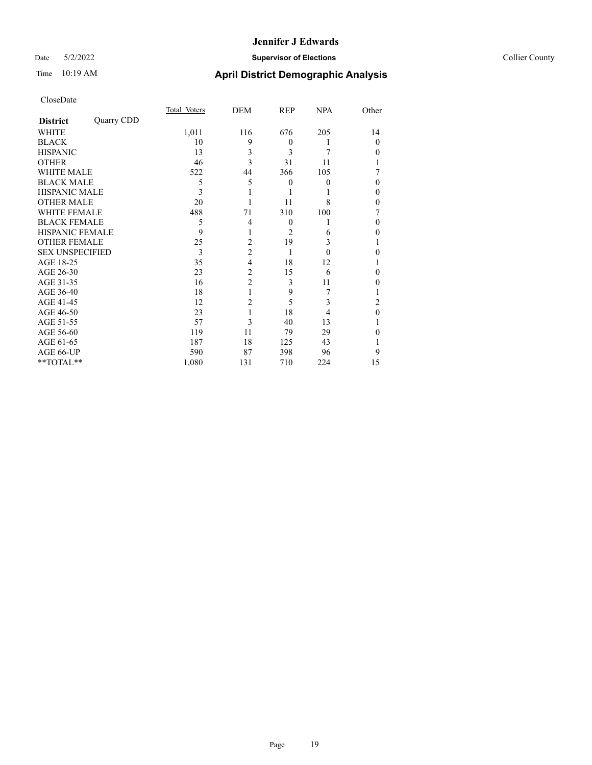#### Date 5/2/2022 **Supervisor of Elections** Collier County

# Time 10:19 AM **April District Demographic Analysis**

|                        |            | Total Voters | DEM            | REP      | <b>NPA</b> | Other    |
|------------------------|------------|--------------|----------------|----------|------------|----------|
| <b>District</b>        | Quarry CDD |              |                |          |            |          |
| WHITE                  |            | 1,011        | 116            | 676      | 205        | 14       |
| <b>BLACK</b>           |            | 10           | 9              | $\Omega$ |            | 0        |
| <b>HISPANIC</b>        |            | 13           | 3              | 3        | 7          | 0        |
| <b>OTHER</b>           |            | 46           | 3              | 31       | 11         |          |
| WHITE MALE             |            | 522          | 44             | 366      | 105        |          |
| <b>BLACK MALE</b>      |            | 5            | 5              | $\theta$ | 0          | 0        |
| <b>HISPANIC MALE</b>   |            | 3            |                |          |            | 0        |
| <b>OTHER MALE</b>      |            | 20           |                | 11       | 8          | 0        |
| WHITE FEMALE           |            | 488          | 71             | 310      | 100        |          |
| <b>BLACK FEMALE</b>    |            | 5            | 4              | $\theta$ |            | 0        |
| <b>HISPANIC FEMALE</b> |            | 9            |                | 2        | 6          | 0        |
| <b>OTHER FEMALE</b>    |            | 25           | $\overline{2}$ | 19       | 3          |          |
| <b>SEX UNSPECIFIED</b> |            | 3            | $\overline{2}$ | 1        | 0          | 0        |
| AGE 18-25              |            | 35           | 4              | 18       | 12         |          |
| AGE 26-30              |            | 23           | $\overline{2}$ | 15       | 6          | 0        |
| AGE 31-35              |            | 16           | $\overline{2}$ | 3        | 11         | 0        |
| AGE 36-40              |            | 18           |                | 9        |            |          |
| AGE 41-45              |            | 12           | 2              | 5        | 3          | 2        |
| AGE 46-50              |            | 23           |                | 18       | 4          | $\theta$ |
| AGE 51-55              |            | 57           | 3              | 40       | 13         |          |
| AGE 56-60              |            | 119          | 11             | 79       | 29         | 0        |
| AGE 61-65              |            | 187          | 18             | 125      | 43         |          |
| AGE 66-UP              |            | 590          | 87             | 398      | 96         | 9        |
| **TOTAL**              |            | 1,080        | 131            | 710      | 224        | 15       |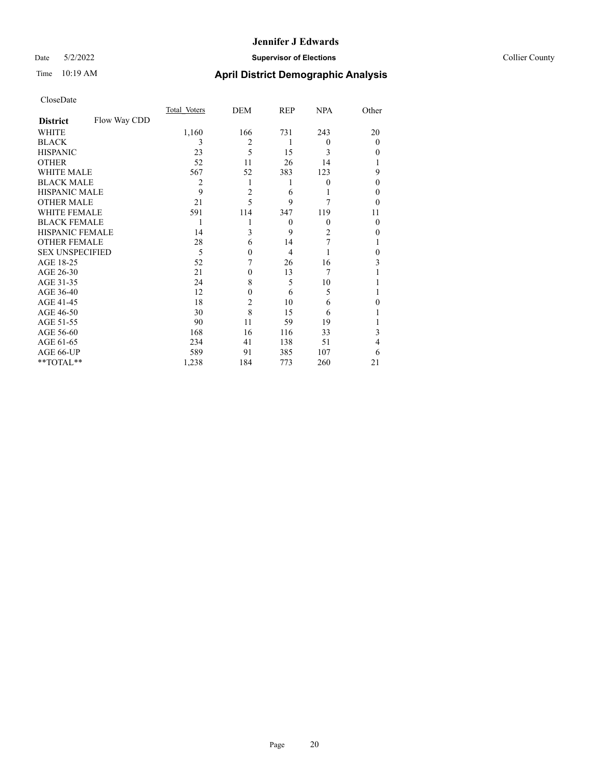#### Date 5/2/2022 **Supervisor of Elections** Collier County

# Time 10:19 AM **April District Demographic Analysis**

|                        |              | Total Voters | DEM            | REP            | <b>NPA</b> | Other    |
|------------------------|--------------|--------------|----------------|----------------|------------|----------|
| <b>District</b>        | Flow Way CDD |              |                |                |            |          |
| WHITE                  |              | 1,160        | 166            | 731            | 243        | 20       |
| <b>BLACK</b>           |              | 3            | 2              | 1              | $\theta$   | $\theta$ |
| <b>HISPANIC</b>        |              | 23           | 5              | 15             | 3          | 0        |
| <b>OTHER</b>           |              | 52           | 11             | 26             | 14         |          |
| <b>WHITE MALE</b>      |              | 567          | 52             | 383            | 123        | 9        |
| <b>BLACK MALE</b>      |              | 2            |                | 1              | $\theta$   | 0        |
| <b>HISPANIC MALE</b>   |              | 9            | $\overline{2}$ | 6              |            | 0        |
| <b>OTHER MALE</b>      |              | 21           | 5              | 9              |            | 0        |
| <b>WHITE FEMALE</b>    |              | 591          | 114            | 347            | 119        | 11       |
| <b>BLACK FEMALE</b>    |              |              |                | $\theta$       | $\theta$   | 0        |
| HISPANIC FEMALE        |              | 14           | 3              | 9              | 2          | 0        |
| <b>OTHER FEMALE</b>    |              | 28           | 6              | 14             |            |          |
| <b>SEX UNSPECIFIED</b> |              | 5            | 0              | $\overline{4}$ |            | 0        |
| AGE 18-25              |              | 52           | 7              | 26             | 16         | 3        |
| AGE 26-30              |              | 21           | 0              | 13             | 7          |          |
| AGE 31-35              |              | 24           | 8              | 5              | 10         |          |
| AGE 36-40              |              | 12           | 0              | 6              | 5          |          |
| AGE 41-45              |              | 18           | 2              | 10             | 6          | 0        |
| AGE 46-50              |              | 30           | 8              | 15             | 6          |          |
| AGE 51-55              |              | 90           | 11             | 59             | 19         |          |
| AGE 56-60              |              | 168          | 16             | 116            | 33         | 3        |
| AGE 61-65              |              | 234          | 41             | 138            | 51         | 4        |
| AGE 66-UP              |              | 589          | 91             | 385            | 107        | 6        |
| **TOTAL**              |              | 1,238        | 184            | 773            | 260        | 21       |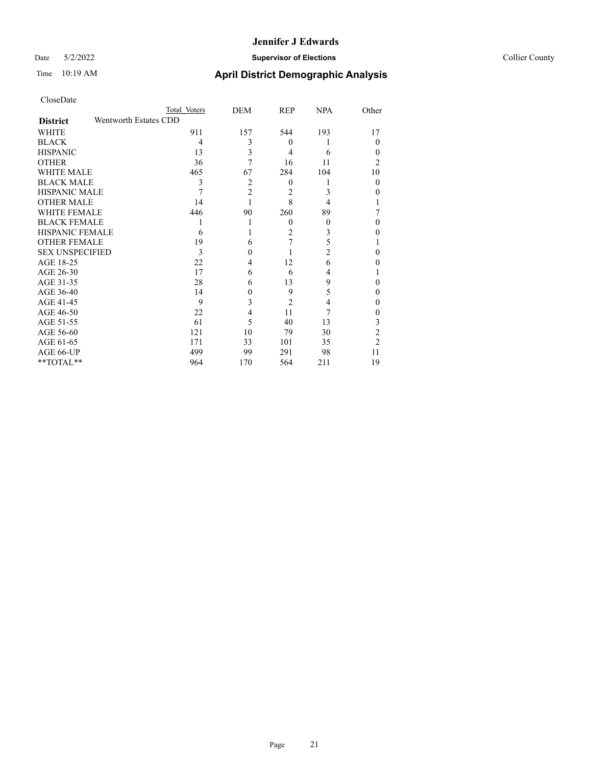#### Date 5/2/2022 **Supervisor of Elections** Collier County

| CloseDate              |                       |              |                |                |                |                |
|------------------------|-----------------------|--------------|----------------|----------------|----------------|----------------|
|                        |                       | Total Voters | DEM            | REP            | <b>NPA</b>     | Other          |
| <b>District</b>        | Wentworth Estates CDD |              |                |                |                |                |
| <b>WHITE</b>           |                       | 911          | 157            | 544            | 193            | 17             |
| <b>BLACK</b>           |                       | 4            | 3              | $\mathbf{0}$   | 1              | $\theta$       |
| <b>HISPANIC</b>        |                       | 13           | 3              | $\overline{4}$ | 6              | $\theta$       |
| <b>OTHER</b>           |                       | 36           | 7              | 16             | 11             | 2              |
| <b>WHITE MALE</b>      |                       | 465          | 67             | 284            | 104            | 10             |
| <b>BLACK MALE</b>      |                       | 3            | $\overline{2}$ | $\mathbf{0}$   | 1              | $\theta$       |
| <b>HISPANIC MALE</b>   |                       | 7            | $\overline{2}$ | 2              | 3              | $\Omega$       |
| <b>OTHER MALE</b>      |                       | 14           | 1              | 8              | 4              |                |
| <b>WHITE FEMALE</b>    |                       | 446          | 90             | 260            | 89             |                |
| <b>BLACK FEMALE</b>    |                       |              | 1              | $\mathbf{0}$   | $\mathbf{0}$   | $\theta$       |
| <b>HISPANIC FEMALE</b> |                       | 6            |                | $\overline{2}$ | 3              | $\theta$       |
| <b>OTHER FEMALE</b>    |                       | 19           | 6              | 7              | 5              |                |
| <b>SEX UNSPECIFIED</b> |                       | 3            | $\theta$       |                | $\overline{c}$ | $\theta$       |
| AGE 18-25              |                       | 22           | 4              | 12             | 6              | $\Omega$       |
| AGE 26-30              |                       | 17           | 6              | 6              | 4              |                |
| AGE 31-35              |                       | 28           | 6              | 13             | 9              | $\theta$       |
| AGE 36-40              |                       | 14           | $\overline{0}$ | 9              | 5              | $\theta$       |
| AGE 41-45              |                       | 9            | 3              | $\overline{2}$ | 4              | $\theta$       |
| AGE 46-50              |                       | 22           | $\overline{4}$ | 11             | 7              | $\theta$       |
| AGE 51-55              |                       | 61           | 5              | 40             | 13             | 3              |
| AGE 56-60              |                       | 121          | 10             | 79             | 30             | $\overline{c}$ |
| AGE 61-65              |                       | 171          | 33             | 101            | 35             | $\overline{2}$ |
| AGE 66-UP              |                       | 499          | 99             | 291            | 98             | 11             |
| **TOTAL**              |                       | 964          | 170            | 564            | 211            | 19             |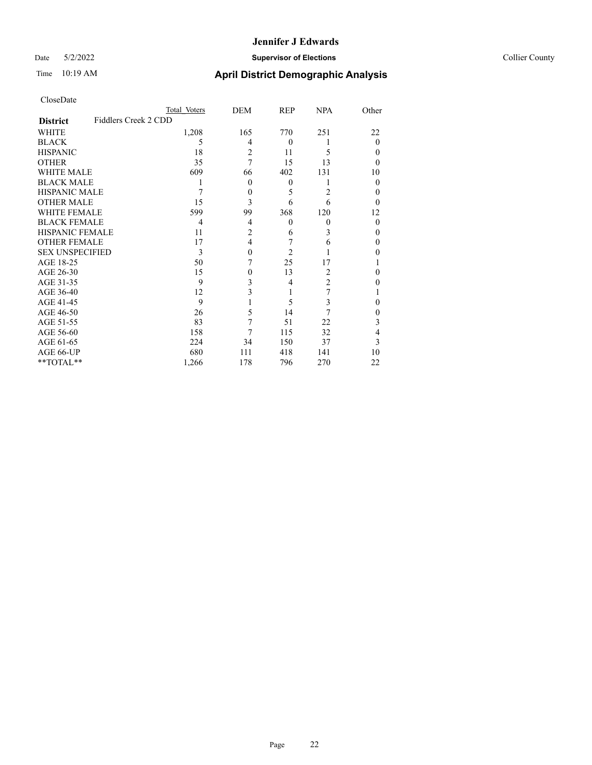Date 5/2/2022 **Supervisor of Elections** Collier County

| CloseDate |
|-----------|
|-----------|

|                        | Total Voters         | DEM            | REP            | <b>NPA</b>     | Other    |
|------------------------|----------------------|----------------|----------------|----------------|----------|
| <b>District</b>        | Fiddlers Creek 2 CDD |                |                |                |          |
| WHITE                  | 1,208                | 165            | 770            | 251            | 22       |
| <b>BLACK</b>           | 5                    | 4              | $\overline{0}$ | 1              | 0        |
| <b>HISPANIC</b>        | 18                   | $\overline{c}$ | 11             | 5              | 0        |
| <b>OTHER</b>           | 35                   | 7              | 15             | 13             | $\theta$ |
| <b>WHITE MALE</b>      | 609                  | 66             | 402            | 131            | 10       |
| <b>BLACK MALE</b>      |                      | $\theta$       | $\theta$       |                | $\theta$ |
| <b>HISPANIC MALE</b>   |                      | $\theta$       | 5              | 2              | 0        |
| OTHER MALE             | 15                   | 3              | 6              | 6              | 0        |
| <b>WHITE FEMALE</b>    | 599                  | 99             | 368            | 120            | 12       |
| <b>BLACK FEMALE</b>    | 4                    | 4              | $\theta$       | $\theta$       | $\theta$ |
| HISPANIC FEMALE        | 11                   | 2              | 6              | 3              | 0        |
| <b>OTHER FEMALE</b>    | 17                   | 4              | 7              | 6              | 0        |
| <b>SEX UNSPECIFIED</b> | 3                    | 0              | $\overline{2}$ |                | 0        |
| AGE 18-25              | 50                   |                | 25             | 17             |          |
| AGE 26-30              | 15                   | 0              | 13             | 2              | 0        |
| AGE 31-35              | 9                    | 3              | 4              | $\overline{c}$ |          |
| AGE 36-40              | 12                   | 3              |                | 7              |          |
| AGE 41-45              | 9                    |                | 5              | 3              | 0        |
| AGE 46-50              | 26                   | 5              | 14             | 7              | 0        |
| AGE 51-55              | 83                   | 7              | 51             | 22             | 3        |
| AGE 56-60              | 158                  | 7              | 115            | 32             | 4        |
| AGE 61-65              | 224                  | 34             | 150            | 37             | 3        |
| AGE 66-UP              | 680                  | 111            | 418            | 141            | 10       |
| **TOTAL**              | 1,266                | 178            | 796            | 270            | 22       |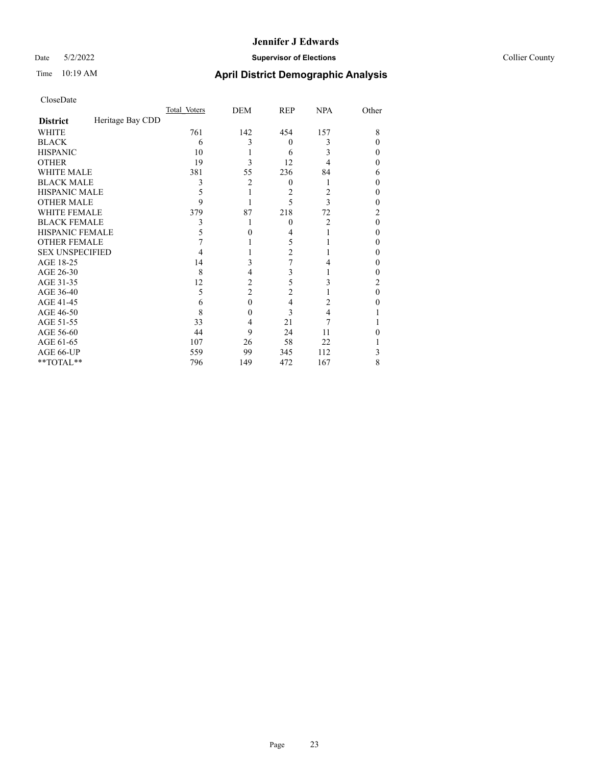#### Date 5/2/2022 **Supervisor of Elections** Collier County

| CloseDate |
|-----------|
|-----------|

|                        |                  | Total Voters | DEM | <b>REP</b>       | <b>NPA</b> | Other |
|------------------------|------------------|--------------|-----|------------------|------------|-------|
| <b>District</b>        | Heritage Bay CDD |              |     |                  |            |       |
| WHITE                  |                  | 761          | 142 | 454              | 157        | 8     |
| BLACK                  |                  | 6            | 3   | $\theta$         | 3          | 0     |
| HISPANIC               |                  | 10           |     | 6                | 3          | 0     |
| OTHER                  |                  | 19           | 3   | 12               | 4          |       |
| WHITE MALE             |                  | 381          | 55  | 236              | 84         | 6     |
| BLACK MALE             |                  | 3            | 2   | $\boldsymbol{0}$ |            |       |
| HISPANIC MALE          |                  | 5            |     | 2                | 2          |       |
| OTHER MALE             |                  | 9            |     | 5                | 3          | 0     |
| WHITE FEMALE           |                  | 379          | 87  | 218              | 72         |       |
| <b>BLACK FEMALE</b>    |                  | 3            |     | 0                | 2          | 0     |
| HISPANIC FEMALE        |                  | 5            |     | 4                |            | 0     |
| OTHER FEMALE           |                  |              |     | 5                |            |       |
| <b>SEX UNSPECIFIED</b> |                  |              |     | $\overline{2}$   |            |       |
| AGE 18-25              |                  | 14           | 3   | 7                |            |       |
| AGE 26-30              |                  | 8            | 4   | 3                |            | 0     |
| AGE 31-35              |                  | 12           | 2   | 5                |            | 2     |
| AGE 36-40              |                  | 5            | 2   | $\overline{2}$   |            | 0     |
| AGE 41-45              |                  | 6            | 0   | 4                | 2          |       |
| AGE 46-50              |                  | 8            | 0   | 3                | 4          |       |
| AGE 51-55              |                  | 33           | 4   | 21               |            |       |
| AGE 56-60              |                  | 44           | 9   | 24               | 11         |       |
| AGE 61-65              |                  | 107          | 26  | 58               | 22         |       |
| AGE 66-UP              |                  | 559          | 99  | 345              | 112        | 3     |
| $*$ $TOTAL**$          |                  | 796          | 149 | 472              | 167        | 8     |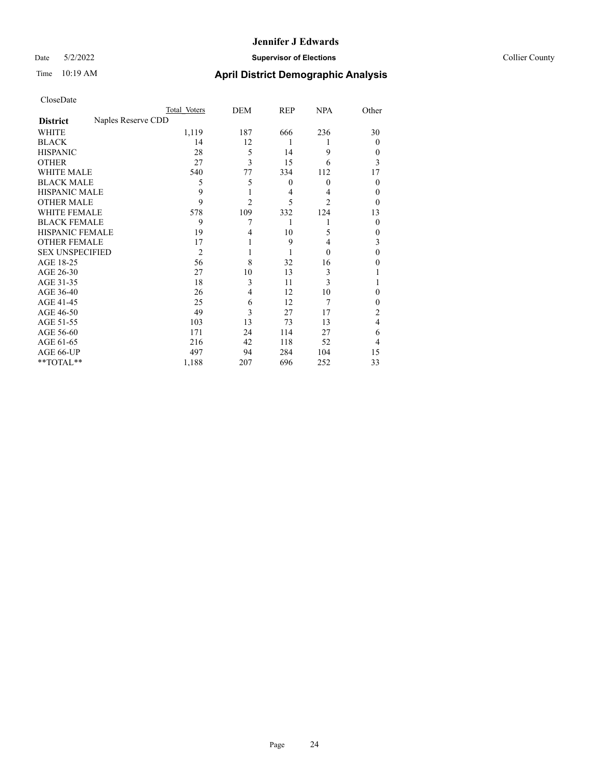#### Date 5/2/2022 **Supervisor of Elections** Collier County

| CloseDate |
|-----------|
|-----------|

|                        | Total Voters       | DEM            | <b>REP</b>     | <b>NPA</b>   | Other        |
|------------------------|--------------------|----------------|----------------|--------------|--------------|
| <b>District</b>        | Naples Reserve CDD |                |                |              |              |
| WHITE                  | 1,119              | 187            | 666            | 236          | 30           |
| <b>BLACK</b>           | 14                 | 12             | 1              | 1            | $\theta$     |
| <b>HISPANIC</b>        | 28                 | 5              | 14             | 9            | $\theta$     |
| <b>OTHER</b>           | 27                 | 3              | 15             | 6            | 3            |
| WHITE MALE             | 540                | 77             | 334            | 112          | 17           |
| <b>BLACK MALE</b>      | 5                  | 5              | $\overline{0}$ | $\mathbf{0}$ | $\theta$     |
| <b>HISPANIC MALE</b>   | 9                  |                | 4              | 4            | $\theta$     |
| <b>OTHER MALE</b>      | 9                  | $\overline{2}$ | 5              | 2            | $\theta$     |
| <b>WHITE FEMALE</b>    | 578                | 109            | 332            | 124          | 13           |
| <b>BLACK FEMALE</b>    | 9                  |                | 1              | 1            | $\theta$     |
| <b>HISPANIC FEMALE</b> | 19                 | 4              | 10             | 5            | $\theta$     |
| <b>OTHER FEMALE</b>    | 17                 |                | 9              | 4            | 3            |
| <b>SEX UNSPECIFIED</b> | $\overline{2}$     |                | 1              | $\mathbf{0}$ | $\mathbf{0}$ |
| AGE 18-25              | 56                 | 8              | 32             | 16           | 0            |
| AGE 26-30              | 27                 | 10             | 13             | 3            |              |
| AGE 31-35              | 18                 | 3              | 11             | 3            |              |
| AGE 36-40              | 26                 | 4              | 12             | 10           | 0            |
| AGE 41-45              | 25                 | 6              | 12             | 7            | $\Omega$     |
| AGE 46-50              | 49                 | 3              | 27             | 17           | 2            |
| AGE 51-55              | 103                | 13             | 73             | 13           | 4            |
| AGE 56-60              | 171                | 24             | 114            | 27           | 6            |
| AGE 61-65              | 216                | 42             | 118            | 52           | 4            |
| AGE 66-UP              | 497                | 94             | 284            | 104          | 15           |
| **TOTAL**              | 1,188              | 207            | 696            | 252          | 33           |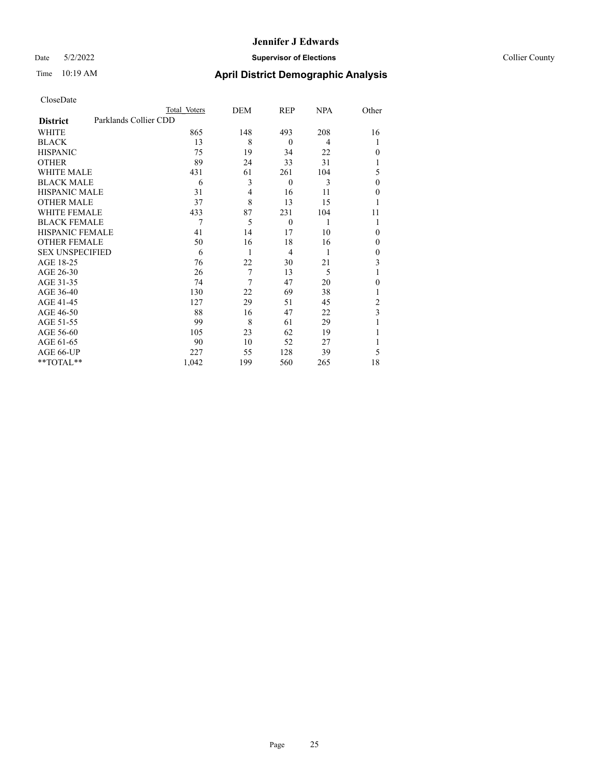#### Date 5/2/2022 **Supervisor of Elections** Collier County

| CloseDate |
|-----------|
|-----------|

|                        |                       | Total Voters | DEM | REP          | <b>NPA</b>     | Other                   |
|------------------------|-----------------------|--------------|-----|--------------|----------------|-------------------------|
| <b>District</b>        | Parklands Collier CDD |              |     |              |                |                         |
| WHITE                  |                       | 865          | 148 | 493          | 208            | 16                      |
| <b>BLACK</b>           |                       | 13           | 8   | $\theta$     | $\overline{4}$ |                         |
| <b>HISPANIC</b>        |                       | 75           | 19  | 34           | 22             | 0                       |
| <b>OTHER</b>           |                       | 89           | 24  | 33           | 31             |                         |
| <b>WHITE MALE</b>      |                       | 431          | 61  | 261          | 104            | 5                       |
| <b>BLACK MALE</b>      |                       | 6            | 3   | $\mathbf{0}$ | 3              | $\theta$                |
| <b>HISPANIC MALE</b>   |                       | 31           | 4   | 16           | 11             | 0                       |
| <b>OTHER MALE</b>      |                       | 37           | 8   | 13           | 15             |                         |
| <b>WHITE FEMALE</b>    |                       | 433          | 87  | 231          | 104            | 11                      |
| <b>BLACK FEMALE</b>    |                       | 7            | 5   | $\mathbf{0}$ | 1              |                         |
| <b>HISPANIC FEMALE</b> |                       | 41           | 14  | 17           | 10             | $\theta$                |
| <b>OTHER FEMALE</b>    |                       | 50           | 16  | 18           | 16             | 0                       |
| <b>SEX UNSPECIFIED</b> |                       | 6            | 1   | 4            | 1              | $\theta$                |
| AGE 18-25              |                       | 76           | 22  | 30           | 21             | 3                       |
| AGE 26-30              |                       | 26           | 7   | 13           | 5              |                         |
| AGE 31-35              |                       | 74           | 7   | 47           | 20             | $\theta$                |
| AGE 36-40              |                       | 130          | 22  | 69           | 38             |                         |
| AGE 41-45              |                       | 127          | 29  | 51           | 45             | 2                       |
| AGE 46-50              |                       | 88           | 16  | 47           | 22             | $\overline{\mathbf{3}}$ |
| AGE 51-55              |                       | 99           | 8   | 61           | 29             |                         |
| AGE 56-60              |                       | 105          | 23  | 62           | 19             |                         |
| AGE 61-65              |                       | 90           | 10  | 52           | 27             |                         |
| AGE 66-UP              |                       | 227          | 55  | 128          | 39             | 5                       |
| **TOTAL**              |                       | 1,042        | 199 | 560          | 265            | 18                      |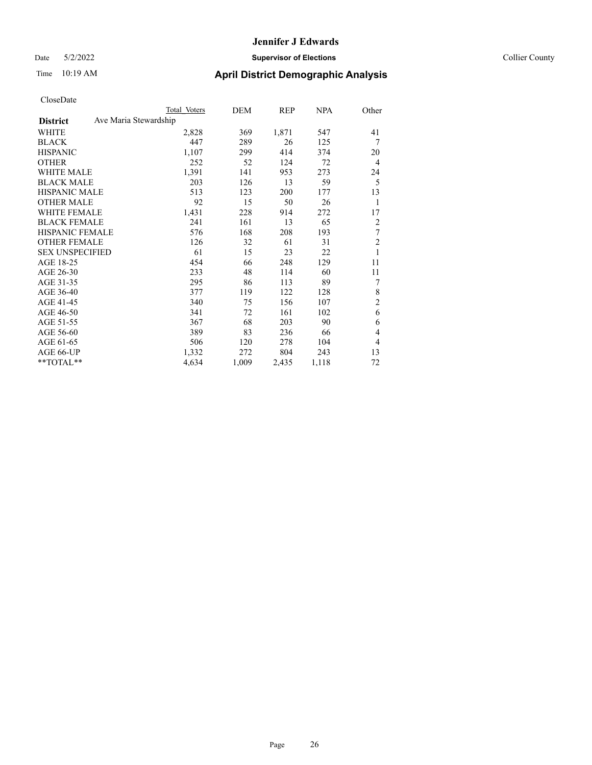Date 5/2/2022 **Supervisor of Elections** Collier County

| CloseDate |
|-----------|
|-----------|

|                                          | Total Voters | DEM   | REP   | <b>NPA</b> | Other          |
|------------------------------------------|--------------|-------|-------|------------|----------------|
| Ave Maria Stewardship<br><b>District</b> |              |       |       |            |                |
| WHITE                                    | 2,828        | 369   | 1,871 | 547        | 41             |
| <b>BLACK</b>                             | 447          | 289   | 26    | 125        | 7              |
| <b>HISPANIC</b>                          | 1,107        | 299   | 414   | 374        | 20             |
| <b>OTHER</b>                             | 252          | 52    | 124   | 72         | 4              |
| <b>WHITE MALE</b>                        | 1,391        | 141   | 953   | 273        | 24             |
| <b>BLACK MALE</b>                        | 203          | 126   | 13    | 59         | 5              |
| <b>HISPANIC MALE</b>                     | 513          | 123   | 200   | 177        | 13             |
| <b>OTHER MALE</b>                        | 92           | 15    | 50    | 26         | 1              |
| <b>WHITE FEMALE</b>                      | 1,431        | 228   | 914   | 272        | 17             |
| <b>BLACK FEMALE</b>                      | 241          | 161   | 13    | 65         | $\overline{2}$ |
| <b>HISPANIC FEMALE</b>                   | 576          | 168   | 208   | 193        | 7              |
| <b>OTHER FEMALE</b>                      | 126          | 32    | 61    | 31         | $\overline{2}$ |
| <b>SEX UNSPECIFIED</b>                   | 61           | 15    | 23    | 22         | 1              |
| AGE 18-25                                | 454          | 66    | 248   | 129        | 11             |
| AGE 26-30                                | 233          | 48    | 114   | 60         | 11             |
| AGE 31-35                                | 295          | 86    | 113   | 89         | 7              |
| AGE 36-40                                | 377          | 119   | 122   | 128        | 8              |
| AGE 41-45                                | 340          | 75    | 156   | 107        | $\overline{c}$ |
| AGE 46-50                                | 341          | 72    | 161   | 102        | 6              |
| AGE 51-55                                | 367          | 68    | 203   | 90         | 6              |
| AGE 56-60                                | 389          | 83    | 236   | 66         | 4              |
| AGE 61-65                                | 506          | 120   | 278   | 104        | 4              |
| AGE 66-UP                                | 1,332        | 272   | 804   | 243        | 13             |
| **TOTAL**                                | 4,634        | 1,009 | 2,435 | 1,118      | 72             |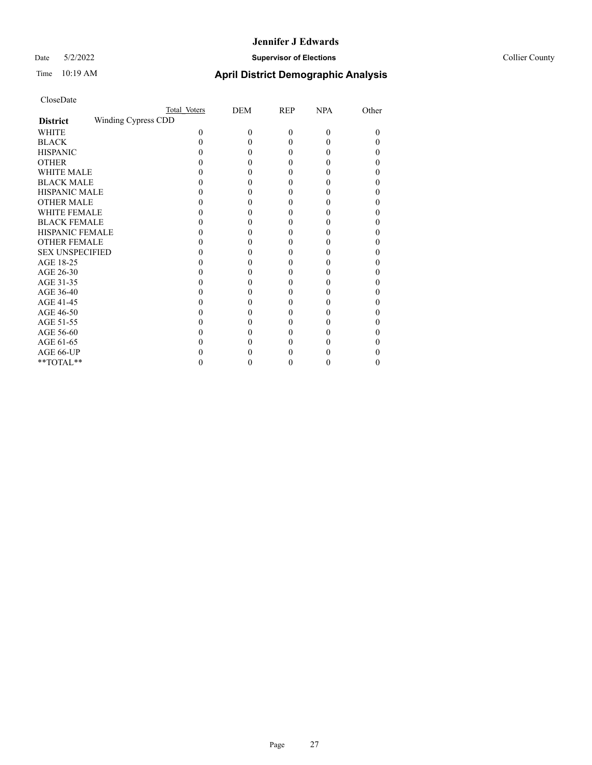#### Date 5/2/2022 **Supervisor of Elections** Collier County

| CloseDate |
|-----------|
|-----------|

|                        |                     | Total Voters | DEM      | REP | <b>NPA</b> | Other |
|------------------------|---------------------|--------------|----------|-----|------------|-------|
| <b>District</b>        | Winding Cypress CDD |              |          |     |            |       |
| WHITE                  |                     |              | $\Omega$ | 0   | 0          |       |
| <b>BLACK</b>           |                     |              |          |     |            |       |
| <b>HISPANIC</b>        |                     |              |          |     |            |       |
| <b>OTHER</b>           |                     |              |          |     |            |       |
| <b>WHITE MALE</b>      |                     |              |          |     |            |       |
| <b>BLACK MALE</b>      |                     |              |          |     |            |       |
| <b>HISPANIC MALE</b>   |                     |              |          |     |            |       |
| <b>OTHER MALE</b>      |                     |              |          |     |            |       |
| <b>WHITE FEMALE</b>    |                     |              |          |     |            |       |
| <b>BLACK FEMALE</b>    |                     |              |          |     |            |       |
| HISPANIC FEMALE        |                     |              |          |     |            |       |
| <b>OTHER FEMALE</b>    |                     |              |          |     |            |       |
| <b>SEX UNSPECIFIED</b> |                     |              |          |     |            |       |
| AGE 18-25              |                     |              |          |     |            |       |
| AGE 26-30              |                     |              |          |     |            |       |
| AGE 31-35              |                     |              |          |     |            |       |
| AGE 36-40              |                     |              |          |     |            |       |
| AGE 41-45              |                     |              |          |     |            |       |
| AGE 46-50              |                     |              |          |     |            |       |
| AGE 51-55              |                     |              |          |     |            |       |
| AGE 56-60              |                     |              |          |     |            |       |
| AGE 61-65              |                     |              |          |     |            |       |
| AGE 66-UP              |                     |              |          |     |            |       |
| **TOTAL**              |                     |              |          |     |            |       |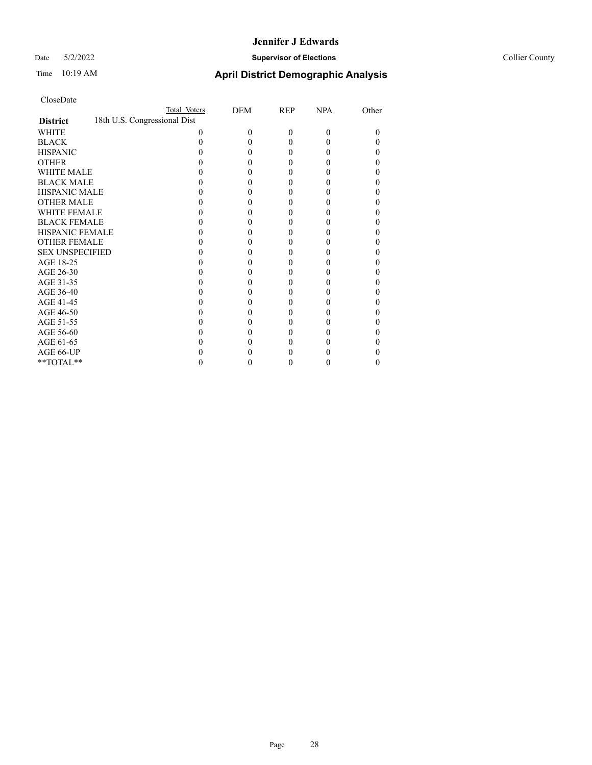#### Date 5/2/2022 **Supervisor of Elections** Collier County

| CloseDate |
|-----------|
|-----------|

|                                                 | Total Voters | DEM | <b>REP</b> | <b>NPA</b> | Other |
|-------------------------------------------------|--------------|-----|------------|------------|-------|
| 18th U.S. Congressional Dist<br><b>District</b> |              |     |            |            |       |
| WHITE                                           |              | 0   | 0          | 0          |       |
| <b>BLACK</b>                                    |              | 0   |            |            |       |
| <b>HISPANIC</b>                                 |              | 0   |            |            |       |
| <b>OTHER</b>                                    |              |     |            |            |       |
| <b>WHITE MALE</b>                               |              |     |            |            |       |
| <b>BLACK MALE</b>                               |              |     |            |            |       |
| <b>HISPANIC MALE</b>                            |              |     |            |            |       |
| <b>OTHER MALE</b>                               |              |     |            |            |       |
| <b>WHITE FEMALE</b>                             |              |     |            |            |       |
| <b>BLACK FEMALE</b>                             |              |     |            |            |       |
| <b>HISPANIC FEMALE</b>                          |              |     |            |            |       |
| <b>OTHER FEMALE</b>                             |              |     |            |            |       |
| <b>SEX UNSPECIFIED</b>                          |              |     |            |            |       |
| AGE 18-25                                       |              |     |            |            |       |
| AGE 26-30                                       |              |     |            |            |       |
| AGE 31-35                                       |              |     |            |            |       |
| AGE 36-40                                       |              |     |            |            |       |
| AGE 41-45                                       |              |     |            |            |       |
| AGE 46-50                                       |              |     |            |            |       |
| AGE 51-55                                       |              |     |            |            |       |
| AGE 56-60                                       |              |     |            |            |       |
| AGE 61-65                                       |              |     |            |            |       |
| AGE 66-UP                                       |              |     |            |            |       |
| **TOTAL**                                       |              | 0   |            | O          | 0     |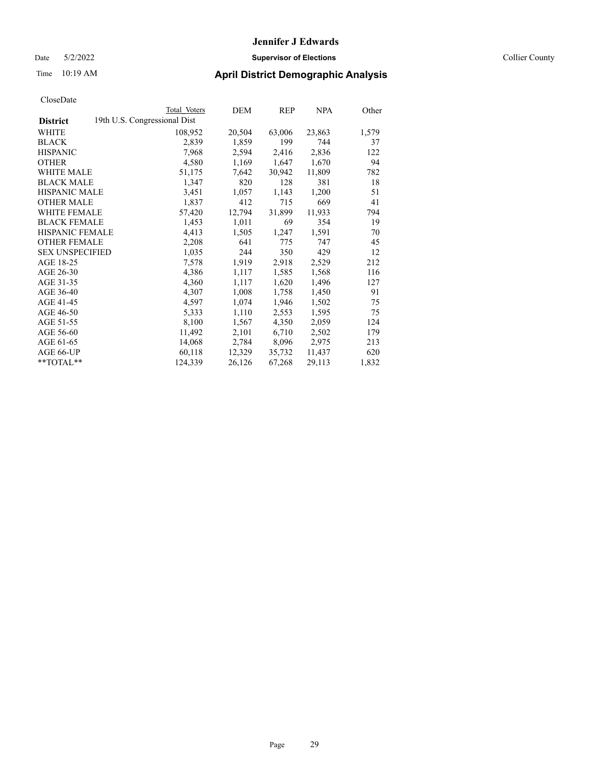Date 5/2/2022 **Supervisor of Elections** Collier County

# Time 10:19 AM **April District Demographic Analysis**

|                        | Total Voters                 | DEM    | <b>REP</b> | <u>NPA</u> | Other |
|------------------------|------------------------------|--------|------------|------------|-------|
| <b>District</b>        | 19th U.S. Congressional Dist |        |            |            |       |
| WHITE                  | 108,952                      | 20,504 | 63,006     | 23,863     | 1,579 |
| <b>BLACK</b>           | 2,839                        | 1,859  | 199        | 744        | 37    |
| <b>HISPANIC</b>        | 7,968                        | 2,594  | 2,416      | 2,836      | 122   |
| <b>OTHER</b>           | 4,580                        | 1,169  | 1,647      | 1,670      | 94    |
| WHITE MALE             | 51,175                       | 7,642  | 30,942     | 11,809     | 782   |
| <b>BLACK MALE</b>      | 1,347                        | 820    | 128        | 381        | 18    |
| <b>HISPANIC MALE</b>   | 3,451                        | 1,057  | 1,143      | 1,200      | 51    |
| <b>OTHER MALE</b>      | 1,837                        | 412    | 715        | 669        | 41    |
| <b>WHITE FEMALE</b>    | 57,420                       | 12,794 | 31,899     | 11,933     | 794   |
| <b>BLACK FEMALE</b>    | 1,453                        | 1,011  | 69         | 354        | 19    |
| HISPANIC FEMALE        | 4,413                        | 1,505  | 1,247      | 1,591      | 70    |
| <b>OTHER FEMALE</b>    | 2,208                        | 641    | 775        | 747        | 45    |
| <b>SEX UNSPECIFIED</b> | 1,035                        | 244    | 350        | 429        | 12    |
| AGE 18-25              | 7,578                        | 1,919  | 2,918      | 2,529      | 212   |
| AGE 26-30              | 4,386                        | 1,117  | 1,585      | 1,568      | 116   |
| AGE 31-35              | 4,360                        | 1,117  | 1,620      | 1,496      | 127   |
| AGE 36-40              | 4,307                        | 1,008  | 1,758      | 1,450      | 91    |
| AGE 41-45              | 4,597                        | 1,074  | 1,946      | 1,502      | 75    |
| AGE 46-50              | 5,333                        | 1,110  | 2,553      | 1,595      | 75    |
| AGE 51-55              | 8,100                        | 1,567  | 4,350      | 2,059      | 124   |
| AGE 56-60              | 11,492                       | 2,101  | 6,710      | 2,502      | 179   |
| AGE 61-65              | 14,068                       | 2,784  | 8,096      | 2,975      | 213   |
| AGE 66-UP              | 60,118                       | 12,329 | 35,732     | 11,437     | 620   |
| $*$ $TOTAL**$          | 124,339                      | 26,126 | 67,268     | 29,113     | 1,832 |
|                        |                              |        |            |            |       |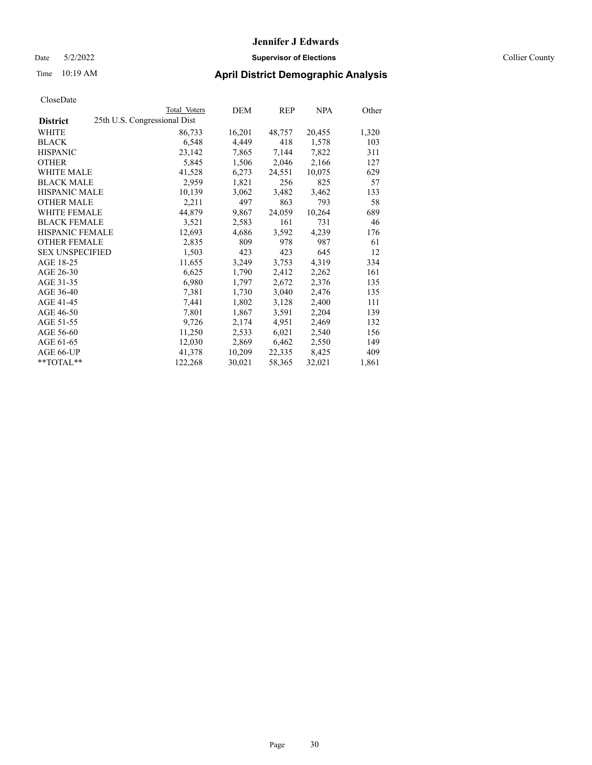Date 5/2/2022 **Supervisor of Elections** Collier County

| CloseDate |
|-----------|
|-----------|

|                        | Total Voters                 | DEM    | REP    | <b>NPA</b> | Other |
|------------------------|------------------------------|--------|--------|------------|-------|
| <b>District</b>        | 25th U.S. Congressional Dist |        |        |            |       |
| WHITE                  | 86,733                       | 16,201 | 48,757 | 20,455     | 1,320 |
| <b>BLACK</b>           | 6,548                        | 4,449  | 418    | 1,578      | 103   |
| <b>HISPANIC</b>        | 23,142                       | 7,865  | 7,144  | 7,822      | 311   |
| <b>OTHER</b>           | 5,845                        | 1,506  | 2,046  | 2,166      | 127   |
| <b>WHITE MALE</b>      | 41,528                       | 6,273  | 24,551 | 10,075     | 629   |
| <b>BLACK MALE</b>      | 2,959                        | 1,821  | 256    | 825        | 57    |
| <b>HISPANIC MALE</b>   | 10,139                       | 3,062  | 3,482  | 3,462      | 133   |
| <b>OTHER MALE</b>      | 2,211                        | 497    | 863    | 793        | 58    |
| WHITE FEMALE           | 44,879                       | 9,867  | 24,059 | 10,264     | 689   |
| <b>BLACK FEMALE</b>    | 3,521                        | 2,583  | 161    | 731        | 46    |
| HISPANIC FEMALE        | 12,693                       | 4,686  | 3,592  | 4,239      | 176   |
| <b>OTHER FEMALE</b>    | 2,835                        | 809    | 978    | 987        | 61    |
| <b>SEX UNSPECIFIED</b> | 1,503                        | 423    | 423    | 645        | 12    |
| AGE 18-25              | 11,655                       | 3,249  | 3,753  | 4,319      | 334   |
| AGE 26-30              | 6,625                        | 1,790  | 2,412  | 2,262      | 161   |
| AGE 31-35              | 6,980                        | 1,797  | 2,672  | 2,376      | 135   |
| AGE 36-40              | 7,381                        | 1,730  | 3,040  | 2,476      | 135   |
| AGE 41-45              | 7,441                        | 1,802  | 3,128  | 2,400      | 111   |
| AGE 46-50              | 7,801                        | 1,867  | 3,591  | 2,204      | 139   |
| AGE 51-55              | 9,726                        | 2,174  | 4,951  | 2,469      | 132   |
| AGE 56-60              | 11,250                       | 2,533  | 6,021  | 2,540      | 156   |
| AGE 61-65              | 12,030                       | 2,869  | 6,462  | 2,550      | 149   |
| AGE 66-UP              | 41,378                       | 10,209 | 22,335 | 8,425      | 409   |
| **TOTAL**              | 122,268                      | 30,021 | 58,365 | 32,021     | 1,861 |
|                        |                              |        |        |            |       |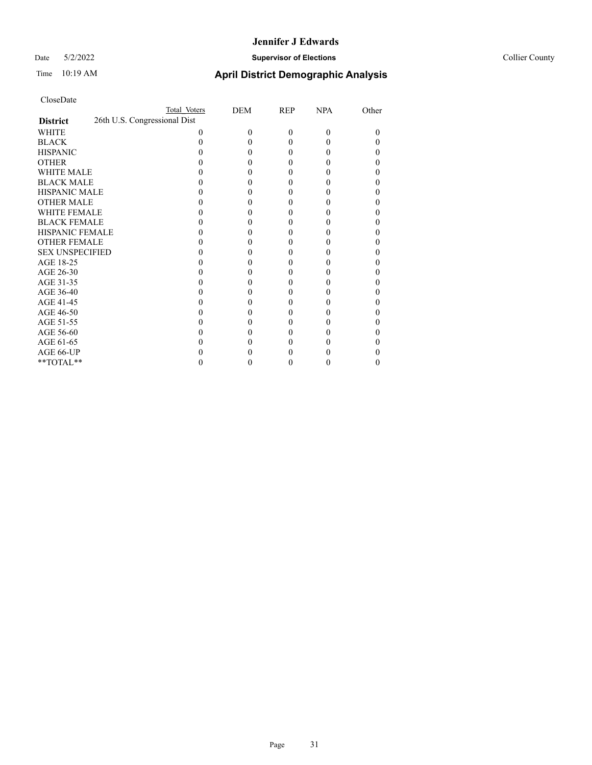#### Date 5/2/2022 **Supervisor of Elections** Collier County

| CloseDate |
|-----------|
|-----------|

|                   | Total Voters                 | DEM | <b>REP</b> | <b>NPA</b> | Other |
|-------------------|------------------------------|-----|------------|------------|-------|
| <b>District</b>   | 26th U.S. Congressional Dist |     |            |            |       |
| WHITE             |                              | 0   | 0          | 0          |       |
| BLACK             |                              |     |            |            |       |
| HISPANIC          |                              |     |            |            |       |
| <b>OTHER</b>      |                              |     |            |            |       |
| WHITE MALE        |                              |     |            |            |       |
| <b>BLACK MALE</b> |                              |     |            |            |       |
| HISPANIC MALE     |                              |     |            |            |       |
| <b>OTHER MALE</b> |                              |     |            |            |       |
| WHITE FEMALE      |                              |     |            |            |       |
| BLACK FEMALE      |                              |     |            |            |       |
| HISPANIC FEMALE   |                              |     |            |            |       |
| OTHER FEMALE      |                              |     |            |            |       |
| SEX UNSPECIFIED   |                              |     |            |            |       |
| AGE 18-25         |                              |     |            |            |       |
| AGE 26-30         |                              |     |            |            |       |
| AGE 31-35         |                              |     |            |            |       |
| AGE 36-40         |                              |     |            |            |       |
| AGE 41-45         |                              |     |            |            |       |
| AGE 46-50         |                              |     |            |            |       |
| AGE 51-55         |                              |     |            |            |       |
| AGE 56-60         |                              |     |            |            |       |
| AGE 61-65         |                              |     |            |            |       |
| AGE 66-UP         |                              |     |            |            |       |
| $*$ $TOTAL**$     |                              |     |            |            |       |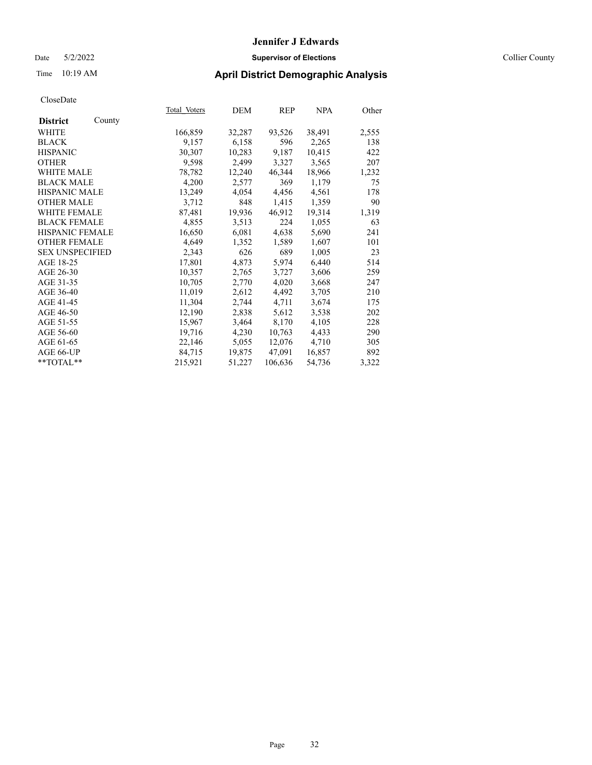#### Date 5/2/2022 **Supervisor of Elections** Collier County

# Time 10:19 AM **April District Demographic Analysis**

|                        |        | Total Voters | DEM    | <b>REP</b> | <u>NPA</u> | Other |
|------------------------|--------|--------------|--------|------------|------------|-------|
| <b>District</b>        | County |              |        |            |            |       |
| WHITE                  |        | 166,859      | 32,287 | 93,526     | 38,491     | 2,555 |
| <b>BLACK</b>           |        | 9,157        | 6,158  | 596        | 2,265      | 138   |
| <b>HISPANIC</b>        |        | 30,307       | 10,283 | 9,187      | 10,415     | 422   |
| <b>OTHER</b>           |        | 9,598        | 2,499  | 3,327      | 3,565      | 207   |
| <b>WHITE MALE</b>      |        | 78,782       | 12,240 | 46,344     | 18,966     | 1,232 |
| <b>BLACK MALE</b>      |        | 4,200        | 2,577  | 369        | 1,179      | 75    |
| <b>HISPANIC MALE</b>   |        | 13,249       | 4,054  | 4,456      | 4,561      | 178   |
| <b>OTHER MALE</b>      |        | 3,712        | 848    | 1,415      | 1,359      | 90    |
| <b>WHITE FEMALE</b>    |        | 87,481       | 19,936 | 46,912     | 19,314     | 1,319 |
| <b>BLACK FEMALE</b>    |        | 4,855        | 3,513  | 224        | 1,055      | 63    |
| HISPANIC FEMALE        |        | 16,650       | 6,081  | 4,638      | 5,690      | 241   |
| <b>OTHER FEMALE</b>    |        | 4,649        | 1,352  | 1,589      | 1,607      | 101   |
| <b>SEX UNSPECIFIED</b> |        | 2,343        | 626    | 689        | 1,005      | 23    |
| AGE 18-25              |        | 17,801       | 4,873  | 5,974      | 6,440      | 514   |
| AGE 26-30              |        | 10,357       | 2,765  | 3,727      | 3,606      | 259   |
| AGE 31-35              |        | 10,705       | 2,770  | 4,020      | 3,668      | 247   |
| AGE 36-40              |        | 11,019       | 2,612  | 4,492      | 3,705      | 210   |
| AGE 41-45              |        | 11,304       | 2,744  | 4,711      | 3,674      | 175   |
| AGE 46-50              |        | 12,190       | 2,838  | 5,612      | 3,538      | 202   |
| AGE 51-55              |        | 15,967       | 3,464  | 8,170      | 4,105      | 228   |
| AGE 56-60              |        | 19,716       | 4,230  | 10,763     | 4,433      | 290   |
| AGE 61-65              |        | 22,146       | 5,055  | 12,076     | 4,710      | 305   |
| AGE 66-UP              |        | 84,715       | 19,875 | 47,091     | 16,857     | 892   |
| $*$ $TOTAL**$          |        | 215,921      | 51,227 | 106,636    | 54,736     | 3,322 |
|                        |        |              |        |            |            |       |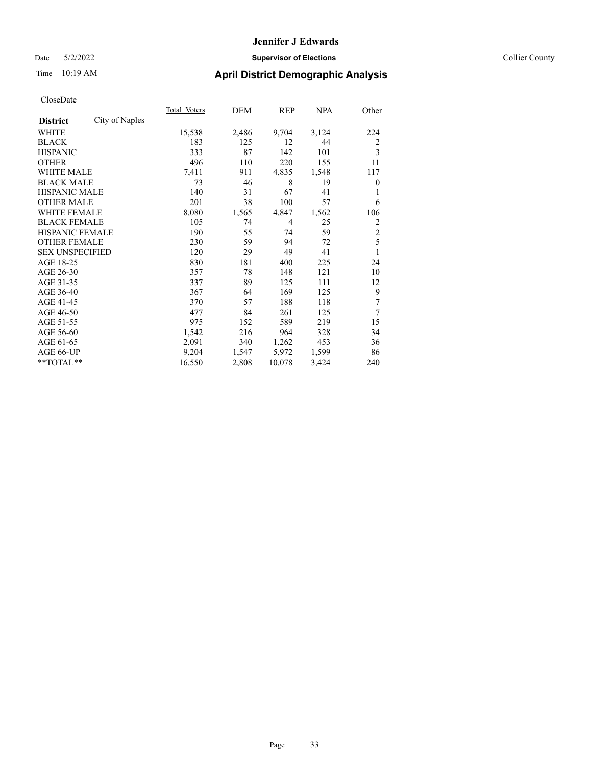#### Date 5/2/2022 **Supervisor of Elections** Collier County

# Time 10:19 AM **April District Demographic Analysis**

|                        |                | Total Voters | DEM   | REP            | NPA   | Other          |
|------------------------|----------------|--------------|-------|----------------|-------|----------------|
| <b>District</b>        | City of Naples |              |       |                |       |                |
| WHITE                  |                | 15,538       | 2,486 | 9,704          | 3,124 | 224            |
| <b>BLACK</b>           |                | 183          | 125   | 12             | 44    | 2              |
| <b>HISPANIC</b>        |                | 333          | 87    | 142            | 101   | 3              |
| <b>OTHER</b>           |                | 496          | 110   | 220            | 155   | 11             |
| WHITE MALE             |                | 7,411        | 911   | 4,835          | 1,548 | 117            |
| <b>BLACK MALE</b>      |                | 73           | 46    | 8              | 19    | $\theta$       |
| <b>HISPANIC MALE</b>   |                | 140          | 31    | 67             | 41    | 1              |
| <b>OTHER MALE</b>      |                | 201          | 38    | 100            | 57    | 6              |
| WHITE FEMALE           |                | 8,080        | 1,565 | 4,847          | 1,562 | 106            |
| <b>BLACK FEMALE</b>    |                | 105          | 74    | $\overline{4}$ | 25    | 2              |
| <b>HISPANIC FEMALE</b> |                | 190          | 55    | 74             | 59    | $\overline{2}$ |
| <b>OTHER FEMALE</b>    |                | 230          | 59    | 94             | 72    | 5              |
| <b>SEX UNSPECIFIED</b> |                | 120          | 29    | 49             | 41    | 1              |
| AGE 18-25              |                | 830          | 181   | 400            | 225   | 24             |
| AGE 26-30              |                | 357          | 78    | 148            | 121   | 10             |
| AGE 31-35              |                | 337          | 89    | 125            | 111   | 12             |
| AGE 36-40              |                | 367          | 64    | 169            | 125   | 9              |
| AGE 41-45              |                | 370          | 57    | 188            | 118   | 7              |
| AGE 46-50              |                | 477          | 84    | 261            | 125   | 7              |
| AGE 51-55              |                | 975          | 152   | 589            | 219   | 15             |
| AGE 56-60              |                | 1,542        | 216   | 964            | 328   | 34             |
| AGE 61-65              |                | 2,091        | 340   | 1,262          | 453   | 36             |
| AGE 66-UP              |                | 9,204        | 1,547 | 5,972          | 1,599 | 86             |
| **TOTAL**              |                | 16,550       | 2,808 | 10,078         | 3,424 | 240            |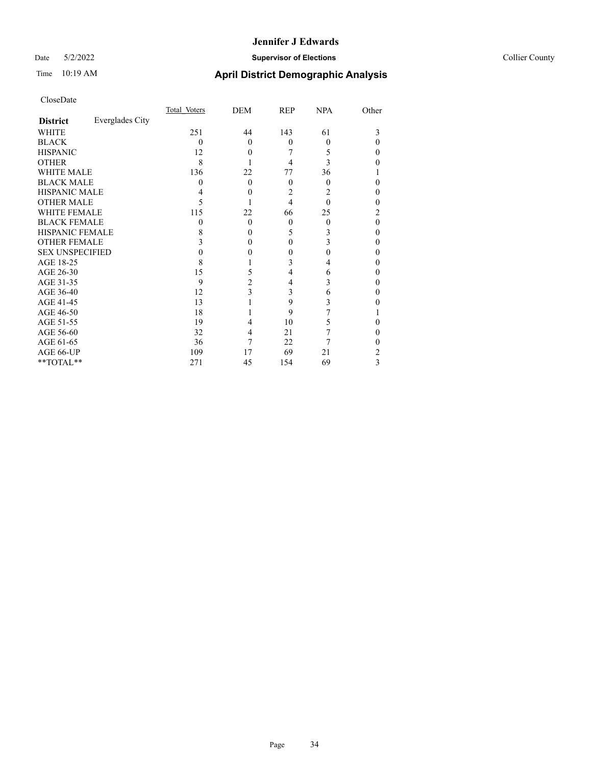#### Date 5/2/2022 **Supervisor of Elections** Collier County

# Time 10:19 AM **April District Demographic Analysis**

|                        |                 | Total Voters | DEM            | <b>REP</b> | <b>NPA</b> | Other    |
|------------------------|-----------------|--------------|----------------|------------|------------|----------|
| <b>District</b>        | Everglades City |              |                |            |            |          |
| WHITE                  |                 | 251          | 44             | 143        | 61         | 3        |
| <b>BLACK</b>           |                 | $\Omega$     | $\theta$       | $\theta$   | 0          | 0        |
| <b>HISPANIC</b>        |                 | 12           | $\theta$       |            | 5          | 0        |
| <b>OTHER</b>           |                 | 8            |                | 4          | 3          | 0        |
| WHITE MALE             |                 | 136          | 22             | 77         | 36         |          |
| <b>BLACK MALE</b>      |                 | $\theta$     | $\theta$       | $\theta$   | 0          | 0        |
| <b>HISPANIC MALE</b>   |                 |              | 0              | 2          | 2          | 0        |
| <b>OTHER MALE</b>      |                 | 5            |                | 4          | $\Omega$   | 0        |
| <b>WHITE FEMALE</b>    |                 | 115          | 22             | 66         | 25         | 2        |
| <b>BLACK FEMALE</b>    |                 | 0            | $\theta$       | $\theta$   | 0          | $\theta$ |
| <b>HISPANIC FEMALE</b> |                 | 8            | $\Omega$       | 5          | 3          | 0        |
| <b>OTHER FEMALE</b>    |                 |              | $\theta$       | 0          | 3          | $\Omega$ |
| <b>SEX UNSPECIFIED</b> |                 |              | 0              | 0          | 0          | $\Omega$ |
| AGE 18-25              |                 | 8            |                | 3          |            | $\theta$ |
| AGE 26-30              |                 | 15           | 5              | 4          | 6          | $\theta$ |
| AGE 31-35              |                 | 9            | $\overline{c}$ | 4          | 3          | 0        |
| AGE 36-40              |                 | 12           | 3              | 3          | 6          | $\theta$ |
| AGE 41-45              |                 | 13           |                | 9          | 3          | 0        |
| AGE 46-50              |                 | 18           |                | 9          |            |          |
| AGE 51-55              |                 | 19           | 4              | 10         | 5          | 0        |
| AGE 56-60              |                 | 32           | 4              | 21         |            | 0        |
| AGE 61-65              |                 | 36           | 7              | 22         |            | 0        |
| AGE 66-UP              |                 | 109          | 17             | 69         | 21         | 2        |
| **TOTAL**              |                 | 271          | 45             | 154        | 69         | 3        |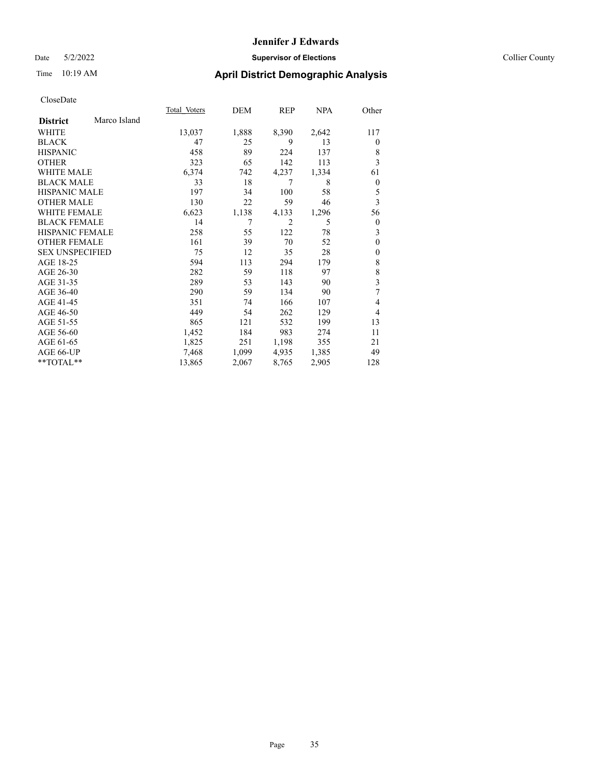#### Date 5/2/2022 **Supervisor of Elections** Collier County

# Time 10:19 AM **April District Demographic Analysis**

| <b>Total Voters</b> | DEM   | REP            | <b>NPA</b> | Other          |
|---------------------|-------|----------------|------------|----------------|
|                     |       |                |            |                |
| 13,037              | 1,888 | 8,390          | 2,642      | 117            |
| 47                  | 25    | 9              | 13         | $\theta$       |
| 458                 | 89    | 224            | 137        | 8              |
| 323                 | 65    | 142            | 113        | 3              |
| 6,374               | 742   | 4,237          | 1,334      | 61             |
| 33                  | 18    | 7              | 8          | $\overline{0}$ |
| 197                 | 34    | 100            | 58         | 5              |
| 130                 | 22    | 59             | 46         | 3              |
| 6,623               | 1,138 | 4,133          | 1,296      | 56             |
| 14                  | 7     | $\overline{2}$ | 5          | $\theta$       |
| 258                 | 55    | 122            | 78         | 3              |
| 161                 | 39    | 70             | 52         | $\mathbf{0}$   |
| 75                  | 12    | 35             | 28         | $\mathbf{0}$   |
| 594                 | 113   | 294            | 179        | 8              |
| 282                 | 59    | 118            | 97         | 8              |
| 289                 | 53    | 143            | 90         | 3              |
| 290                 | 59    | 134            | 90         | 7              |
| 351                 | 74    | 166            | 107        | 4              |
| 449                 | 54    | 262            | 129        | 4              |
| 865                 | 121   | 532            | 199        | 13             |
| 1,452               | 184   | 983            | 274        | 11             |
| 1,825               | 251   | 1,198          | 355        | 21             |
| 7,468               | 1,099 | 4,935          | 1,385      | 49             |
| 13,865              | 2,067 | 8,765          | 2,905      | 128            |
|                     |       |                |            |                |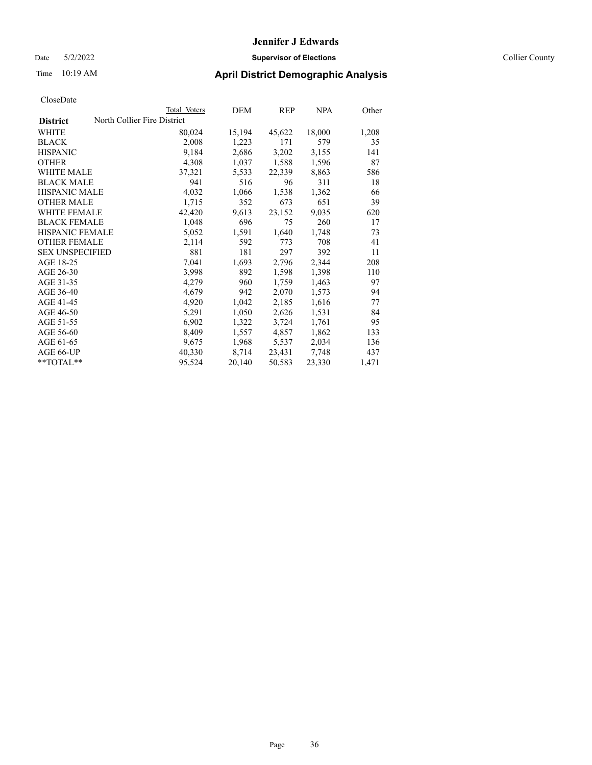Date 5/2/2022 **Supervisor of Elections** Collier County

| CloseDate |
|-----------|
|-----------|

|                        | Total Voters                | DEM    | <b>REP</b> | <b>NPA</b> | Other |
|------------------------|-----------------------------|--------|------------|------------|-------|
| <b>District</b>        | North Collier Fire District |        |            |            |       |
| WHITE                  | 80,024                      | 15,194 | 45,622     | 18,000     | 1,208 |
| <b>BLACK</b>           | 2,008                       | 1,223  | 171        | 579        | 35    |
| <b>HISPANIC</b>        | 9,184                       | 2,686  | 3,202      | 3,155      | 141   |
| <b>OTHER</b>           | 4,308                       | 1,037  | 1,588      | 1,596      | 87    |
| <b>WHITE MALE</b>      | 37,321                      | 5,533  | 22,339     | 8,863      | 586   |
| <b>BLACK MALE</b>      | 941                         | 516    | 96         | 311        | 18    |
| <b>HISPANIC MALE</b>   | 4,032                       | 1,066  | 1,538      | 1,362      | 66    |
| <b>OTHER MALE</b>      | 1,715                       | 352    | 673        | 651        | 39    |
| <b>WHITE FEMALE</b>    | 42,420                      | 9,613  | 23,152     | 9,035      | 620   |
| <b>BLACK FEMALE</b>    | 1,048                       | 696    | 75         | 260        | 17    |
| <b>HISPANIC FEMALE</b> | 5,052                       | 1,591  | 1,640      | 1,748      | 73    |
| <b>OTHER FEMALE</b>    | 2,114                       | 592    | 773        | 708        | 41    |
| <b>SEX UNSPECIFIED</b> | 881                         | 181    | 297        | 392        | 11    |
| AGE 18-25              | 7,041                       | 1,693  | 2,796      | 2,344      | 208   |
| AGE 26-30              | 3,998                       | 892    | 1,598      | 1,398      | 110   |
| AGE 31-35              | 4,279                       | 960    | 1,759      | 1,463      | 97    |
| AGE 36-40              | 4,679                       | 942    | 2,070      | 1,573      | 94    |
| AGE 41-45              | 4,920                       | 1,042  | 2,185      | 1,616      | 77    |
| AGE 46-50              | 5,291                       | 1,050  | 2,626      | 1,531      | 84    |
| AGE 51-55              | 6,902                       | 1,322  | 3,724      | 1,761      | 95    |
| AGE 56-60              | 8,409                       | 1,557  | 4,857      | 1,862      | 133   |
| AGE 61-65              | 9,675                       | 1,968  | 5,537      | 2,034      | 136   |
| AGE 66-UP              | 40,330                      | 8,714  | 23,431     | 7,748      | 437   |
| $*$ TOTAL $*$          | 95,524                      | 20,140 | 50,583     | 23,330     | 1,471 |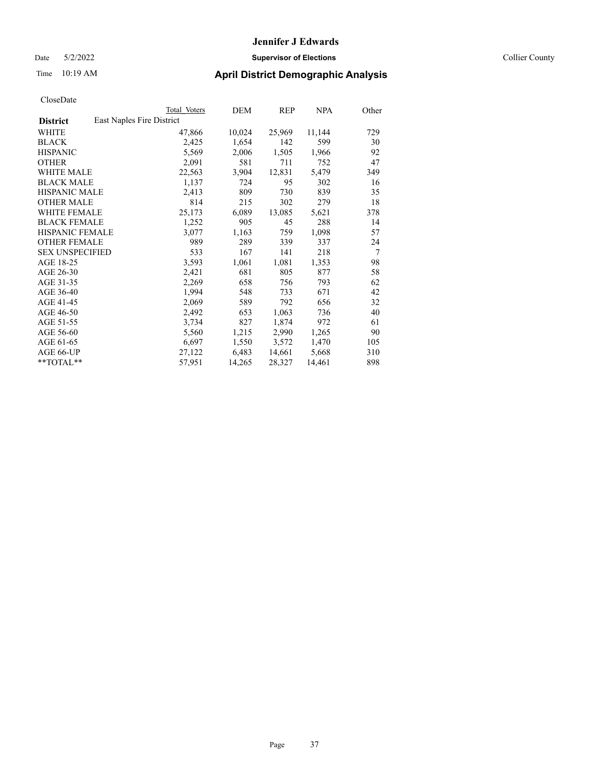Date 5/2/2022 **Supervisor of Elections** Collier County

| CloseDate |
|-----------|
|-----------|

|                                              | Total Voters | DEM    | <b>REP</b> | <b>NPA</b> | Other |
|----------------------------------------------|--------------|--------|------------|------------|-------|
| East Naples Fire District<br><b>District</b> |              |        |            |            |       |
| WHITE                                        | 47,866       | 10,024 | 25,969     | 11,144     | 729   |
| BLACK                                        | 2,425        | 1,654  | 142        | 599        | 30    |
| HISPANIC                                     | 5,569        | 2,006  | 1,505      | 1,966      | 92    |
| OTHER                                        | 2,091        | 581    | 711        | 752        | 47    |
| WHITE MALE                                   | 22,563       | 3,904  | 12,831     | 5,479      | 349   |
| BLACK MALE                                   | 1,137        | 724    | 95         | 302        | 16    |
| HISPANIC MALE                                | 2,413        | 809    | 730        | 839        | 35    |
| OTHER MALE                                   | 814          | 215    | 302        | 279        | 18    |
| WHITE FEMALE                                 | 25,173       | 6,089  | 13,085     | 5,621      | 378   |
| BLACK FEMALE                                 | 1,252        | 905    | 45         | 288        | 14    |
| HISPANIC FEMALE                              | 3,077        | 1,163  | 759        | 1,098      | 57    |
| OTHER FEMALE                                 | 989          | 289    | 339        | 337        | 24    |
| SEX UNSPECIFIED                              | 533          | 167    | 141        | 218        | 7     |
| AGE 18-25                                    | 3,593        | 1,061  | 1,081      | 1,353      | 98    |
| AGE 26-30                                    | 2,421        | 681    | 805        | 877        | 58    |
| AGE 31-35                                    | 2,269        | 658    | 756        | 793        | 62    |
| AGE 36-40                                    | 1,994        | 548    | 733        | 671        | 42    |
| AGE 41-45                                    | 2,069        | 589    | 792        | 656        | 32    |
| AGE 46-50                                    | 2,492        | 653    | 1,063      | 736        | 40    |
| AGE 51-55                                    | 3,734        | 827    | 1,874      | 972        | 61    |
| AGE 56-60                                    | 5,560        | 1,215  | 2,990      | 1,265      | 90    |
| AGE 61-65                                    | 6,697        | 1,550  | 3,572      | 1,470      | 105   |
| AGE 66-UP                                    | 27,122       | 6,483  | 14,661     | 5,668      | 310   |
| $*$ $TOTAL**$                                | 57,951       | 14,265 | 28,327     | 14,461     | 898   |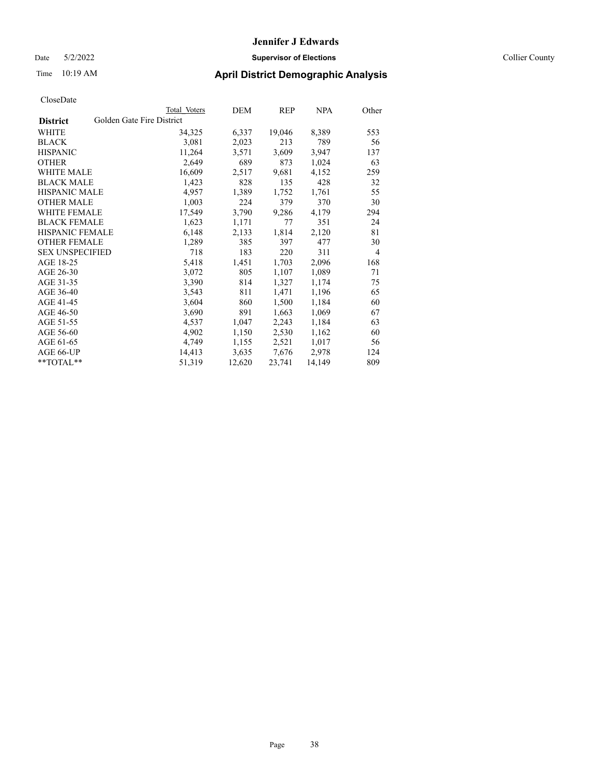Date 5/2/2022 **Supervisor of Elections Supervisor of Elections** Collier County

### Time 10:19 AM **April District Demographic Analysis**

| CloseDate |
|-----------|
|-----------|

| CloseDate              |                           |                     |       |            |            |                |
|------------------------|---------------------------|---------------------|-------|------------|------------|----------------|
|                        |                           | <b>Total Voters</b> | DEM   | <b>REP</b> | <b>NPA</b> | Other          |
| <b>District</b>        | Golden Gate Fire District |                     |       |            |            |                |
| WHITE                  |                           | 34,325              | 6,337 | 19,046     | 8,389      | 553            |
| <b>BLACK</b>           |                           | 3,081               | 2,023 | 213        | 789        | 56             |
| <b>HISPANIC</b>        |                           | 11,264              | 3,571 | 3,609      | 3,947      | 137            |
| <b>OTHER</b>           |                           | 2,649               | 689   | 873        | 1,024      | 63             |
| <b>WHITE MALE</b>      |                           | 16,609              | 2,517 | 9,681      | 4,152      | 259            |
| <b>BLACK MALE</b>      |                           | 1,423               | 828   | 135        | 428        | 32             |
| <b>HISPANIC MALE</b>   |                           | 4,957               | 1,389 | 1,752      | 1,761      | 55             |
| <b>OTHER MALE</b>      |                           | 1,003               | 224   | 379        | 370        | 30             |
| <b>WHITE FEMALE</b>    |                           | 17,549              | 3,790 | 9,286      | 4,179      | 294            |
| <b>BLACK FEMALE</b>    |                           | 1,623               | 1,171 | 77         | 351        | 24             |
| <b>HISPANIC FEMALE</b> |                           | 6,148               | 2,133 | 1,814      | 2,120      | 81             |
| <b>OTHER FEMALE</b>    |                           | 1,289               | 385   | 397        | 477        | 30             |
| <b>SEX UNSPECIFIED</b> |                           | 718                 | 183   | 220        | 311        | $\overline{4}$ |
| AGE 18-25              |                           | 5,418               | 1,451 | 1,703      | 2,096      | 168            |
| AGE 26-30              |                           | 3,072               | 805   | 1,107      | 1,089      | 71             |
| AGE 31-35              |                           | 3,390               | 814   | 1,327      | 1,174      | 75             |
| AGE 36-40              |                           | 3,543               | 811   | 1,471      | 1,196      | 65             |
| AGE 41-45              |                           | 3,604               | 860   | 1,500      | 1,184      | 60             |
| AGE 46-50              |                           | 3,690               | 891   | 1,663      | 1,069      | 67             |
| AGE 51-55              |                           | 4,537               | 1,047 | 2,243      | 1,184      | 63             |
| AGE 56-60              |                           | 4,902               | 1,150 | 2,530      | 1,162      | 60             |
| AGE 61-65              |                           | 4,749               | 1,155 | 2,521      | 1,017      | 56             |
| AGE 66-UP              |                           | 14,413              | 3,635 | 7,676      | 2,978      | 124            |

\*\*TOTAL\*\* 51,319 12,620 23,741 14,149 809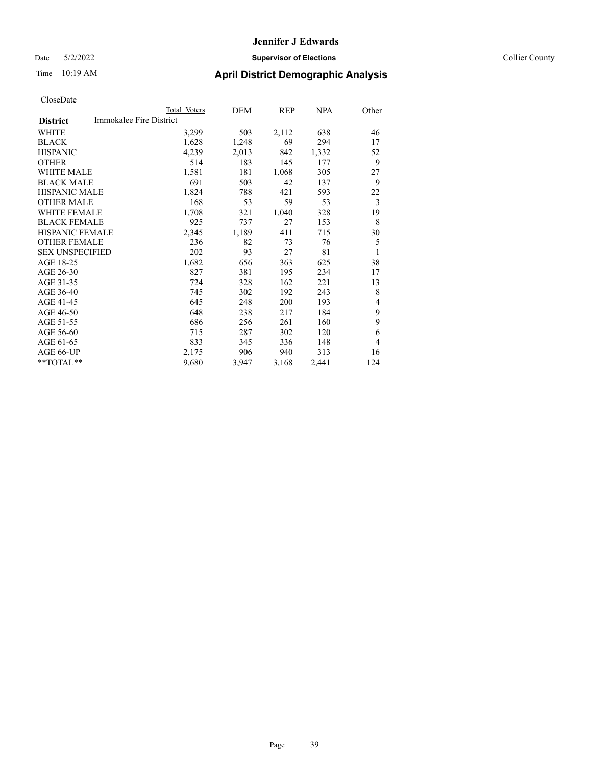#### Date 5/2/2022 **Supervisor of Elections** Collier County

# Time 10:19 AM **April District Demographic Analysis**

|                                            | Total Voters | DEM   | REP   | NPA   | Other |
|--------------------------------------------|--------------|-------|-------|-------|-------|
| Immokalee Fire District<br><b>District</b> |              |       |       |       |       |
| WHITE                                      | 3,299        | 503   | 2,112 | 638   | 46    |
| <b>BLACK</b>                               | 1,628        | 1,248 | 69    | 294   | 17    |
| <b>HISPANIC</b>                            | 4,239        | 2,013 | 842   | 1,332 | 52    |
| <b>OTHER</b>                               | 514          | 183   | 145   | 177   | 9     |
| <b>WHITE MALE</b>                          | 1,581        | 181   | 1,068 | 305   | 27    |
| <b>BLACK MALE</b>                          | 691          | 503   | 42    | 137   | 9     |
| <b>HISPANIC MALE</b>                       | 1,824        | 788   | 421   | 593   | 22    |
| <b>OTHER MALE</b>                          | 168          | 53    | 59    | 53    | 3     |
| WHITE FEMALE                               | 1,708        | 321   | 1,040 | 328   | 19    |
| <b>BLACK FEMALE</b>                        | 925          | 737   | 27    | 153   | 8     |
| <b>HISPANIC FEMALE</b>                     | 2,345        | 1,189 | 411   | 715   | 30    |
| <b>OTHER FEMALE</b>                        | 236          | 82    | 73    | 76    | 5     |
| <b>SEX UNSPECIFIED</b>                     | 202          | 93    | 27    | 81    | 1     |
| AGE 18-25                                  | 1,682        | 656   | 363   | 625   | 38    |
| AGE 26-30                                  | 827          | 381   | 195   | 234   | 17    |
| AGE 31-35                                  | 724          | 328   | 162   | 221   | 13    |
| AGE 36-40                                  | 745          | 302   | 192   | 243   | 8     |
| AGE 41-45                                  | 645          | 248   | 200   | 193   | 4     |
| AGE 46-50                                  | 648          | 238   | 217   | 184   | 9     |
| AGE 51-55                                  | 686          | 256   | 261   | 160   | 9     |
| AGE 56-60                                  | 715          | 287   | 302   | 120   | 6     |
| AGE 61-65                                  | 833          | 345   | 336   | 148   | 4     |
| AGE 66-UP                                  | 2,175        | 906   | 940   | 313   | 16    |
| **TOTAL**                                  | 9,680        | 3,947 | 3,168 | 2,441 | 124   |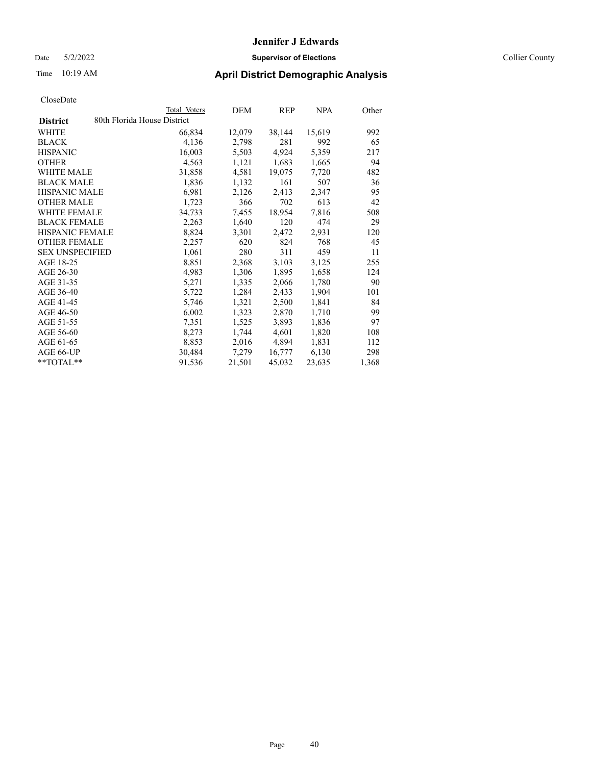Date 5/2/2022 **Supervisor of Elections** Collier County

| CloseDate |
|-----------|
|-----------|

|                                                | Total Voters | DEM    | <b>REP</b> | <b>NPA</b> | Other |
|------------------------------------------------|--------------|--------|------------|------------|-------|
| 80th Florida House District<br><b>District</b> |              |        |            |            |       |
| WHITE                                          | 66,834       | 12,079 | 38,144     | 15,619     | 992   |
| <b>BLACK</b>                                   | 4,136        | 2,798  | 281        | 992        | 65    |
| <b>HISPANIC</b>                                | 16,003       | 5,503  | 4,924      | 5,359      | 217   |
| <b>OTHER</b>                                   | 4,563        | 1,121  | 1,683      | 1,665      | 94    |
| <b>WHITE MALE</b>                              | 31,858       | 4,581  | 19,075     | 7,720      | 482   |
| <b>BLACK MALE</b>                              | 1,836        | 1,132  | 161        | 507        | 36    |
| <b>HISPANIC MALE</b>                           | 6,981        | 2,126  | 2,413      | 2,347      | 95    |
| <b>OTHER MALE</b>                              | 1,723        | 366    | 702        | 613        | 42    |
| <b>WHITE FEMALE</b>                            | 34,733       | 7,455  | 18,954     | 7,816      | 508   |
| <b>BLACK FEMALE</b>                            | 2,263        | 1,640  | 120        | 474        | 29    |
| <b>HISPANIC FEMALE</b>                         | 8,824        | 3,301  | 2,472      | 2,931      | 120   |
| <b>OTHER FEMALE</b>                            | 2,257        | 620    | 824        | 768        | 45    |
| <b>SEX UNSPECIFIED</b>                         | 1,061        | 280    | 311        | 459        | 11    |
| AGE 18-25                                      | 8,851        | 2,368  | 3,103      | 3,125      | 255   |
| AGE 26-30                                      | 4,983        | 1,306  | 1,895      | 1,658      | 124   |
| AGE 31-35                                      | 5,271        | 1,335  | 2,066      | 1,780      | 90    |
| AGE 36-40                                      | 5,722        | 1,284  | 2,433      | 1,904      | 101   |
| AGE 41-45                                      | 5,746        | 1,321  | 2,500      | 1,841      | 84    |
| AGE 46-50                                      | 6,002        | 1,323  | 2,870      | 1,710      | 99    |
| AGE 51-55                                      | 7,351        | 1,525  | 3,893      | 1,836      | 97    |
| AGE 56-60                                      | 8,273        | 1,744  | 4,601      | 1,820      | 108   |
| AGE 61-65                                      | 8,853        | 2,016  | 4,894      | 1,831      | 112   |
| AGE 66-UP                                      | 30,484       | 7,279  | 16,777     | 6,130      | 298   |
| $*$ TOTAL $*$                                  | 91,536       | 21,501 | 45,032     | 23,635     | 1,368 |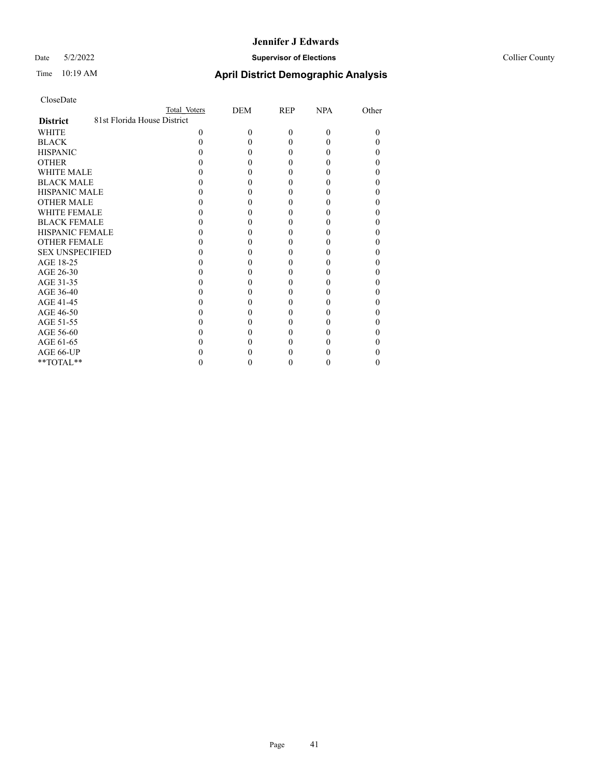#### Date 5/2/2022 **Supervisor of Elections** Collier County

| CloseDate |
|-----------|
|-----------|

|                                                | Total Voters | DEM      | <b>REP</b> | <b>NPA</b> | Other |
|------------------------------------------------|--------------|----------|------------|------------|-------|
| 81st Florida House District<br><b>District</b> |              |          |            |            |       |
| WHITE                                          |              | $\Omega$ | 0          | 0          |       |
| <b>BLACK</b>                                   |              |          | 0          |            |       |
| <b>HISPANIC</b>                                |              |          | 0          |            |       |
| <b>OTHER</b>                                   |              |          |            |            |       |
| <b>WHITE MALE</b>                              |              |          |            |            |       |
| <b>BLACK MALE</b>                              |              |          |            |            |       |
| <b>HISPANIC MALE</b>                           |              |          |            |            |       |
| <b>OTHER MALE</b>                              |              |          |            |            |       |
| <b>WHITE FEMALE</b>                            |              |          |            |            |       |
| <b>BLACK FEMALE</b>                            |              |          |            |            |       |
| <b>HISPANIC FEMALE</b>                         |              |          |            |            |       |
| <b>OTHER FEMALE</b>                            |              |          |            |            |       |
| <b>SEX UNSPECIFIED</b>                         |              |          |            |            |       |
| AGE 18-25                                      |              |          |            |            |       |
| AGE 26-30                                      |              |          |            |            |       |
| AGE 31-35                                      |              |          |            |            |       |
| AGE 36-40                                      |              |          |            |            |       |
| AGE 41-45                                      |              |          |            |            |       |
| AGE 46-50                                      |              |          |            |            |       |
| AGE 51-55                                      |              |          |            |            |       |
| AGE 56-60                                      |              |          |            |            |       |
| AGE 61-65                                      |              |          |            |            |       |
| AGE 66-UP                                      |              |          |            |            |       |
| **TOTAL**                                      |              |          |            |            |       |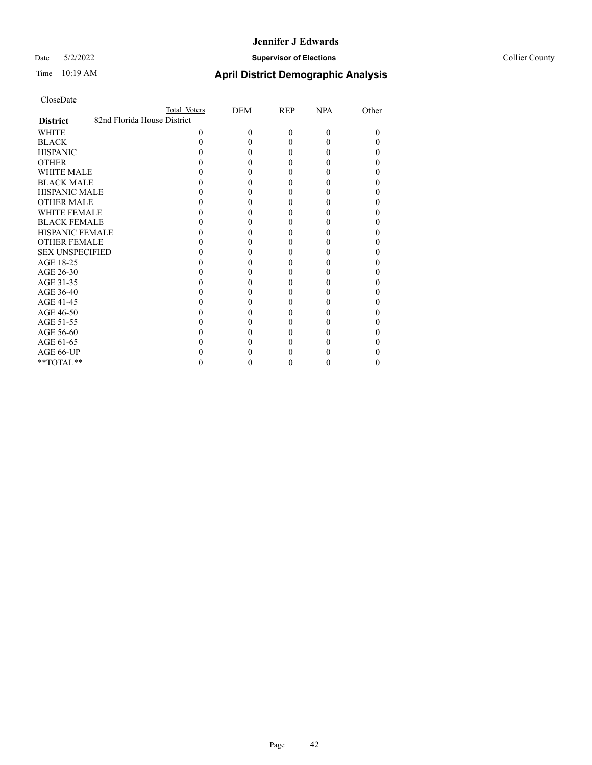#### Date 5/2/2022 **Supervisor of Elections** Collier County

| CloseDate |
|-----------|
|-----------|

|                        |                             | Total Voters | DEM | REP | <b>NPA</b> | Other |
|------------------------|-----------------------------|--------------|-----|-----|------------|-------|
| <b>District</b>        | 82nd Florida House District |              |     |     |            |       |
| WHITE                  |                             |              | 0   | 0   | 0          |       |
| <b>BLACK</b>           |                             |              |     |     |            |       |
| <b>HISPANIC</b>        |                             |              |     |     |            |       |
| OTHER                  |                             |              |     |     |            |       |
| <b>WHITE MALE</b>      |                             |              |     |     |            |       |
| <b>BLACK MALE</b>      |                             |              |     |     |            |       |
| <b>HISPANIC MALE</b>   |                             |              |     |     |            |       |
| <b>OTHER MALE</b>      |                             |              |     |     |            |       |
| <b>WHITE FEMALE</b>    |                             |              |     |     |            |       |
| <b>BLACK FEMALE</b>    |                             |              |     |     |            |       |
| HISPANIC FEMALE        |                             |              |     |     |            |       |
| <b>OTHER FEMALE</b>    |                             |              |     |     |            |       |
| <b>SEX UNSPECIFIED</b> |                             |              |     |     |            |       |
| AGE 18-25              |                             |              |     |     |            |       |
| AGE 26-30              |                             |              |     |     |            |       |
| AGE 31-35              |                             |              |     |     |            |       |
| AGE 36-40              |                             |              |     |     |            |       |
| AGE 41-45              |                             |              |     |     |            |       |
| AGE 46-50              |                             |              |     |     |            |       |
| AGE 51-55              |                             |              |     |     |            |       |
| AGE 56-60              |                             |              |     |     |            |       |
| AGE 61-65              |                             |              |     |     |            |       |
| AGE 66-UP              |                             |              |     |     |            |       |
| **TOTAL**              |                             |              |     |     |            |       |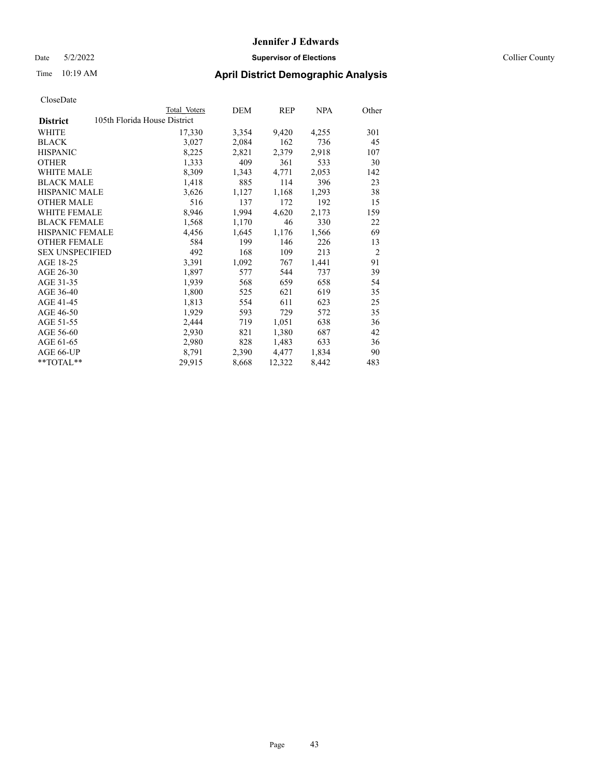Date 5/2/2022 **Supervisor of Elections** Collier County

# Time 10:19 AM **April District Demographic Analysis**

|                                                 | Total Voters | DEM   | REP    | NPA   | Other          |
|-------------------------------------------------|--------------|-------|--------|-------|----------------|
| 105th Florida House District<br><b>District</b> |              |       |        |       |                |
| WHITE                                           | 17,330       | 3,354 | 9,420  | 4,255 | 301            |
| <b>BLACK</b>                                    | 3,027        | 2,084 | 162    | 736   | 45             |
| <b>HISPANIC</b>                                 | 8,225        | 2,821 | 2,379  | 2,918 | 107            |
| <b>OTHER</b>                                    | 1,333        | 409   | 361    | 533   | 30             |
| <b>WHITE MALE</b>                               | 8,309        | 1,343 | 4,771  | 2,053 | 142            |
| <b>BLACK MALE</b>                               | 1,418        | 885   | 114    | 396   | 23             |
| <b>HISPANIC MALE</b>                            | 3,626        | 1,127 | 1,168  | 1,293 | 38             |
| <b>OTHER MALE</b>                               | 516          | 137   | 172    | 192   | 15             |
| <b>WHITE FEMALE</b>                             | 8,946        | 1,994 | 4,620  | 2,173 | 159            |
| <b>BLACK FEMALE</b>                             | 1,568        | 1,170 | 46     | 330   | 22             |
| HISPANIC FEMALE                                 | 4,456        | 1,645 | 1,176  | 1,566 | 69             |
| <b>OTHER FEMALE</b>                             | 584          | 199   | 146    | 226   | 13             |
| <b>SEX UNSPECIFIED</b>                          | 492          | 168   | 109    | 213   | $\overline{2}$ |
| AGE 18-25                                       | 3,391        | 1,092 | 767    | 1,441 | 91             |
| AGE 26-30                                       | 1,897        | 577   | 544    | 737   | 39             |
| AGE 31-35                                       | 1,939        | 568   | 659    | 658   | 54             |
| AGE 36-40                                       | 1,800        | 525   | 621    | 619   | 35             |
| AGE 41-45                                       | 1,813        | 554   | 611    | 623   | 25             |
| AGE 46-50                                       | 1,929        | 593   | 729    | 572   | 35             |
| AGE 51-55                                       | 2,444        | 719   | 1,051  | 638   | 36             |
| AGE 56-60                                       | 2,930        | 821   | 1,380  | 687   | 42             |
| AGE 61-65                                       | 2,980        | 828   | 1,483  | 633   | 36             |
| AGE 66-UP                                       | 8,791        | 2,390 | 4,477  | 1,834 | 90             |
| **TOTAL**                                       | 29,915       | 8,668 | 12,322 | 8,442 | 483            |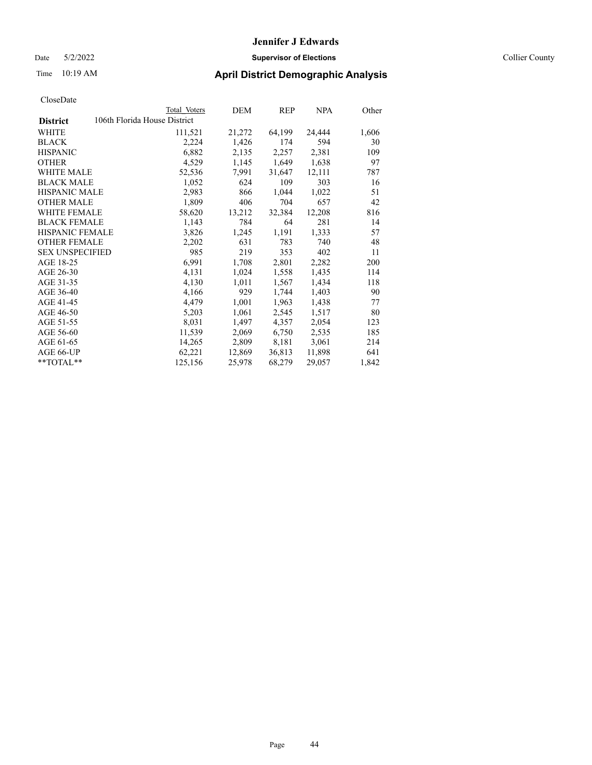Date 5/2/2022 **Supervisor of Elections** Collier County

# Time 10:19 AM **April District Demographic Analysis**

|                        | Total Voters                 | DEM    | REP    | <u>NPA</u> | Other |
|------------------------|------------------------------|--------|--------|------------|-------|
| <b>District</b>        | 106th Florida House District |        |        |            |       |
| WHITE                  | 111,521                      | 21,272 | 64,199 | 24,444     | 1,606 |
| <b>BLACK</b>           | 2,224                        | 1,426  | 174    | 594        | 30    |
| <b>HISPANIC</b>        | 6,882                        | 2,135  | 2,257  | 2,381      | 109   |
| <b>OTHER</b>           | 4,529                        | 1,145  | 1,649  | 1,638      | 97    |
| <b>WHITE MALE</b>      | 52,536                       | 7,991  | 31,647 | 12,111     | 787   |
| <b>BLACK MALE</b>      | 1,052                        | 624    | 109    | 303        | 16    |
| <b>HISPANIC MALE</b>   | 2,983                        | 866    | 1,044  | 1,022      | 51    |
| <b>OTHER MALE</b>      | 1,809                        | 406    | 704    | 657        | 42    |
| <b>WHITE FEMALE</b>    | 58,620                       | 13,212 | 32,384 | 12,208     | 816   |
| <b>BLACK FEMALE</b>    | 1,143                        | 784    | 64     | 281        | 14    |
| HISPANIC FEMALE        | 3,826                        | 1,245  | 1,191  | 1,333      | 57    |
| <b>OTHER FEMALE</b>    | 2,202                        | 631    | 783    | 740        | 48    |
| <b>SEX UNSPECIFIED</b> | 985                          | 219    | 353    | 402        | 11    |
| AGE 18-25              | 6,991                        | 1,708  | 2,801  | 2,282      | 200   |
| AGE 26-30              | 4,131                        | 1,024  | 1,558  | 1,435      | 114   |
| AGE 31-35              | 4,130                        | 1,011  | 1,567  | 1,434      | 118   |
| AGE 36-40              | 4,166                        | 929    | 1,744  | 1,403      | 90    |
| AGE 41-45              | 4,479                        | 1,001  | 1,963  | 1,438      | 77    |
| AGE 46-50              | 5,203                        | 1,061  | 2,545  | 1,517      | 80    |
| AGE 51-55              | 8,031                        | 1,497  | 4,357  | 2,054      | 123   |
| AGE 56-60              | 11,539                       | 2,069  | 6,750  | 2,535      | 185   |
| AGE 61-65              | 14,265                       | 2,809  | 8,181  | 3,061      | 214   |
| AGE 66-UP              | 62,221                       | 12,869 | 36,813 | 11,898     | 641   |
| $*$ $TOTAL**$          | 125,156                      | 25,978 | 68,279 | 29,057     | 1,842 |
|                        |                              |        |        |            |       |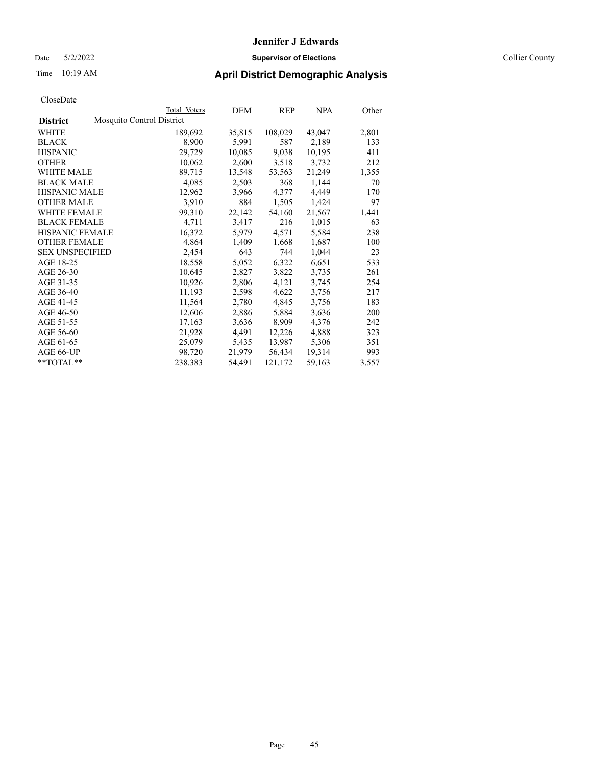Date 5/2/2022 **Supervisor of Elections** Collier County

| CloseDate |
|-----------|
|-----------|

|                        |                           | Total Voters | DEM    | <b>REP</b> | <b>NPA</b> | Other |
|------------------------|---------------------------|--------------|--------|------------|------------|-------|
| <b>District</b>        | Mosquito Control District |              |        |            |            |       |
| WHITE                  |                           | 189,692      | 35,815 | 108,029    | 43,047     | 2,801 |
| BLACK                  |                           | 8,900        | 5,991  | 587        | 2,189      | 133   |
| HISPANIC               |                           | 29,729       | 10,085 | 9,038      | 10,195     | 411   |
| OTHER                  |                           | 10,062       | 2,600  | 3,518      | 3,732      | 212   |
| WHITE MALE             |                           | 89,715       | 13,548 | 53,563     | 21,249     | 1,355 |
| BLACK MALE             |                           | 4,085        | 2,503  | 368        | 1,144      | 70    |
| HISPANIC MALE          |                           | 12,962       | 3,966  | 4,377      | 4,449      | 170   |
| OTHER MALE             |                           | 3,910        | 884    | 1,505      | 1,424      | 97    |
| WHITE FEMALE           |                           | 99,310       | 22,142 | 54,160     | 21,567     | 1,441 |
| <b>BLACK FEMALE</b>    |                           | 4,711        | 3,417  | 216        | 1,015      | 63    |
| HISPANIC FEMALE        |                           | 16,372       | 5,979  | 4,571      | 5,584      | 238   |
| <b>OTHER FEMALE</b>    |                           | 4,864        | 1,409  | 1,668      | 1,687      | 100   |
| <b>SEX UNSPECIFIED</b> |                           | 2,454        | 643    | 744        | 1,044      | 23    |
| AGE 18-25              |                           | 18,558       | 5,052  | 6,322      | 6,651      | 533   |
| AGE 26-30              |                           | 10,645       | 2,827  | 3,822      | 3,735      | 261   |
| AGE 31-35              |                           | 10,926       | 2,806  | 4,121      | 3,745      | 254   |
| AGE 36-40              |                           | 11,193       | 2,598  | 4,622      | 3,756      | 217   |
| AGE 41-45              |                           | 11,564       | 2,780  | 4,845      | 3,756      | 183   |
| AGE 46-50              |                           | 12,606       | 2,886  | 5,884      | 3,636      | 200   |
| AGE 51-55              |                           | 17,163       | 3,636  | 8,909      | 4,376      | 242   |
| AGE 56-60              |                           | 21,928       | 4,491  | 12,226     | 4,888      | 323   |
| AGE 61-65              |                           | 25,079       | 5,435  | 13,987     | 5,306      | 351   |
| AGE 66-UP              |                           | 98,720       | 21,979 | 56,434     | 19,314     | 993   |
| $*$ $TOTAL**$          |                           | 238,383      | 54,491 | 121,172    | 59,163     | 3,557 |
|                        |                           |              |        |            |            |       |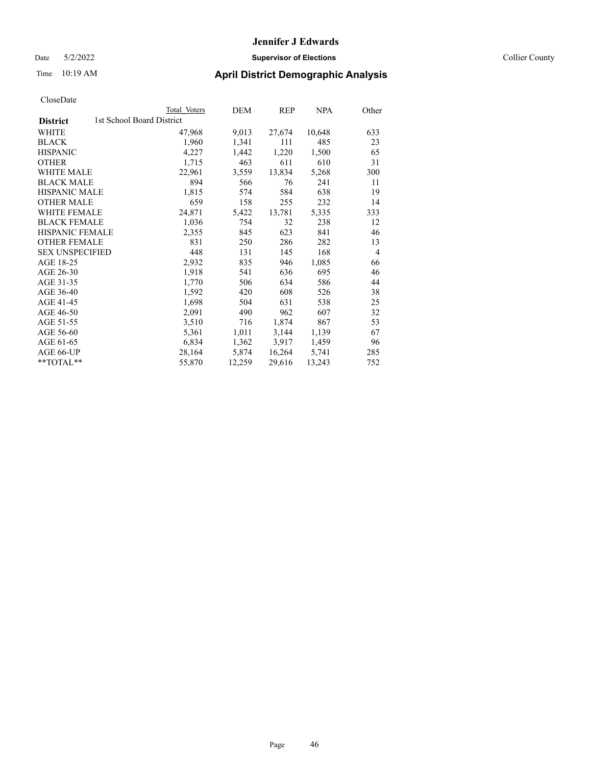Date 5/2/2022 **Supervisor of Elections** Collier County

| CloseDate |
|-----------|
|-----------|

|                        | Total Voters              | DEM    | REP    | <b>NPA</b> | Other          |
|------------------------|---------------------------|--------|--------|------------|----------------|
| <b>District</b>        | 1st School Board District |        |        |            |                |
| WHITE                  | 47,968                    | 9,013  | 27,674 | 10,648     | 633            |
| BLACK                  | 1,960                     | 1,341  | 111    | 485        | 23             |
| HISPANIC               | 4,227                     | 1,442  | 1,220  | 1,500      | 65             |
| OTHER                  | 1,715                     | 463    | 611    | 610        | 31             |
| WHITE MALE             | 22,961                    | 3,559  | 13,834 | 5,268      | 300            |
| BLACK MALE             | 894                       | 566    | 76     | 241        | 11             |
| HISPANIC MALE          | 1,815                     | 574    | 584    | 638        | 19             |
| OTHER MALE             | 659                       | 158    | 255    | 232        | 14             |
| WHITE FEMALE           | 24,871                    | 5,422  | 13,781 | 5,335      | 333            |
| BLACK FEMALE           | 1,036                     | 754    | 32     | 238        | 12             |
| HISPANIC FEMALE        | 2,355                     | 845    | 623    | 841        | 46             |
| OTHER FEMALE           | 831                       | 250    | 286    | 282        | 13             |
| <b>SEX UNSPECIFIED</b> | 448                       | 131    | 145    | 168        | $\overline{4}$ |
| AGE 18-25              | 2,932                     | 835    | 946    | 1,085      | 66             |
| AGE 26-30              | 1,918                     | 541    | 636    | 695        | 46             |
| AGE 31-35              | 1,770                     | 506    | 634    | 586        | 44             |
| AGE 36-40              | 1,592                     | 420    | 608    | 526        | 38             |
| AGE 41-45              | 1,698                     | 504    | 631    | 538        | 25             |
| AGE 46-50              | 2,091                     | 490    | 962    | 607        | 32             |
| AGE 51-55              | 3,510                     | 716    | 1,874  | 867        | 53             |
| AGE 56-60              | 5,361                     | 1,011  | 3,144  | 1,139      | 67             |
| AGE 61-65              | 6,834                     | 1,362  | 3,917  | 1,459      | 96             |
| AGE 66-UP              | 28,164                    | 5,874  | 16,264 | 5,741      | 285            |
| $*$ $TOTAI.**$         | 55,870                    | 12,259 | 29,616 | 13,243     | 752            |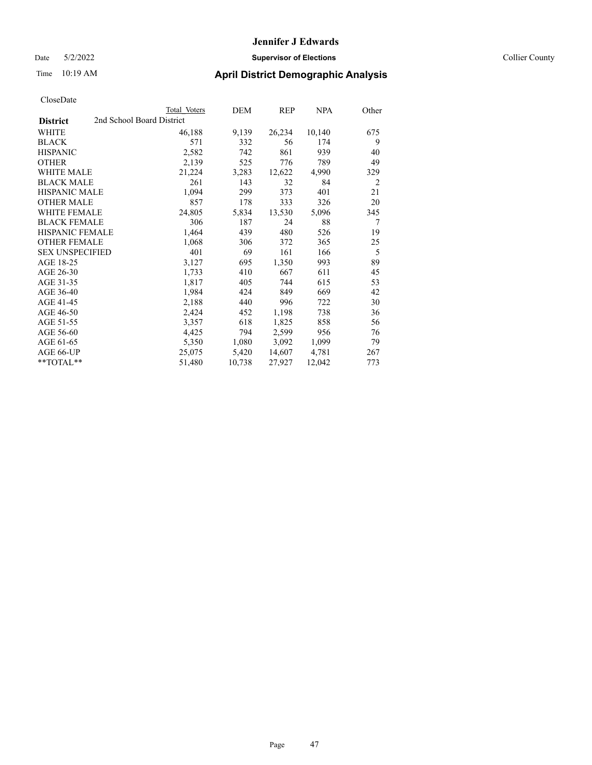Date 5/2/2022 **Supervisor of Elections** Collier County

| CloseDate |
|-----------|
|-----------|

|                                              | Total Voters | DEM    | REP    | NPA    | Other          |
|----------------------------------------------|--------------|--------|--------|--------|----------------|
| 2nd School Board District<br><b>District</b> |              |        |        |        |                |
| <b>WHITE</b>                                 | 46,188       | 9,139  | 26,234 | 10,140 | 675            |
| <b>BLACK</b>                                 | 571          | 332    | 56     | 174    | 9              |
| <b>HISPANIC</b>                              | 2,582        | 742    | 861    | 939    | 40             |
| <b>OTHER</b>                                 | 2,139        | 525    | 776    | 789    | 49             |
| <b>WHITE MALE</b>                            | 21,224       | 3,283  | 12,622 | 4,990  | 329            |
| <b>BLACK MALE</b>                            | 261          | 143    | 32     | 84     | $\overline{2}$ |
| <b>HISPANIC MALE</b>                         | 1,094        | 299    | 373    | 401    | 21             |
| <b>OTHER MALE</b>                            | 857          | 178    | 333    | 326    | 20             |
| <b>WHITE FEMALE</b>                          | 24,805       | 5,834  | 13,530 | 5,096  | 345            |
| <b>BLACK FEMALE</b>                          | 306          | 187    | 24     | 88     | 7              |
| <b>HISPANIC FEMALE</b>                       | 1,464        | 439    | 480    | 526    | 19             |
| <b>OTHER FEMALE</b>                          | 1,068        | 306    | 372    | 365    | 25             |
| <b>SEX UNSPECIFIED</b>                       | 401          | 69     | 161    | 166    | 5              |
| AGE 18-25                                    | 3,127        | 695    | 1,350  | 993    | 89             |
| AGE 26-30                                    | 1,733        | 410    | 667    | 611    | 45             |
| AGE 31-35                                    | 1,817        | 405    | 744    | 615    | 53             |
| AGE 36-40                                    | 1,984        | 424    | 849    | 669    | 42             |
| AGE 41-45                                    | 2,188        | 440    | 996    | 722    | 30             |
| AGE 46-50                                    | 2,424        | 452    | 1,198  | 738    | 36             |
| AGE 51-55                                    | 3,357        | 618    | 1,825  | 858    | 56             |
| AGE 56-60                                    | 4,425        | 794    | 2,599  | 956    | 76             |
| AGE 61-65                                    | 5,350        | 1,080  | 3,092  | 1,099  | 79             |
| AGE 66-UP                                    | 25,075       | 5,420  | 14,607 | 4,781  | 267            |
| $*$ TOTAL $*$                                | 51,480       | 10,738 | 27,927 | 12,042 | 773            |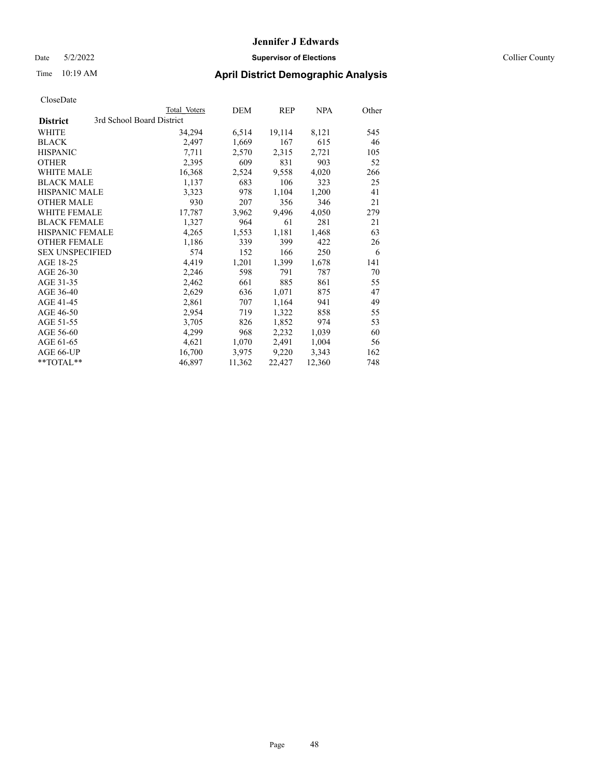Date 5/2/2022 **Supervisor of Elections** Collier County

| CloseDate |
|-----------|
|-----------|

|                                              | Total Voters | DEM    | REP    | NPA    | Other |
|----------------------------------------------|--------------|--------|--------|--------|-------|
| 3rd School Board District<br><b>District</b> |              |        |        |        |       |
| <b>WHITE</b>                                 | 34,294       | 6,514  | 19,114 | 8,121  | 545   |
| <b>BLACK</b>                                 | 2,497        | 1,669  | 167    | 615    | 46    |
| <b>HISPANIC</b>                              | 7,711        | 2,570  | 2,315  | 2,721  | 105   |
| <b>OTHER</b>                                 | 2,395        | 609    | 831    | 903    | 52    |
| <b>WHITE MALE</b>                            | 16,368       | 2,524  | 9,558  | 4,020  | 266   |
| <b>BLACK MALE</b>                            | 1,137        | 683    | 106    | 323    | 25    |
| <b>HISPANIC MALE</b>                         | 3,323        | 978    | 1,104  | 1,200  | 41    |
| <b>OTHER MALE</b>                            | 930          | 207    | 356    | 346    | 21    |
| <b>WHITE FEMALE</b>                          | 17,787       | 3,962  | 9,496  | 4,050  | 279   |
| <b>BLACK FEMALE</b>                          | 1,327        | 964    | 61     | 281    | 21    |
| <b>HISPANIC FEMALE</b>                       | 4,265        | 1,553  | 1,181  | 1,468  | 63    |
| <b>OTHER FEMALE</b>                          | 1,186        | 339    | 399    | 422    | 26    |
| <b>SEX UNSPECIFIED</b>                       | 574          | 152    | 166    | 250    | 6     |
| AGE 18-25                                    | 4,419        | 1,201  | 1,399  | 1,678  | 141   |
| AGE 26-30                                    | 2,246        | 598    | 791    | 787    | 70    |
| AGE 31-35                                    | 2,462        | 661    | 885    | 861    | 55    |
| AGE 36-40                                    | 2,629        | 636    | 1,071  | 875    | 47    |
| AGE 41-45                                    | 2,861        | 707    | 1,164  | 941    | 49    |
| AGE 46-50                                    | 2,954        | 719    | 1,322  | 858    | 55    |
| AGE 51-55                                    | 3,705        | 826    | 1,852  | 974    | 53    |
| AGE 56-60                                    | 4,299        | 968    | 2,232  | 1,039  | 60    |
| AGE 61-65                                    | 4,621        | 1,070  | 2,491  | 1,004  | 56    |
| AGE 66-UP                                    | 16,700       | 3,975  | 9,220  | 3,343  | 162   |
| $*$ TOTAL $*$                                | 46,897       | 11,362 | 22,427 | 12,360 | 748   |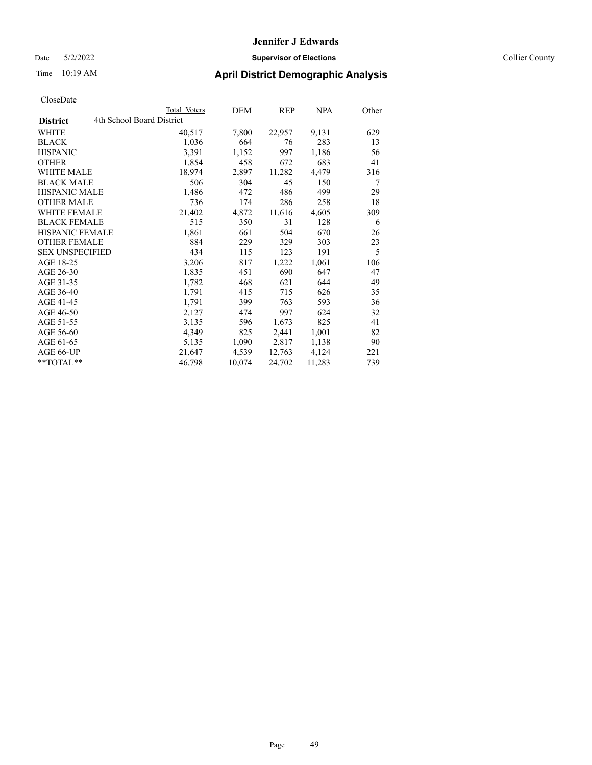Date 5/2/2022 **Supervisor of Elections** Collier County

| CloseDate |
|-----------|
|-----------|

|                                              | Total Voters | DEM    | <b>REP</b> | <b>NPA</b> | Other |
|----------------------------------------------|--------------|--------|------------|------------|-------|
| 4th School Board District<br><b>District</b> |              |        |            |            |       |
| WHITE                                        | 40,517       | 7,800  | 22,957     | 9,131      | 629   |
| BLACK                                        | 1,036        | 664    | 76         | 283        | 13    |
| HISPANIC                                     | 3,391        | 1,152  | 997        | 1,186      | 56    |
| OTHER                                        | 1,854        | 458    | 672        | 683        | 41    |
| WHITE MALE                                   | 18,974       | 2,897  | 11,282     | 4,479      | 316   |
| BLACK MALE                                   | 506          | 304    | 45         | 150        | 7     |
| HISPANIC MALE                                | 1,486        | 472    | 486        | 499        | 29    |
| OTHER MALE                                   | 736          | 174    | 286        | 258        | 18    |
| WHITE FEMALE                                 | 21,402       | 4,872  | 11,616     | 4,605      | 309   |
| BLACK FEMALE                                 | 515          | 350    | 31         | 128        | 6     |
| HISPANIC FEMALE                              | 1,861        | 661    | 504        | 670        | 26    |
| <b>OTHER FEMALE</b>                          | 884          | 229    | 329        | 303        | 23    |
| <b>SEX UNSPECIFIED</b>                       | 434          | 115    | 123        | 191        | 5     |
| AGE 18-25                                    | 3,206        | 817    | 1,222      | 1,061      | 106   |
| AGE 26-30                                    | 1,835        | 451    | 690        | 647        | 47    |
| AGE 31-35                                    | 1,782        | 468    | 621        | 644        | 49    |
| AGE 36-40                                    | 1,791        | 415    | 715        | 626        | 35    |
| AGE 41-45                                    | 1,791        | 399    | 763        | 593        | 36    |
| AGE 46-50                                    | 2,127        | 474    | 997        | 624        | 32    |
| AGE 51-55                                    | 3,135        | 596    | 1,673      | 825        | 41    |
| AGE 56-60                                    | 4,349        | 825    | 2,441      | 1,001      | 82    |
| AGE 61-65                                    | 5,135        | 1,090  | 2,817      | 1,138      | 90    |
| AGE 66-UP                                    | 21,647       | 4,539  | 12,763     | 4,124      | 221   |
| $*$ $TOTAL**$                                | 46,798       | 10,074 | 24,702     | 11,283     | 739   |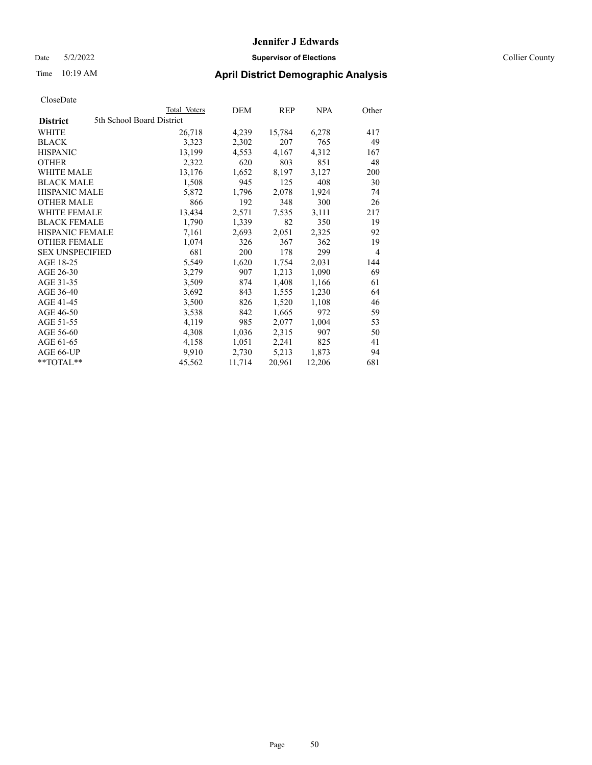Date 5/2/2022 **Supervisor of Elections** Collier County

| CloseDate |
|-----------|
|-----------|

|                                              | Total Voters | DEM    | <b>REP</b> | <b>NPA</b> | Other |
|----------------------------------------------|--------------|--------|------------|------------|-------|
| 5th School Board District<br><b>District</b> |              |        |            |            |       |
| WHITE                                        | 26,718       | 4,239  | 15,784     | 6,278      | 417   |
| <b>BLACK</b>                                 | 3,323        | 2,302  | 207        | 765        | 49    |
| <b>HISPANIC</b>                              | 13,199       | 4,553  | 4,167      | 4,312      | 167   |
| <b>OTHER</b>                                 | 2,322        | 620    | 803        | 851        | 48    |
| <b>WHITE MALE</b>                            | 13,176       | 1,652  | 8,197      | 3,127      | 200   |
| <b>BLACK MALE</b>                            | 1,508        | 945    | 125        | 408        | 30    |
| <b>HISPANIC MALE</b>                         | 5,872        | 1,796  | 2,078      | 1,924      | 74    |
| <b>OTHER MALE</b>                            | 866          | 192    | 348        | 300        | 26    |
| <b>WHITE FEMALE</b>                          | 13,434       | 2,571  | 7,535      | 3,111      | 217   |
| <b>BLACK FEMALE</b>                          | 1,790        | 1,339  | 82         | 350        | 19    |
| HISPANIC FEMALE                              | 7,161        | 2,693  | 2,051      | 2,325      | 92    |
| <b>OTHER FEMALE</b>                          | 1,074        | 326    | 367        | 362        | 19    |
| <b>SEX UNSPECIFIED</b>                       | 681          | 200    | 178        | 299        | 4     |
| AGE 18-25                                    | 5,549        | 1,620  | 1,754      | 2,031      | 144   |
| AGE 26-30                                    | 3,279        | 907    | 1,213      | 1,090      | 69    |
| AGE 31-35                                    | 3,509        | 874    | 1,408      | 1,166      | 61    |
| AGE 36-40                                    | 3,692        | 843    | 1,555      | 1,230      | 64    |
| AGE 41-45                                    | 3,500        | 826    | 1,520      | 1,108      | 46    |
| AGE 46-50                                    | 3,538        | 842    | 1,665      | 972        | 59    |
| AGE 51-55                                    | 4,119        | 985    | 2,077      | 1,004      | 53    |
| AGE 56-60                                    | 4,308        | 1,036  | 2,315      | 907        | 50    |
| AGE 61-65                                    | 4,158        | 1,051  | 2,241      | 825        | 41    |
| AGE 66-UP                                    | 9,910        | 2,730  | 5,213      | 1,873      | 94    |
| $*$ TOTAL $*$                                | 45,562       | 11,714 | 20,961     | 12,206     | 681   |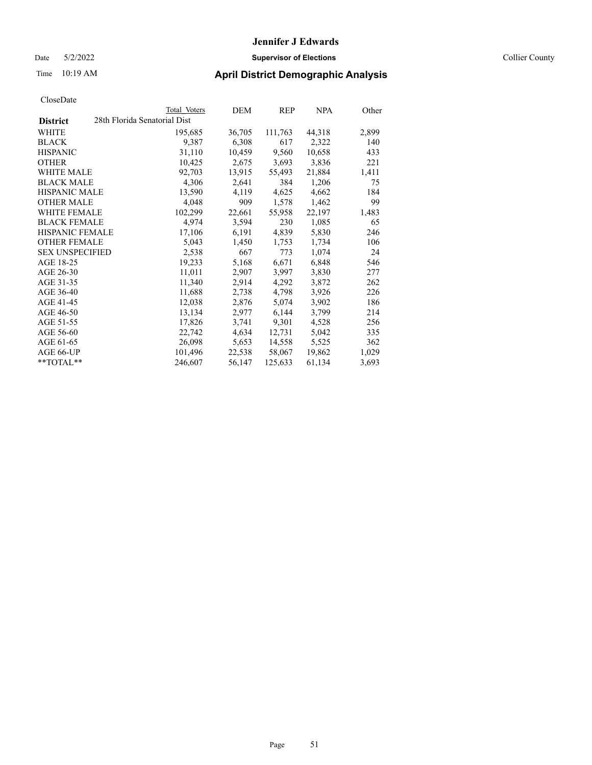Date 5/2/2022 **Supervisor of Elections** Collier County

# Time 10:19 AM **April District Demographic Analysis**

|                        |                              | Total Voters | DEM    | REP     | <u>NPA</u> | Other |
|------------------------|------------------------------|--------------|--------|---------|------------|-------|
| <b>District</b>        | 28th Florida Senatorial Dist |              |        |         |            |       |
| WHITE                  |                              | 195,685      | 36,705 | 111,763 | 44,318     | 2,899 |
| <b>BLACK</b>           |                              | 9,387        | 6,308  | 617     | 2,322      | 140   |
| <b>HISPANIC</b>        |                              | 31,110       | 10,459 | 9,560   | 10,658     | 433   |
| <b>OTHER</b>           |                              | 10,425       | 2,675  | 3,693   | 3,836      | 221   |
| <b>WHITE MALE</b>      |                              | 92,703       | 13,915 | 55,493  | 21,884     | 1,411 |
| <b>BLACK MALE</b>      |                              | 4,306        | 2,641  | 384     | 1,206      | 75    |
| <b>HISPANIC MALE</b>   |                              | 13,590       | 4,119  | 4,625   | 4,662      | 184   |
| <b>OTHER MALE</b>      |                              | 4,048        | 909    | 1,578   | 1,462      | 99    |
| <b>WHITE FEMALE</b>    |                              | 102,299      | 22,661 | 55,958  | 22,197     | 1,483 |
| <b>BLACK FEMALE</b>    |                              | 4.974        | 3,594  | 230     | 1,085      | 65    |
| HISPANIC FEMALE        |                              | 17,106       | 6,191  | 4,839   | 5,830      | 246   |
| <b>OTHER FEMALE</b>    |                              | 5,043        | 1,450  | 1,753   | 1,734      | 106   |
| <b>SEX UNSPECIFIED</b> |                              | 2,538        | 667    | 773     | 1,074      | 24    |
| AGE 18-25              |                              | 19,233       | 5,168  | 6,671   | 6,848      | 546   |
| AGE 26-30              |                              | 11,011       | 2,907  | 3,997   | 3,830      | 277   |
| AGE 31-35              |                              | 11,340       | 2,914  | 4,292   | 3,872      | 262   |
| AGE 36-40              |                              | 11,688       | 2,738  | 4,798   | 3,926      | 226   |
| AGE 41-45              |                              | 12,038       | 2,876  | 5,074   | 3,902      | 186   |
| AGE 46-50              |                              | 13,134       | 2,977  | 6,144   | 3,799      | 214   |
| AGE 51-55              |                              | 17,826       | 3,741  | 9,301   | 4,528      | 256   |
| AGE 56-60              |                              | 22,742       | 4,634  | 12,731  | 5,042      | 335   |
| AGE 61-65              |                              | 26,098       | 5,653  | 14,558  | 5,525      | 362   |
| AGE 66-UP              |                              | 101,496      | 22,538 | 58,067  | 19,862     | 1,029 |
| $*$ $TOTAL**$          |                              | 246,607      | 56,147 | 125,633 | 61,134     | 3,693 |
|                        |                              |              |        |         |            |       |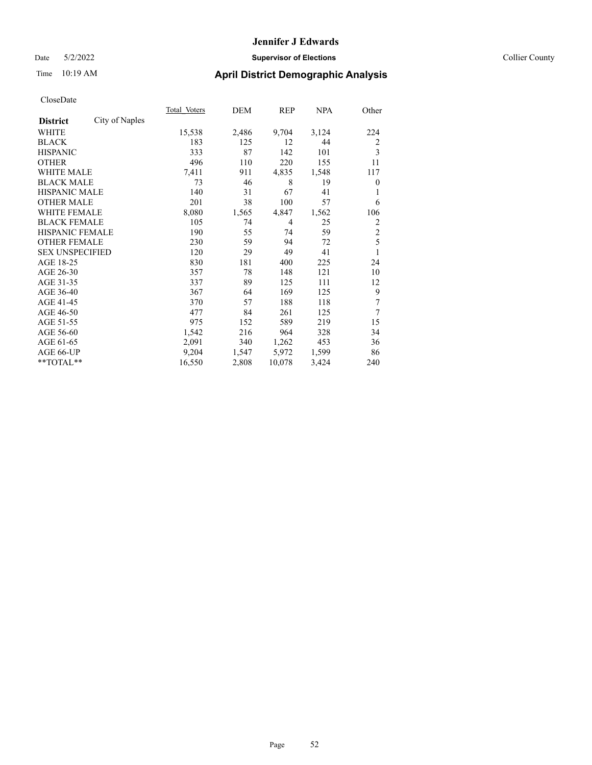#### Date 5/2/2022 **Supervisor of Elections** Collier County

# Time 10:19 AM **April District Demographic Analysis**

|                        |                | Total Voters | DEM   | REP            | NPA   | Other          |
|------------------------|----------------|--------------|-------|----------------|-------|----------------|
| <b>District</b>        | City of Naples |              |       |                |       |                |
| WHITE                  |                | 15,538       | 2,486 | 9,704          | 3,124 | 224            |
| <b>BLACK</b>           |                | 183          | 125   | 12             | 44    | 2              |
| <b>HISPANIC</b>        |                | 333          | 87    | 142            | 101   | 3              |
| <b>OTHER</b>           |                | 496          | 110   | 220            | 155   | 11             |
| WHITE MALE             |                | 7,411        | 911   | 4,835          | 1,548 | 117            |
| <b>BLACK MALE</b>      |                | 73           | 46    | 8              | 19    | $\theta$       |
| <b>HISPANIC MALE</b>   |                | 140          | 31    | 67             | 41    | 1              |
| <b>OTHER MALE</b>      |                | 201          | 38    | 100            | 57    | 6              |
| WHITE FEMALE           |                | 8,080        | 1,565 | 4,847          | 1,562 | 106            |
| <b>BLACK FEMALE</b>    |                | 105          | 74    | $\overline{4}$ | 25    | 2              |
| <b>HISPANIC FEMALE</b> |                | 190          | 55    | 74             | 59    | $\overline{2}$ |
| <b>OTHER FEMALE</b>    |                | 230          | 59    | 94             | 72    | 5              |
| <b>SEX UNSPECIFIED</b> |                | 120          | 29    | 49             | 41    | 1              |
| AGE 18-25              |                | 830          | 181   | 400            | 225   | 24             |
| AGE 26-30              |                | 357          | 78    | 148            | 121   | 10             |
| AGE 31-35              |                | 337          | 89    | 125            | 111   | 12             |
| AGE 36-40              |                | 367          | 64    | 169            | 125   | 9              |
| AGE 41-45              |                | 370          | 57    | 188            | 118   | 7              |
| AGE 46-50              |                | 477          | 84    | 261            | 125   | 7              |
| AGE 51-55              |                | 975          | 152   | 589            | 219   | 15             |
| AGE 56-60              |                | 1,542        | 216   | 964            | 328   | 34             |
| AGE 61-65              |                | 2,091        | 340   | 1,262          | 453   | 36             |
| AGE 66-UP              |                | 9,204        | 1,547 | 5,972          | 1,599 | 86             |
| **TOTAL**              |                | 16,550       | 2,808 | 10,078         | 3,424 | 240            |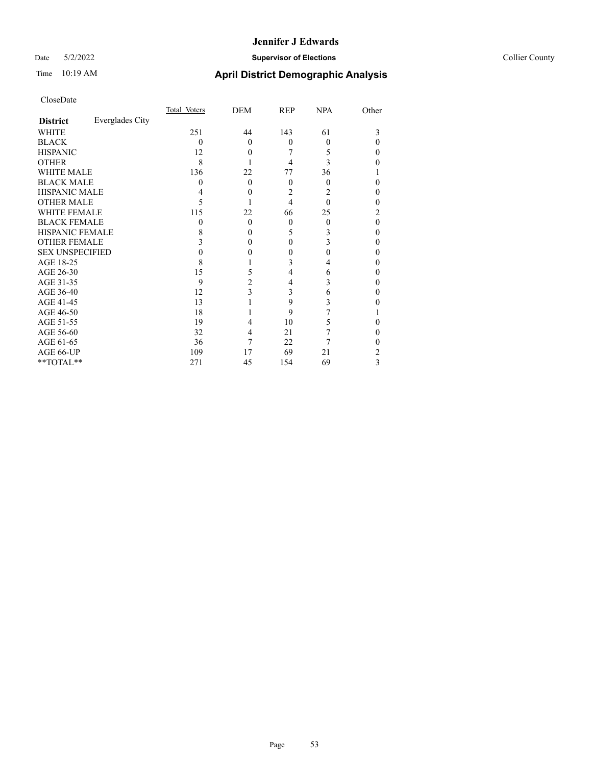#### Date 5/2/2022 **Supervisor of Elections** Collier County

# Time 10:19 AM **April District Demographic Analysis**

|                        |                 | Total Voters | DEM            | <b>REP</b> | <b>NPA</b> | Other    |
|------------------------|-----------------|--------------|----------------|------------|------------|----------|
| <b>District</b>        | Everglades City |              |                |            |            |          |
| WHITE                  |                 | 251          | 44             | 143        | 61         | 3        |
| <b>BLACK</b>           |                 | $\Omega$     | $\theta$       | $\theta$   | 0          | 0        |
| <b>HISPANIC</b>        |                 | 12           | $\theta$       |            | 5          | 0        |
| <b>OTHER</b>           |                 | 8            |                | 4          | 3          | 0        |
| WHITE MALE             |                 | 136          | 22             | 77         | 36         |          |
| <b>BLACK MALE</b>      |                 | $\theta$     | $\theta$       | $\theta$   | 0          | 0        |
| <b>HISPANIC MALE</b>   |                 |              | 0              | 2          | 2          | 0        |
| <b>OTHER MALE</b>      |                 | 5            |                | 4          | $\Omega$   | 0        |
| <b>WHITE FEMALE</b>    |                 | 115          | 22             | 66         | 25         | 2        |
| <b>BLACK FEMALE</b>    |                 | 0            | $\theta$       | $\theta$   | 0          | $\theta$ |
| <b>HISPANIC FEMALE</b> |                 | 8            | $\Omega$       | 5          | 3          | 0        |
| <b>OTHER FEMALE</b>    |                 |              | $\theta$       | 0          | 3          | $\Omega$ |
| <b>SEX UNSPECIFIED</b> |                 |              | 0              | 0          | 0          | $\Omega$ |
| AGE 18-25              |                 | 8            |                | 3          |            | $\theta$ |
| AGE 26-30              |                 | 15           | 5              | 4          | 6          | $\theta$ |
| AGE 31-35              |                 | 9            | $\overline{c}$ | 4          | 3          | 0        |
| AGE 36-40              |                 | 12           | 3              | 3          | 6          | $\theta$ |
| AGE 41-45              |                 | 13           |                | 9          | 3          | 0        |
| AGE 46-50              |                 | 18           |                | 9          |            |          |
| AGE 51-55              |                 | 19           | 4              | 10         | 5          | 0        |
| AGE 56-60              |                 | 32           | 4              | 21         |            | 0        |
| AGE 61-65              |                 | 36           | 7              | 22         |            | 0        |
| AGE 66-UP              |                 | 109          | 17             | 69         | 21         | 2        |
| **TOTAL**              |                 | 271          | 45             | 154        | 69         | 3        |